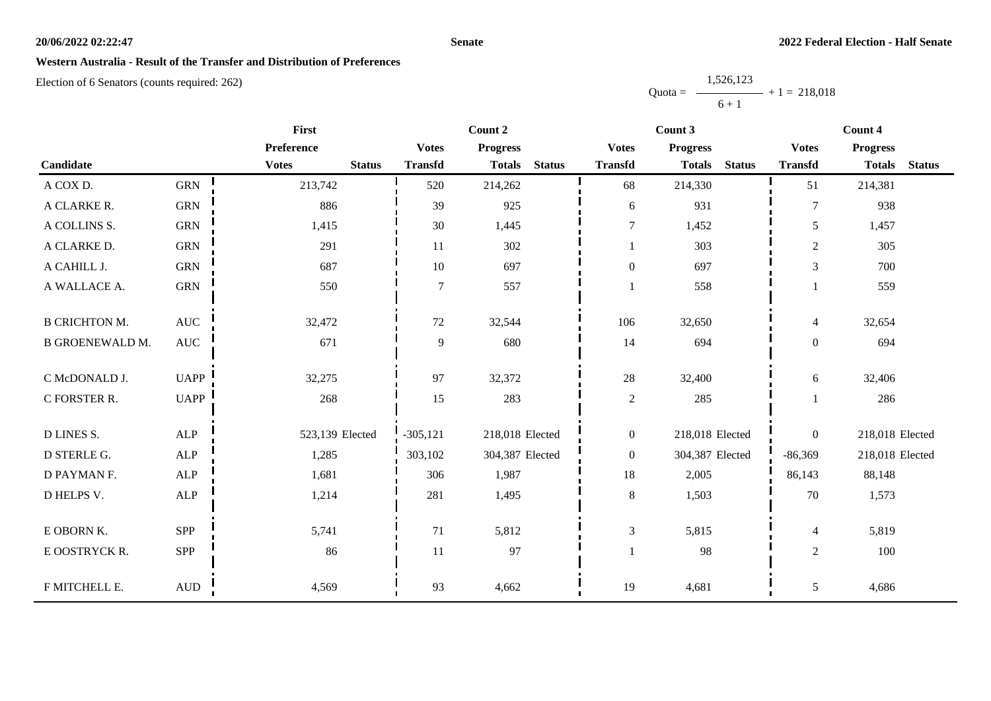#### **Senate**

## **Western Australia - Result of the Transfer and Distribution of Preferences**

Election of 6 Senators (counts required: 262)

Quota = 1,526,123  $6 + 1$  $+ 1 = 218,018$ 

| <b>First</b>           |                  |                               |                | Count 2         |               |                  | Count 3                        | Count 4        |                 |               |
|------------------------|------------------|-------------------------------|----------------|-----------------|---------------|------------------|--------------------------------|----------------|-----------------|---------------|
|                        |                  | Preference                    | <b>Votes</b>   | <b>Progress</b> |               | <b>Votes</b>     | <b>Progress</b>                | <b>Votes</b>   | <b>Progress</b> |               |
| Candidate              |                  | <b>Votes</b><br><b>Status</b> | <b>Transfd</b> | <b>Totals</b>   | <b>Status</b> | <b>Transfd</b>   | <b>Totals</b><br><b>Status</b> | <b>Transfd</b> | <b>Totals</b>   | <b>Status</b> |
| A COX D.               | <b>GRN</b>       | 213,742                       | 520            | 214,262         |               | 68               | 214,330                        | 51             | 214,381         |               |
| A CLARKE R.            | ${\rm GRN}$      | 886                           | 39             | 925             |               | 6                | 931                            | $\overline{7}$ | 938             |               |
| A COLLINS S.           | ${\rm GRN}$      | 1,415                         | 30             | 1,445           |               | $\tau$           | 1,452                          | 5              | 1,457           |               |
| A CLARKE D.            | ${\rm GRN}$      | 291                           | 11             | 302             |               |                  | 303                            | $\overline{c}$ | 305             |               |
| A CAHILL J.            | <b>GRN</b>       | 687                           | 10             | 697             |               | $\boldsymbol{0}$ | 697                            | 3              | 700             |               |
| A WALLACE A.           | <b>GRN</b>       | 550                           | $\overline{7}$ | 557             |               |                  | 558                            |                | 559             |               |
| <b>B CRICHTON M.</b>   | $\mathbf{AUC}$   | 32,472                        | 72             | 32,544          |               | 106              | 32,650                         | $\overline{4}$ | 32,654          |               |
| <b>B GROENEWALD M.</b> | $\mathbf{AUC}$   | 671                           | 9              | 680             |               | 14               | 694                            | $\overline{0}$ | 694             |               |
| C McDONALD J.          | <b>UAPP</b>      | 32,275                        | 97             | 32,372          |               | 28               | 32,400                         | 6              | 32,406          |               |
| C FORSTER R.           | <b>UAPP</b>      | 268                           | 15             | 283             |               | $\overline{2}$   | 285                            |                | 286             |               |
| <b>D LINES S.</b>      | ALP              | 523,139 Elected               | $-305, 121$    | 218,018 Elected |               | $\boldsymbol{0}$ | 218,018 Elected                | $\overline{0}$ | 218,018 Elected |               |
| D STERLE G.            | ${\sf ALP}$      | 1,285                         | 303,102        | 304,387 Elected |               | $\overline{0}$   | 304,387 Elected                | $-86,369$      | 218,018 Elected |               |
| D PAYMAN F.            | ${\sf ALP}$      | 1,681                         | 306            | 1,987           |               | $18\,$           | 2,005                          | 86,143         | 88,148          |               |
| D HELPS V.             | ALP              | 1,214                         | 281            | 1,495           |               | $8\,$            | 1,503                          | 70             | 1,573           |               |
| E OBORN K.             | SPP              | 5,741                         | 71             | 5,812           |               | 3                | 5,815                          | $\overline{4}$ | 5,819           |               |
| E OOSTRYCK R.          | SPP              | 86                            | 11             | 97              |               |                  | 98                             | $\overline{2}$ | 100             |               |
| F MITCHELL E.          | $\mbox{\rm AUD}$ | 4,569                         | 93             | 4,662           |               | 19               | 4,681                          | $\mathfrak{H}$ | 4,686           |               |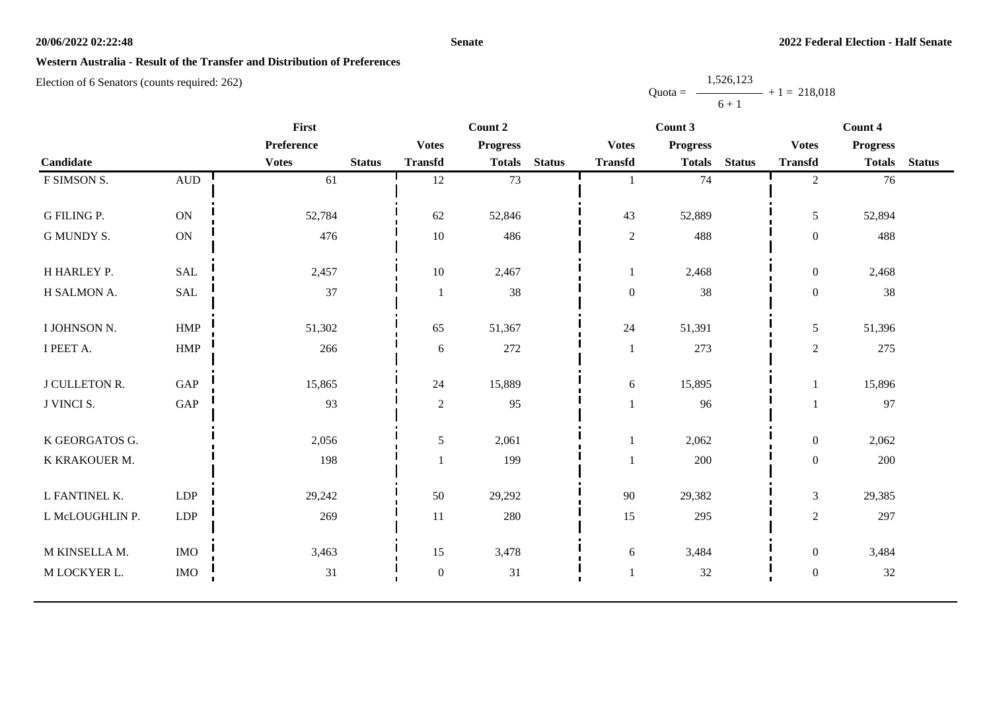#### **Senate**

# **Western Australia - Result of the Transfer and Distribution of Preferences**

Election of 6 Senators (counts required: 262)

Quota = 1,526,123  $6 + 1$  $+ 1 = 218,018$ 

|                      | First                        |              |               | Count 2          | Count 3         |               |                  | Count 4         |               |                  |                 |               |
|----------------------|------------------------------|--------------|---------------|------------------|-----------------|---------------|------------------|-----------------|---------------|------------------|-----------------|---------------|
|                      |                              | Preference   |               | <b>Votes</b>     | <b>Progress</b> |               | <b>Votes</b>     | <b>Progress</b> |               | <b>Votes</b>     | <b>Progress</b> |               |
| Candidate            |                              | <b>Votes</b> | <b>Status</b> | <b>Transfd</b>   | <b>Totals</b>   | <b>Status</b> | <b>Transfd</b>   | <b>Totals</b>   | <b>Status</b> | <b>Transfd</b>   | <b>Totals</b>   | <b>Status</b> |
| F SIMSON S.          | $\hbox{A}\mathrm{U}\hbox{D}$ | 61           |               | 12               | 73              |               |                  | 74              |               | $\overline{2}$   | 76              |               |
|                      |                              |              |               |                  |                 |               |                  |                 |               |                  |                 |               |
| <b>G FILING P.</b>   | $\mathbf{ON}$                | 52,784       |               | 62               | 52,846          |               | 43               | 52,889          |               | 5                | 52,894          |               |
| <b>G MUNDY S.</b>    | $\mathbf{ON}$                | 476          |               | $10\,$           | 486             |               | $\sqrt{2}$       | 488             |               | $\boldsymbol{0}$ | 488             |               |
|                      |                              |              |               |                  |                 |               |                  |                 |               |                  |                 |               |
| H HARLEY P.          | <b>SAL</b>                   | 2,457        |               | $10\,$           | 2,467           |               | $\mathbf{1}$     | 2,468           |               | $\boldsymbol{0}$ | 2,468           |               |
| H SALMON A.          | $\operatorname{SAL}$         | 37           |               | $\mathbf{1}$     | 38              |               | $\boldsymbol{0}$ | 38              |               | $\boldsymbol{0}$ | 38              |               |
|                      |                              |              |               |                  |                 |               |                  |                 |               |                  |                 |               |
| I JOHNSON N.         | HMP                          | 51,302       |               | 65               | 51,367          |               | 24               | 51,391          |               | 5                | 51,396          |               |
| I PEET A.            | <b>HMP</b>                   | 266          |               | 6                | 272             |               | $\mathbf{1}$     | 273             |               | $\overline{2}$   | 275             |               |
|                      |                              |              |               |                  |                 |               |                  |                 |               |                  |                 |               |
| <b>J CULLETON R.</b> | GAP                          | 15,865       |               | 24               | 15,889          |               | 6                | 15,895          |               |                  | 15,896          |               |
| J VINCI S.           | $\operatorname{GAP}$         | 93           |               | $\sqrt{2}$       | 95              |               |                  | 96              |               |                  | 97              |               |
| K GEORGATOS G.       |                              | 2,056        |               | 5                | 2,061           |               | -1               | 2,062           |               | $\overline{0}$   | 2,062           |               |
|                      |                              |              |               |                  |                 |               |                  |                 |               |                  |                 |               |
| K KRAKOUER M.        |                              | 198          |               |                  | 199             |               |                  | 200             |               | $\boldsymbol{0}$ | 200             |               |
| L FANTINEL K.        | <b>LDP</b>                   | 29,242       |               | 50               | 29,292          |               | 90               | 29,382          |               | $\mathfrak{Z}$   | 29,385          |               |
| L McLOUGHLIN P.      | LDP                          | 269          |               | 11               | 280             |               | 15               | 295             |               | $\overline{2}$   | 297             |               |
|                      |                              |              |               |                  |                 |               |                  |                 |               |                  |                 |               |
| M KINSELLA M.        | <b>IMO</b>                   | 3,463        |               | 15               | 3,478           |               | 6                | 3,484           |               | $\boldsymbol{0}$ | 3,484           |               |
| M LOCKYER L.         | $\rm{IMO}$                   | 31           |               | $\boldsymbol{0}$ | 31              |               |                  | $32\,$          |               | $\boldsymbol{0}$ | $32\,$          |               |
|                      |                              |              |               |                  |                 |               |                  |                 |               |                  |                 |               |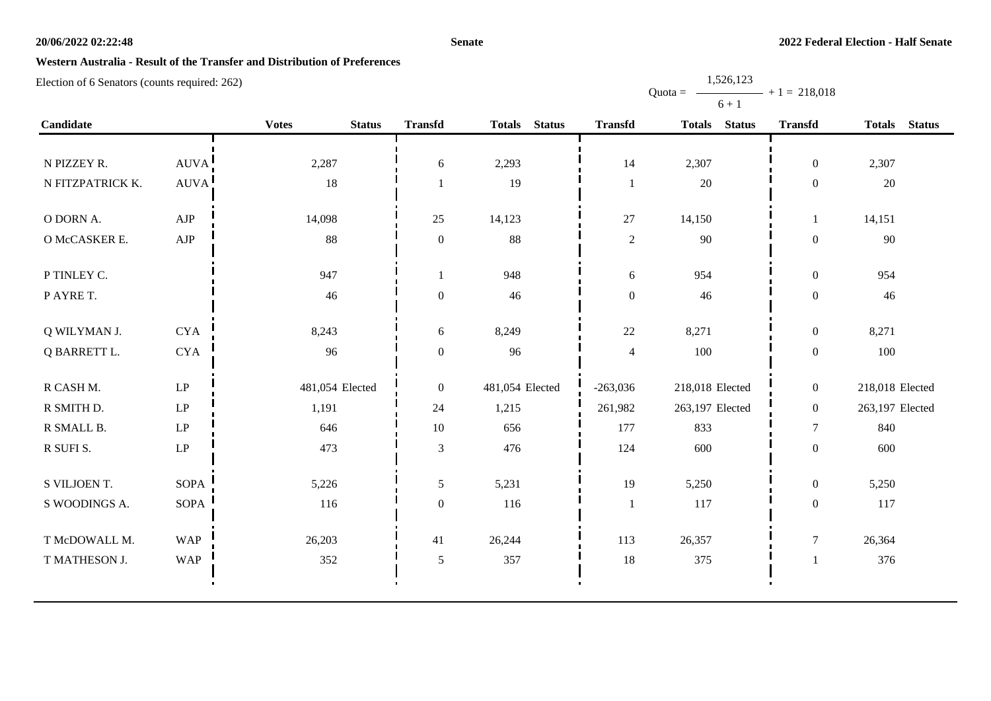#### **Senate**

Quota =

1,526,123

 $+ 1 = 218,018$ 

# **Western Australia - Result of the Transfer and Distribution of Preferences**

|                  |                     |                               |                  |                 |                  | $6 + 1$         |                  |                 |
|------------------|---------------------|-------------------------------|------------------|-----------------|------------------|-----------------|------------------|-----------------|
| Candidate        |                     | <b>Votes</b><br><b>Status</b> | <b>Transfd</b>   | Totals Status   | <b>Transfd</b>   | Totals Status   | <b>Transfd</b>   | Totals Status   |
|                  |                     |                               |                  |                 |                  |                 |                  |                 |
| N PIZZEY R.      | AUVA!               | 2,287                         | 6                | 2,293           | 14               | 2,307           | $\boldsymbol{0}$ | 2,307           |
| N FITZPATRICK K. | <b>AUVA</b>         | 18                            | 1                | 19              | $\mathbf{1}$     | 20              | $\overline{0}$   | 20              |
|                  |                     |                               |                  |                 |                  |                 |                  |                 |
| O DORN A.        | AJP                 | 14,098                        | 25               | 14,123          | 27               | 14,150          | -1               | 14,151          |
| O McCASKER E.    | ${\rm AJP}$         | 88                            | $\mathbf{0}$     | 88              | $\sqrt{2}$       | 90              | $\overline{0}$   | 90              |
| P TINLEY C.      |                     | 947                           | 1                | 948             | 6                | 954             | $\boldsymbol{0}$ | 954             |
| P AYRE T.        |                     | 46                            | $\boldsymbol{0}$ | 46              | $\boldsymbol{0}$ | 46              | $\boldsymbol{0}$ | 46              |
|                  |                     |                               |                  |                 |                  |                 |                  |                 |
| Q WILYMAN J.     | <b>CYA</b>          | 8,243                         | 6                | 8,249           | 22               | 8,271           | $\boldsymbol{0}$ | 8,271           |
| Q BARRETT L.     | <b>CYA</b>          | 96                            | $\mathbf{0}$     | 96              | $\overline{4}$   | 100             | $\boldsymbol{0}$ | 100             |
|                  |                     |                               |                  |                 |                  |                 |                  |                 |
| R CASH M.        | $\operatorname{LP}$ | 481,054 Elected               | $\overline{0}$   | 481,054 Elected | $-263,036$       | 218,018 Elected | $\boldsymbol{0}$ | 218,018 Elected |
| R SMITH D.       | $\operatorname{LP}$ | 1,191                         | 24               | 1,215           | 261,982          | 263,197 Elected | $\boldsymbol{0}$ | 263,197 Elected |
| R SMALL B.       | LP                  | 646                           | 10               | 656             | 177              | 833             | $\tau$           | 840             |
| R SUFI S.        | $\operatorname{LP}$ | 473                           | $\mathfrak{Z}$   | 476             | 124              | 600             | $\overline{0}$   | 600             |
|                  |                     |                               |                  |                 |                  |                 |                  |                 |
| S VILJOEN T.     | <b>SOPA</b>         | 5,226                         | 5                | 5,231           | 19               | 5,250           | $\boldsymbol{0}$ | 5,250           |
| S WOODINGS A.    | SOPA                | 116                           | $\mathbf{0}$     | 116             | $\mathbf{1}$     | 117             | $\boldsymbol{0}$ | 117             |
| T McDOWALL M.    | <b>WAP</b>          | 26,203                        | 41               | 26,244          | 113              | 26,357          | $\boldsymbol{7}$ | 26,364          |
| T MATHESON J.    | <b>WAP</b>          | 352                           | 5                | 357             | 18               | 375             | 1                | 376             |
|                  |                     |                               |                  |                 |                  |                 |                  |                 |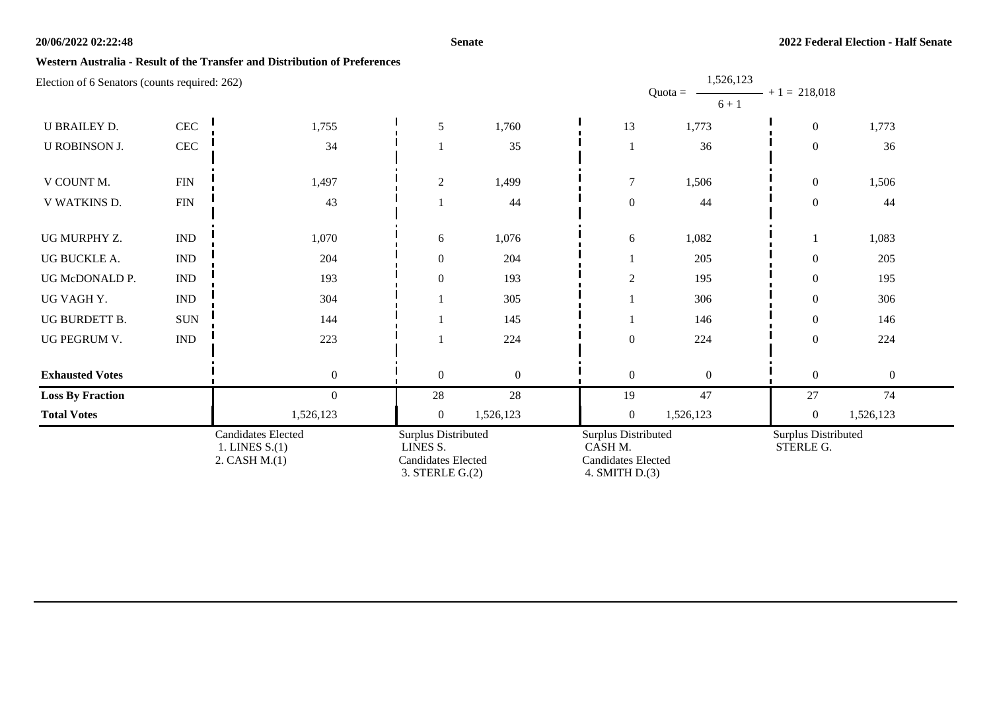#### **Senate**

### **Western Australia - Result of the Transfer and Distribution of Preferences**

| Election of 6 Senators (counts required: 262)                 |                             |                                                                                      |                  |                                                                               |                | 1,526,123<br>$Quota =$<br>$6 + 1$ | $- + 1 = 218,018$ |                |  |
|---------------------------------------------------------------|-----------------------------|--------------------------------------------------------------------------------------|------------------|-------------------------------------------------------------------------------|----------------|-----------------------------------|-------------------|----------------|--|
| <b>U BRAILEY D.</b>                                           | CEC                         | 1,755                                                                                | 5                | 1,760                                                                         | 13             | 1,773                             | $\boldsymbol{0}$  | 1,773          |  |
| <b>U ROBINSON J.</b>                                          | CEC                         | 34                                                                                   |                  | 35                                                                            |                | 36                                | $\boldsymbol{0}$  | 36             |  |
| V COUNT M.                                                    | ${\rm FIN}$                 | 1,497                                                                                | $\overline{c}$   | 1,499                                                                         | $\overline{7}$ | 1,506                             | $\boldsymbol{0}$  | 1,506          |  |
| V WATKINS D.                                                  | ${\rm FIN}$                 | 43                                                                                   |                  | 44                                                                            | $\overline{0}$ | 44                                | $\boldsymbol{0}$  | 44             |  |
| UG MURPHY Z.                                                  | <b>IND</b>                  | 1,070                                                                                | 6                | 1,076                                                                         | 6              | 1,082                             |                   | 1,083          |  |
| UG BUCKLE A.                                                  | $\mathop{\rm IND}\nolimits$ | 204                                                                                  | $\mathbf{0}$     | 204                                                                           |                | 205                               | $\boldsymbol{0}$  | 205            |  |
| UG McDONALD P.                                                | $\mathop{\rm IND}\nolimits$ | 193                                                                                  | $\boldsymbol{0}$ | 193                                                                           | $\overline{2}$ | 195                               | $\overline{0}$    | 195            |  |
| UG VAGH Y.                                                    | $\mathop{\rm IND}\nolimits$ | 304                                                                                  |                  | 305                                                                           |                | 306                               | $\mathbf{0}$      | 306            |  |
| UG BURDETT B.                                                 | $\rm{SUM}$                  | 144                                                                                  |                  | 145                                                                           |                | 146                               | $\boldsymbol{0}$  | 146            |  |
| UG PEGRUM V.                                                  | $\mathop{\rm IND}\nolimits$ | 223                                                                                  |                  | 224                                                                           | $\mathbf{0}$   | 224                               | $\boldsymbol{0}$  | 224            |  |
| <b>Exhausted Votes</b>                                        |                             | $\mathbf{0}$                                                                         | $\mathbf{0}$     | $\mathbf{0}$                                                                  | $\overline{0}$ | $\theta$                          | $\overline{0}$    | $\overline{0}$ |  |
| <b>Loss By Fraction</b>                                       |                             | $\boldsymbol{0}$                                                                     | 28               | 28                                                                            | 19             | 47                                | $27\,$            | 74             |  |
| <b>Total Votes</b>                                            |                             | 1,526,123                                                                            | $\overline{0}$   | 1,526,123                                                                     | $\overline{0}$ | 1,526,123                         | $\overline{0}$    | 1,526,123      |  |
| <b>Candidates Elected</b><br>1. LINES $S(1)$<br>2. CASH M.(1) |                             | Surplus Distributed<br>LINES S.<br><b>Candidates Elected</b><br>$3.$ STERLE G. $(2)$ |                  | Surplus Distributed<br>CASH M.<br><b>Candidates Elected</b><br>4. SMITH D.(3) |                | Surplus Distributed<br>STERLE G.  |                   |                |  |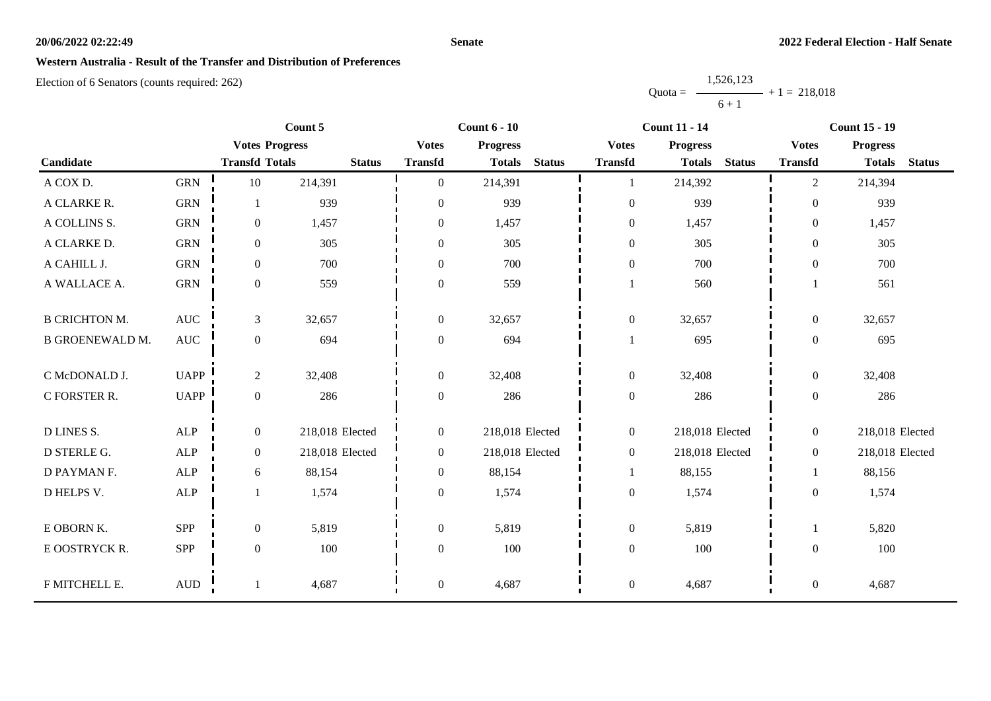#### **Senate**

### **Western Australia - Result of the Transfer and Distribution of Preferences**

|           | 1,526,123 |                |
|-----------|-----------|----------------|
| $Quota =$ |           | $+1 = 218,018$ |
|           | $6 + 1$   |                |

|                        |                      | Count 5               |                 | <b>Count 6 - 10</b> |                 | <b>Count 11 - 14</b> |                  |                 | <b>Count 15 - 19</b> |                  |                 |               |
|------------------------|----------------------|-----------------------|-----------------|---------------------|-----------------|----------------------|------------------|-----------------|----------------------|------------------|-----------------|---------------|
|                        |                      | <b>Votes Progress</b> |                 | <b>Votes</b>        | <b>Progress</b> |                      | <b>Votes</b>     | <b>Progress</b> |                      | <b>Votes</b>     | <b>Progress</b> |               |
| Candidate              |                      | <b>Transfd Totals</b> | <b>Status</b>   | <b>Transfd</b>      | <b>Totals</b>   | <b>Status</b>        | <b>Transfd</b>   | <b>Totals</b>   | <b>Status</b>        | <b>Transfd</b>   | <b>Totals</b>   | <b>Status</b> |
| A COX D.               | <b>GRN</b>           | $10\,$                | 214,391         | $\Omega$            | 214,391         |                      |                  | 214,392         |                      | $\overline{c}$   | 214,394         |               |
| A CLARKE R.            | <b>GRN</b>           |                       | 939             | $\mathbf{0}$        | 939             |                      | $\boldsymbol{0}$ | 939             |                      | $\overline{0}$   | 939             |               |
| A COLLINS S.           | ${\rm GRN}$          | $\boldsymbol{0}$      | 1,457           | $\mathbf{0}$        | 1,457           |                      | $\boldsymbol{0}$ | 1,457           |                      | $\overline{0}$   | 1,457           |               |
| A CLARKE D.            | <b>GRN</b>           | $\boldsymbol{0}$      | 305             | $\mathbf{0}$        | 305             |                      | $\overline{0}$   | 305             |                      | $\overline{0}$   | 305             |               |
| A CAHILL J.            | ${\rm GRN}$          | $\boldsymbol{0}$      | 700             | $\mathbf{0}$        | 700             |                      | $\boldsymbol{0}$ | 700             |                      | $\overline{0}$   | 700             |               |
| A WALLACE A.           | ${\rm GRN}$          | $\boldsymbol{0}$      | 559             | $\boldsymbol{0}$    | 559             |                      |                  | 560             |                      | $\mathbf{1}$     | 561             |               |
| <b>B CRICHTON M.</b>   | $\operatorname{AUC}$ | $\mathfrak{Z}$        | 32,657          | $\boldsymbol{0}$    | 32,657          |                      | $\boldsymbol{0}$ | 32,657          |                      | $\overline{0}$   | 32,657          |               |
| <b>B GROENEWALD M.</b> | $\mathbf{AUC}$       | $\boldsymbol{0}$      | 694             | $\boldsymbol{0}$    | 694             |                      | $\mathbf{1}$     | 695             |                      | $\boldsymbol{0}$ | 695             |               |
| C McDONALD J.          | <b>UAPP</b>          | $\overline{2}$        | 32,408          | $\Omega$            | 32,408          |                      | $\mathbf{0}$     | 32,408          |                      | $\overline{0}$   | 32,408          |               |
| C FORSTER R.           | <b>UAPP</b>          | $\boldsymbol{0}$      | 286             | $\boldsymbol{0}$    | 286             |                      | $\boldsymbol{0}$ | 286             |                      | $\overline{0}$   | 286             |               |
| <b>D LINES S.</b>      | ALP                  | $\boldsymbol{0}$      | 218,018 Elected | $\boldsymbol{0}$    | 218,018 Elected |                      | $\boldsymbol{0}$ | 218,018 Elected |                      | $\overline{0}$   | 218,018 Elected |               |
| D STERLE G.            | <b>ALP</b>           | $\overline{0}$        | 218,018 Elected | $\overline{0}$      | 218,018 Elected |                      | $\overline{0}$   | 218,018 Elected |                      | $\overline{0}$   | 218,018 Elected |               |
| D PAYMAN F.            | <b>ALP</b>           | 6                     | 88,154          | $\boldsymbol{0}$    | 88,154          |                      | -1               | 88,155          |                      | 1                | 88,156          |               |
| D HELPS V.             | ALP                  |                       | 1,574           | $\boldsymbol{0}$    | 1,574           |                      | $\boldsymbol{0}$ | 1,574           |                      | $\boldsymbol{0}$ | 1,574           |               |
| E OBORN K.             | SPP                  | $\boldsymbol{0}$      | 5,819           | $\boldsymbol{0}$    | 5,819           |                      | $\boldsymbol{0}$ | 5,819           |                      | 1                | 5,820           |               |
| E OOSTRYCK R.          | SPP                  | $\boldsymbol{0}$      | 100             | $\Omega$            | 100             |                      | $\boldsymbol{0}$ | 100             |                      | $\boldsymbol{0}$ | 100             |               |
| F MITCHELL E.          | $\mbox{AUD}$         | $\overline{1}$        | 4,687           | $\boldsymbol{0}$    | 4,687           |                      | $\boldsymbol{0}$ | 4,687           |                      | $\boldsymbol{0}$ | 4,687           |               |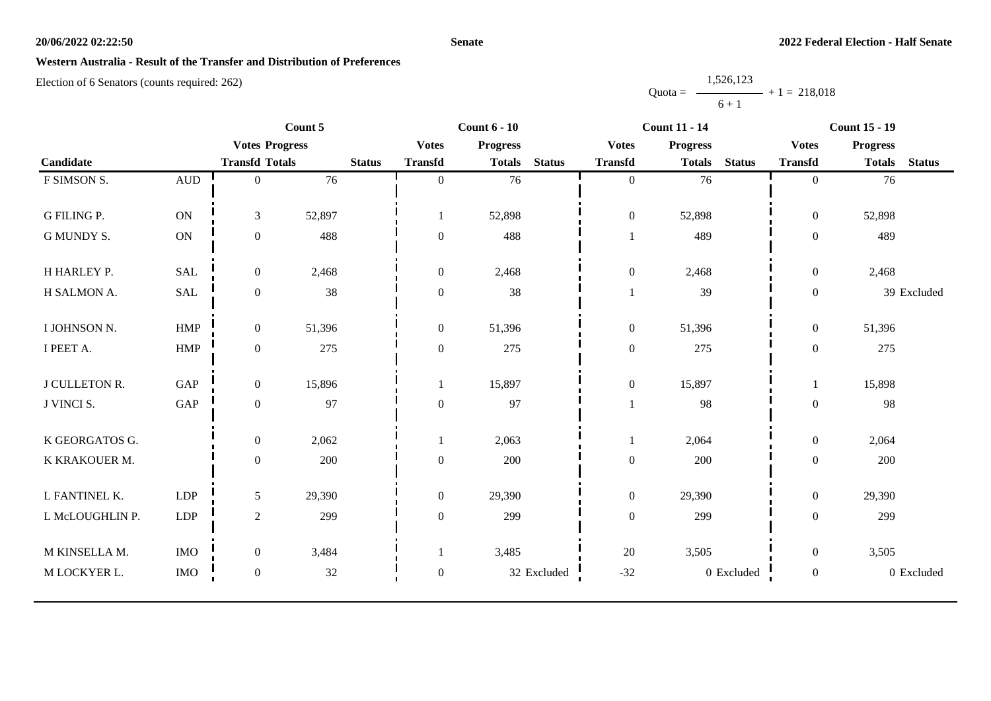#### **Senate**

## **Western Australia - Result of the Transfer and Distribution of Preferences**

|           | 1,526,123 |                |
|-----------|-----------|----------------|
| $Quota =$ |           | $+1 = 218,018$ |
|           | $6 + 1$   |                |

|                      | Count 5              |                       |        | <b>Count 6 - 10</b> |                  |                 | <b>Count 11 - 14</b> |                  |                 | <b>Count 15 - 19</b> |                  |                 |               |
|----------------------|----------------------|-----------------------|--------|---------------------|------------------|-----------------|----------------------|------------------|-----------------|----------------------|------------------|-----------------|---------------|
|                      |                      | <b>Votes Progress</b> |        |                     | <b>Votes</b>     | <b>Progress</b> |                      | <b>Votes</b>     | <b>Progress</b> |                      | <b>Votes</b>     | <b>Progress</b> |               |
| Candidate            |                      | <b>Transfd Totals</b> |        | <b>Status</b>       | <b>Transfd</b>   | <b>Totals</b>   | <b>Status</b>        | <b>Transfd</b>   | <b>Totals</b>   | <b>Status</b>        | <b>Transfd</b>   | <b>Totals</b>   | <b>Status</b> |
| F SIMSON S.          | $\mbox{\rm AUD}$     | $\theta$              | 76     |                     | $\overline{0}$   | 76              |                      | $\overline{0}$   | 76              |                      | $\overline{0}$   | 76              |               |
|                      |                      |                       |        |                     |                  |                 |                      |                  |                 |                      |                  |                 |               |
| <b>G FILING P.</b>   | $\mathbf{ON}$        | $\mathfrak{Z}$        | 52,897 |                     | 1                | 52,898          |                      | $\boldsymbol{0}$ | 52,898          |                      | $\boldsymbol{0}$ | 52,898          |               |
| <b>G MUNDY S.</b>    | $\mathbf{ON}$        | $\boldsymbol{0}$      | 488    |                     | $\boldsymbol{0}$ | 488             |                      |                  | 489             |                      | $\boldsymbol{0}$ | 489             |               |
| H HARLEY P.          | <b>SAL</b>           | $\boldsymbol{0}$      | 2,468  |                     | $\mathbf{0}$     | 2,468           |                      | $\boldsymbol{0}$ | 2,468           |                      | $\overline{0}$   | 2,468           |               |
| H SALMON A.          | $\operatorname{SAL}$ | $\boldsymbol{0}$      | 38     |                     | $\boldsymbol{0}$ | 38              |                      |                  | 39              |                      | $\boldsymbol{0}$ |                 | 39 Excluded   |
|                      |                      |                       |        |                     |                  |                 |                      |                  |                 |                      |                  |                 |               |
| I JOHNSON N.         | <b>HMP</b>           | $\overline{0}$        | 51,396 |                     | $\mathbf{0}$     | 51,396          |                      | $\overline{0}$   | 51,396          |                      | $\overline{0}$   | 51,396          |               |
| I PEET A.            | HMP                  | $\boldsymbol{0}$      | 275    |                     | $\boldsymbol{0}$ | 275             |                      | $\boldsymbol{0}$ | 275             |                      | $\overline{0}$   | 275             |               |
|                      |                      |                       |        |                     |                  |                 |                      |                  |                 |                      |                  |                 |               |
| <b>J CULLETON R.</b> | GAP                  | $\overline{0}$        | 15,896 |                     |                  | 15,897          |                      | $\boldsymbol{0}$ | 15,897          |                      | 1                | 15,898          |               |
| J VINCI S.           | GAP                  | $\boldsymbol{0}$      | 97     |                     | $\mathbf{0}$     | 97              |                      | 1                | 98              |                      | $\boldsymbol{0}$ | 98              |               |
| K GEORGATOS G.       |                      | $\boldsymbol{0}$      | 2,062  |                     |                  | 2,063           |                      | 1                | 2,064           |                      | $\boldsymbol{0}$ | 2,064           |               |
| K KRAKOUER M.        |                      | $\boldsymbol{0}$      | 200    |                     | $\mathbf{0}$     | 200             |                      | $\boldsymbol{0}$ | 200             |                      | $\boldsymbol{0}$ | 200             |               |
|                      |                      |                       |        |                     |                  |                 |                      |                  |                 |                      |                  |                 |               |
| L FANTINEL K.        | LDP                  | 5                     | 29,390 |                     | $\mathbf{0}$     | 29,390          |                      | $\boldsymbol{0}$ | 29,390          |                      | $\boldsymbol{0}$ | 29,390          |               |
| L McLOUGHLIN P.      | LDP                  | $\overline{2}$        | 299    |                     | $\mathbf{0}$     | 299             |                      | $\boldsymbol{0}$ | 299             |                      | $\boldsymbol{0}$ | 299             |               |
| M KINSELLA M.        | <b>IMO</b>           | $\boldsymbol{0}$      | 3,484  |                     |                  | 3,485           |                      | $20\,$           | 3,505           |                      | $\overline{0}$   | 3,505           |               |
| M LOCKYER L.         | <b>IMO</b>           | $\boldsymbol{0}$      | 32     |                     | $\boldsymbol{0}$ |                 | 32 Excluded          | $-32$            |                 | 0 Excluded           | $\boldsymbol{0}$ |                 | 0 Excluded    |
|                      |                      |                       |        |                     |                  |                 |                      |                  |                 |                      |                  |                 |               |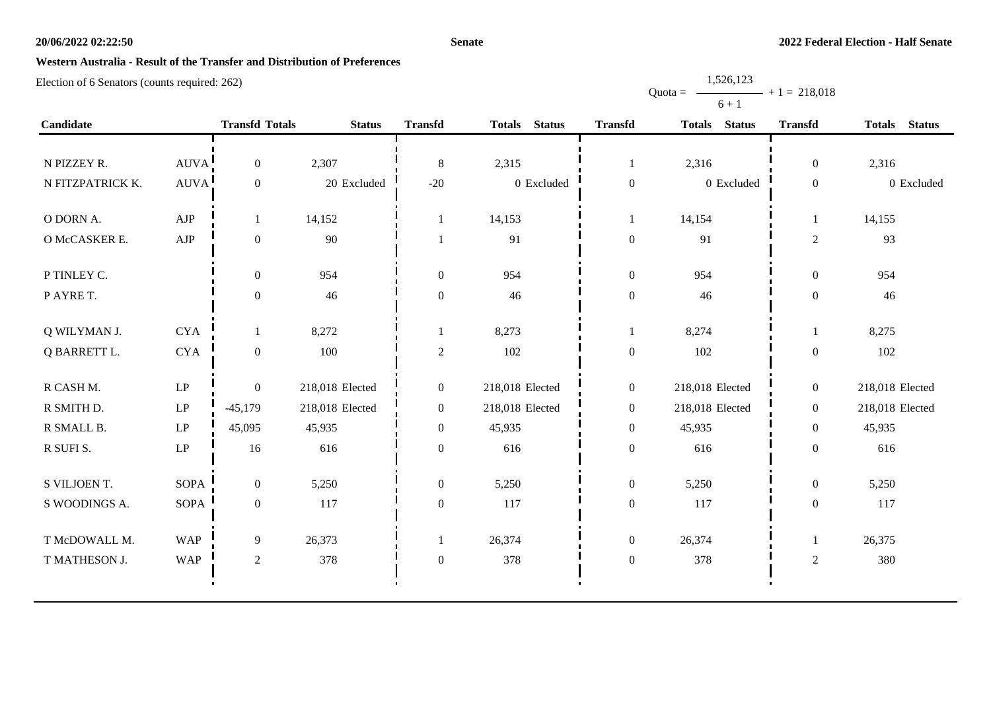#### **Senate**

Quota =

1,526,123

 $+ 1 = 218,018$ 

## **Western Australia - Result of the Transfer and Distribution of Preferences**

|                  |                        |                       |                 |                  |                 |                  | $6 + 1$         |                  |                 |
|------------------|------------------------|-----------------------|-----------------|------------------|-----------------|------------------|-----------------|------------------|-----------------|
| Candidate        |                        | <b>Transfd Totals</b> | <b>Status</b>   | <b>Transfd</b>   | Totals Status   | <b>Transfd</b>   | Totals Status   | <b>Transfd</b>   | Totals Status   |
|                  |                        |                       |                 |                  |                 |                  |                 |                  |                 |
| N PIZZEY R.      | AUVA!                  | $\overline{0}$        | 2,307           | 8                | 2,315           | -1               | 2,316           | $\overline{0}$   | 2,316           |
| N FITZPATRICK K. | <b>AUVA</b>            | $\mathbf{0}$          | 20 Excluded     | $-20$            | $0$ Excluded    | $\boldsymbol{0}$ | 0 Excluded      | $\boldsymbol{0}$ | 0 Excluded      |
| O DORN A.        | AJP                    | $\mathbf{1}$          | 14,152          |                  | 14,153          | 1                | 14,154          | $\mathbf{1}$     | 14,155          |
| O McCASKER E.    | AJP                    | $\boldsymbol{0}$      | 90              | 1                | 91              | $\boldsymbol{0}$ | 91              | $\sqrt{2}$       | 93              |
| P TINLEY C.      |                        | $\boldsymbol{0}$      | 954             | $\mathbf{0}$     | 954             | $\boldsymbol{0}$ | 954             | $\boldsymbol{0}$ | 954             |
| P AYRE T.        |                        | $\boldsymbol{0}$      | 46              | $\boldsymbol{0}$ | 46              | $\boldsymbol{0}$ | 46              | $\boldsymbol{0}$ | 46              |
| Q WILYMAN J.     | <b>CYA</b>             | 1                     | 8,272           | 1                | 8,273           | $\mathbf{1}$     | 8,274           |                  | 8,275           |
| Q BARRETT L.     | $\rm CYA$              | $\boldsymbol{0}$      | 100             | $\sqrt{2}$       | 102             | $\boldsymbol{0}$ | 102             | $\boldsymbol{0}$ | 102             |
| R CASH M.        | LP                     | $\overline{0}$        | 218,018 Elected | $\boldsymbol{0}$ | 218,018 Elected | $\overline{0}$   | 218,018 Elected | $\boldsymbol{0}$ | 218,018 Elected |
| R SMITH D.       | $\mathbf{L}\mathbf{P}$ | $-45,179$             | 218,018 Elected | $\boldsymbol{0}$ | 218,018 Elected | $\overline{0}$   | 218,018 Elected | $\boldsymbol{0}$ | 218,018 Elected |
| R SMALL B.       | $\mathbf{L}\mathbf{P}$ | 45,095                | 45,935          | $\boldsymbol{0}$ | 45,935          | $\boldsymbol{0}$ | 45,935          | $\boldsymbol{0}$ | 45,935          |
| R SUFI S.        | $\operatorname{LP}$    | 16                    | 616             | $\boldsymbol{0}$ | 616             | $\boldsymbol{0}$ | 616             | $\boldsymbol{0}$ | 616             |
| S VILJOEN T.     | <b>SOPA</b>            | $\boldsymbol{0}$      | 5,250           | $\overline{0}$   | 5,250           | $\boldsymbol{0}$ | 5,250           | $\boldsymbol{0}$ | 5,250           |
| S WOODINGS A.    | <b>SOPA</b>            | $\mathbf{0}$          | 117             | $\mathbf{0}$     | 117             | $\boldsymbol{0}$ | 117             | $\boldsymbol{0}$ | 117             |
| T McDOWALL M.    | <b>WAP</b>             | 9                     | 26,373          | 1                | 26,374          | $\boldsymbol{0}$ | 26,374          | -1               | 26,375          |
| T MATHESON J.    | <b>WAP</b>             | $\overline{c}$        | 378             | $\overline{0}$   | 378             | $\boldsymbol{0}$ | 378             | 2                | 380             |
|                  |                        |                       |                 |                  |                 |                  |                 |                  |                 |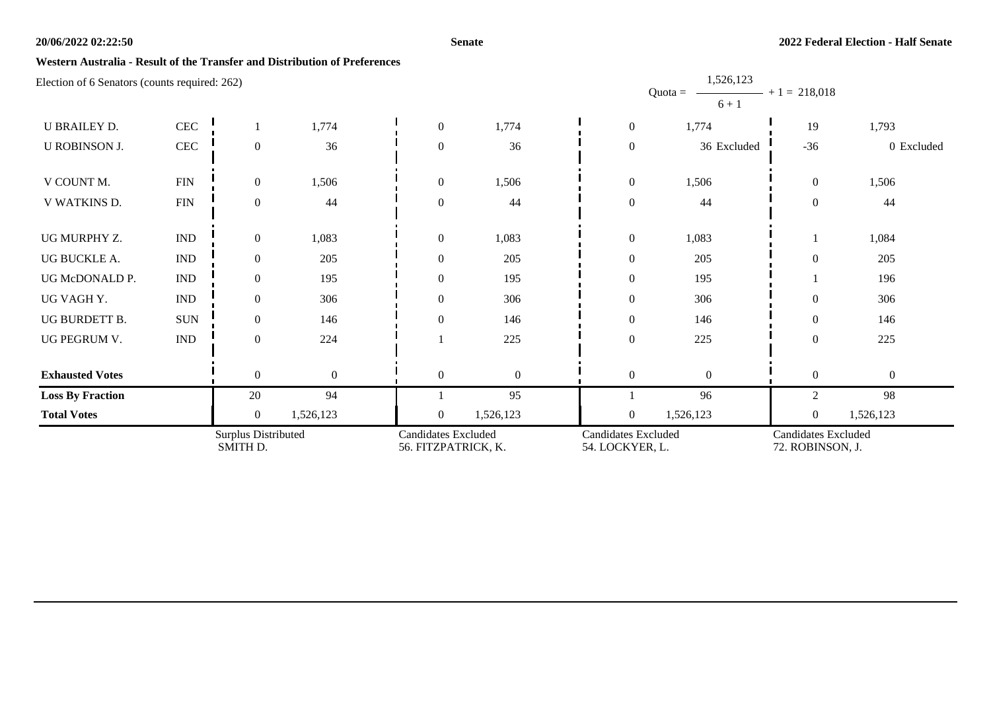#### **Senate**

1,526,123

### **Western Australia - Result of the Transfer and Distribution of Preferences**

|                         |                             |                                 |                |                                                   |                |                                               | $Quota =$<br>$6 + 1$ | $-$ + 1 = 218,018                       |                |
|-------------------------|-----------------------------|---------------------------------|----------------|---------------------------------------------------|----------------|-----------------------------------------------|----------------------|-----------------------------------------|----------------|
| <b>U BRAILEY D.</b>     | $\mbox{CEC}$                |                                 | 1,774          | $\mathbf{0}$                                      | 1,774          | $\boldsymbol{0}$                              | 1,774                | 19                                      | 1,793          |
| <b>U ROBINSON J.</b>    | $\mbox{CEC}$                | $\overline{0}$                  | 36             | $\overline{0}$                                    | 36             | $\boldsymbol{0}$                              | 36 Excluded          | $-36$                                   | 0 Excluded     |
| V COUNT M.              | ${\rm FIN}$                 | $\boldsymbol{0}$                | 1,506          | $\overline{0}$                                    | 1,506          | $\boldsymbol{0}$                              | 1,506                | $\mathbf{0}$                            | 1,506          |
| V WATKINS D.            | ${\rm FIN}$                 | $\boldsymbol{0}$                | 44             | $\overline{0}$                                    | 44             | $\boldsymbol{0}$                              | 44                   | $\boldsymbol{0}$                        | 44             |
| UG MURPHY Z.            | $\ensuremath{\text{IND}}$   | $\boldsymbol{0}$                | 1,083          | $\boldsymbol{0}$                                  | 1,083          | $\boldsymbol{0}$                              | 1,083                |                                         | 1,084          |
| UG BUCKLE A.            | $\ensuremath{\text{IND}}$   | $\overline{0}$                  | 205            | $\overline{0}$                                    | 205            | $\boldsymbol{0}$                              | 205                  | $\overline{0}$                          | 205            |
| UG McDONALD P.          | <b>IND</b>                  | $\overline{0}$                  | 195            | $\overline{0}$                                    | 195            | $\boldsymbol{0}$                              | 195                  |                                         | 196            |
| UG VAGH Y.              | $\mathop{\rm IND}\nolimits$ | $\overline{0}$                  | 306            | $\overline{0}$                                    | 306            | $\boldsymbol{0}$                              | 306                  | $\mathbf{0}$                            | 306            |
| UG BURDETT B.           | <b>SUN</b>                  | $\overline{0}$                  | 146            | $\Omega$                                          | 146            | $\boldsymbol{0}$                              | 146                  | $\mathbf{0}$                            | 146            |
| UG PEGRUM V.            | $\ensuremath{\text{IND}}$   | $\overline{0}$                  | 224            |                                                   | 225            | $\boldsymbol{0}$                              | 225                  | $\mathbf{0}$                            | 225            |
| <b>Exhausted Votes</b>  |                             | $\overline{0}$                  | $\overline{0}$ | $\overline{0}$                                    | $\overline{0}$ | $\overline{0}$                                | $\overline{0}$       | $\boldsymbol{0}$                        | $\overline{0}$ |
| <b>Loss By Fraction</b> |                             | 20                              | 94             |                                                   | 95             |                                               | 96                   | $\overline{2}$                          | 98             |
| <b>Total Votes</b>      |                             | $\overline{0}$                  | 1,526,123      | $\overline{0}$                                    | 1,526,123      | $\boldsymbol{0}$                              | 1,526,123            | $\boldsymbol{0}$                        | 1,526,123      |
|                         |                             | Surplus Distributed<br>SMITH D. |                | <b>Candidates Excluded</b><br>56. FITZPATRICK, K. |                | <b>Candidates Excluded</b><br>54. LOCKYER, L. |                      | Candidates Excluded<br>72. ROBINSON, J. |                |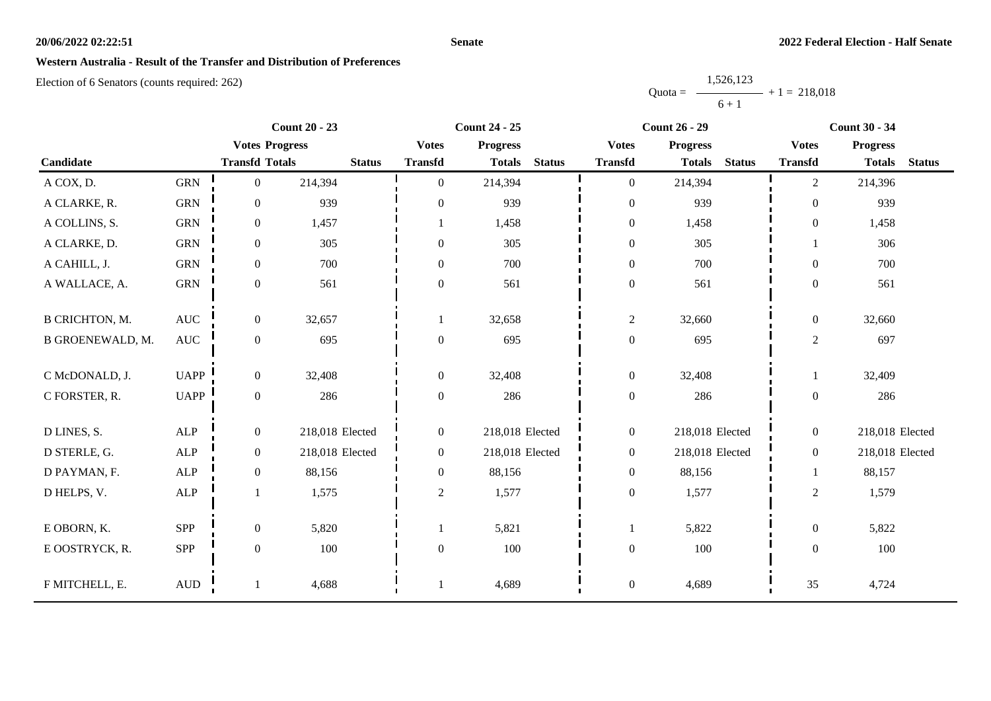#### **Senate**

### **Western Australia - Result of the Transfer and Distribution of Preferences**

Election of 6 Senators (counts required: 262)

Quota = 1,526,123  $6 + 1$  $+ 1 = 218,018$ 

|                         |                      | <b>Count 20 - 23</b>  |                 |                  | <b>Count 24 - 25</b> |               | <b>Count 26 - 29</b> |                 |               | <b>Count 30 - 34</b> |                 |               |
|-------------------------|----------------------|-----------------------|-----------------|------------------|----------------------|---------------|----------------------|-----------------|---------------|----------------------|-----------------|---------------|
|                         |                      | <b>Votes Progress</b> |                 | <b>Votes</b>     | <b>Progress</b>      |               | <b>Votes</b>         | <b>Progress</b> |               | <b>Votes</b>         | <b>Progress</b> |               |
| Candidate               |                      | <b>Transfd Totals</b> | <b>Status</b>   | <b>Transfd</b>   | <b>Totals</b>        | <b>Status</b> | <b>Transfd</b>       | <b>Totals</b>   | <b>Status</b> | <b>Transfd</b>       | <b>Totals</b>   | <b>Status</b> |
| A COX, D.               | <b>GRN</b>           | $\boldsymbol{0}$      | 214,394         | $\theta$         | 214,394              |               | $\overline{0}$       | 214,394         |               | $\overline{c}$       | 214,396         |               |
| A CLARKE, R.            | <b>GRN</b>           | $\mathbf{0}$          | 939             | $\overline{0}$   | 939                  |               | $\mathbf{0}$         | 939             |               | $\overline{0}$       | 939             |               |
| A COLLINS, S.           | <b>GRN</b>           | $\boldsymbol{0}$      | 1,457           |                  | 1,458                |               | $\boldsymbol{0}$     | 1,458           |               | $\overline{0}$       | 1,458           |               |
| A CLARKE, D.            | <b>GRN</b>           | $\boldsymbol{0}$      | 305             | $\overline{0}$   | 305                  |               | $\boldsymbol{0}$     | 305             |               |                      | 306             |               |
| A CAHILL, J.            | <b>GRN</b>           | $\boldsymbol{0}$      | 700             | $\overline{0}$   | 700                  |               | $\boldsymbol{0}$     | 700             |               | $\Omega$             | 700             |               |
| A WALLACE, A.           | <b>GRN</b>           | $\boldsymbol{0}$      | 561             | $\boldsymbol{0}$ | 561                  |               | $\boldsymbol{0}$     | 561             |               | $\overline{0}$       | 561             |               |
|                         |                      |                       |                 |                  |                      |               |                      |                 |               |                      |                 |               |
| <b>B CRICHTON, M.</b>   | $\operatorname{AUC}$ | $\boldsymbol{0}$      | 32,657          |                  | 32,658               |               | $\overline{c}$       | 32,660          |               | $\overline{0}$       | 32,660          |               |
| <b>B GROENEWALD, M.</b> | $\operatorname{AUC}$ | $\boldsymbol{0}$      | 695             | $\boldsymbol{0}$ | 695                  |               | $\boldsymbol{0}$     | 695             |               | $\overline{c}$       | 697             |               |
| C McDONALD, J.          | <b>UAPP</b>          | $\overline{0}$        | 32,408          | $\theta$         | 32,408               |               | $\boldsymbol{0}$     | 32,408          |               | -1                   | 32,409          |               |
| C FORSTER, R.           | <b>UAPP</b>          | $\boldsymbol{0}$      | 286             | $\boldsymbol{0}$ | 286                  |               | $\boldsymbol{0}$     | 286             |               | $\mathbf{0}$         | 286             |               |
|                         |                      |                       |                 |                  |                      |               |                      |                 |               |                      |                 |               |
| D LINES, S.             | ALP                  | $\boldsymbol{0}$      | 218,018 Elected | $\overline{0}$   | 218,018 Elected      |               | $\boldsymbol{0}$     | 218,018 Elected |               | $\overline{0}$       | 218,018 Elected |               |
| D STERLE, G.            | ${\sf ALP}$          | $\mathbf{0}$          | 218,018 Elected | $\overline{0}$   | 218,018 Elected      |               | $\boldsymbol{0}$     | 218,018 Elected |               | $\overline{0}$       | 218,018 Elected |               |
| D PAYMAN, F.            | ALP                  | $\mathbf{0}$          | 88,156          | $\boldsymbol{0}$ | 88,156               |               | $\boldsymbol{0}$     | 88,156          |               |                      | 88,157          |               |
| D HELPS, V.             | ALP                  |                       | 1,575           | $\overline{2}$   | 1,577                |               | $\boldsymbol{0}$     | 1,577           |               | $\overline{c}$       | 1,579           |               |
|                         |                      |                       |                 |                  |                      |               |                      |                 |               |                      |                 |               |
| E OBORN, K.             | SPP                  | $\boldsymbol{0}$      | 5,820           |                  | 5,821                |               |                      | 5,822           |               | $\overline{0}$       | 5,822           |               |
| E OOSTRYCK, R.          | SPP                  | $\boldsymbol{0}$      | 100             | $\theta$         | 100                  |               | $\boldsymbol{0}$     | 100             |               | $\mathbf{0}$         | 100             |               |
|                         |                      |                       |                 |                  |                      |               |                      |                 |               |                      |                 |               |
| F MITCHELL, E.          | $\mbox{\rm AUD}$     |                       | 4,688           |                  | 4,689                |               | $\boldsymbol{0}$     | 4,689           |               | 35                   | 4,724           |               |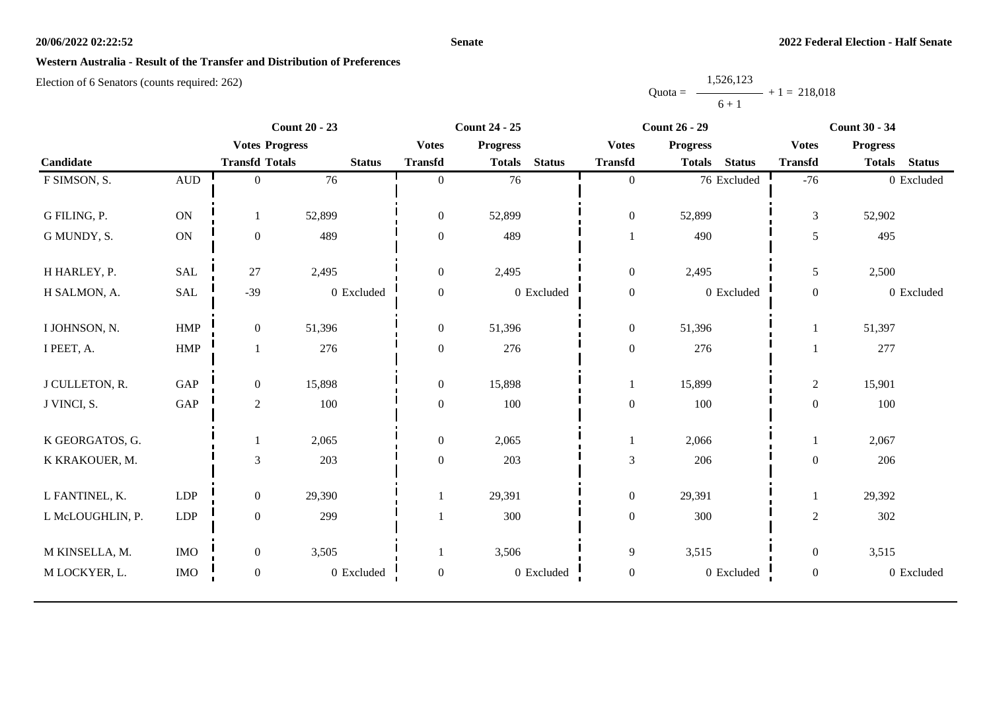#### **Senate**

### **Western Australia - Result of the Transfer and Distribution of Preferences**

|           | 1,526,123 |                |
|-----------|-----------|----------------|
| $Quota =$ |           | $+1 = 218.018$ |
|           | $6 + 1$   |                |

| <b>Count 20 - 23</b> |                      |                       | <b>Count 24 - 25</b> |                  |                 | <b>Count 26 - 29</b> |                  |                 | <b>Count 30 - 34</b> |                  |                 |               |
|----------------------|----------------------|-----------------------|----------------------|------------------|-----------------|----------------------|------------------|-----------------|----------------------|------------------|-----------------|---------------|
|                      |                      | <b>Votes Progress</b> |                      | <b>Votes</b>     | <b>Progress</b> |                      | <b>Votes</b>     | <b>Progress</b> |                      | <b>Votes</b>     | <b>Progress</b> |               |
| Candidate            |                      | <b>Transfd Totals</b> | <b>Status</b>        | <b>Transfd</b>   | <b>Totals</b>   | <b>Status</b>        | <b>Transfd</b>   | <b>Totals</b>   | <b>Status</b>        | <b>Transfd</b>   | <b>Totals</b>   | <b>Status</b> |
| F SIMSON, S.         | $\mbox{AUD}$         | $\overline{0}$        | 76                   | $\Omega$         | 76              |                      | $\overline{0}$   |                 | 76 Excluded          | $-76$            |                 | 0 Excluded    |
|                      |                      |                       |                      |                  |                 |                      |                  |                 |                      |                  |                 |               |
| G FILING, P.         | ON                   |                       | 52,899               | $\boldsymbol{0}$ | 52,899          |                      | $\boldsymbol{0}$ | 52,899          |                      | 3                | 52,902          |               |
| G MUNDY, S.          | ON                   | $\boldsymbol{0}$      | 489                  | $\boldsymbol{0}$ | 489             |                      | 1                | 490             |                      | 5                | 495             |               |
| H HARLEY, P.         | <b>SAL</b>           | 27                    | 2,495                | $\overline{0}$   | 2,495           |                      | $\boldsymbol{0}$ | 2,495           |                      | 5                | 2,500           |               |
| H SALMON, A.         | SAL                  | $-39$                 | 0 Excluded           | $\overline{0}$   |                 | 0 Excluded           | $\boldsymbol{0}$ |                 | 0 Excluded           | $\boldsymbol{0}$ |                 | 0 Excluded    |
| I JOHNSON, N.        | ${\rm HMP}$          | $\mathbf{0}$          | 51,396               | $\overline{0}$   | 51,396          |                      | $\boldsymbol{0}$ | 51,396          |                      | 1                | 51,397          |               |
| I PEET, A.           | ${\rm HMP}$          |                       | 276                  | $\overline{0}$   | 276             |                      | $\boldsymbol{0}$ | 276             |                      |                  | 277             |               |
| J CULLETON, R.       | GAP                  | $\mathbf{0}$          | 15,898               | $\mathbf{0}$     | 15,898          |                      | $\mathbf{1}$     | 15,899          |                      | $\mathbf{2}$     | 15,901          |               |
| J VINCI, S.          | $\operatorname{GAP}$ | $\sqrt{2}$            | 100                  | $\overline{0}$   | 100             |                      | $\boldsymbol{0}$ | 100             |                      | $\boldsymbol{0}$ | 100             |               |
| K GEORGATOS, G.      |                      |                       | 2,065                | $\overline{0}$   | 2,065           |                      | 1                | 2,066           |                      |                  | 2,067           |               |
| K KRAKOUER, M.       |                      | $\mathfrak{Z}$        | 203                  | $\mathbf{0}$     | 203             |                      | $\mathfrak{Z}$   | 206             |                      | $\boldsymbol{0}$ | 206             |               |
| L FANTINEL, K.       | <b>LDP</b>           | $\mathbf{0}$          | 29,390               |                  | 29,391          |                      | $\boldsymbol{0}$ | 29,391          |                      | 1                | 29,392          |               |
| L McLOUGHLIN, P.     | LDP                  | $\mathbf{0}$          | 299                  |                  | 300             |                      | $\boldsymbol{0}$ | 300             |                      | $\overline{2}$   | 302             |               |
| M KINSELLA, M.       | $\rm{IMO}$           | $\boldsymbol{0}$      | 3,505                |                  | 3,506           |                      | 9                | 3,515           |                      | $\boldsymbol{0}$ | 3,515           |               |
| M LOCKYER, L.        | $\rm{IMO}$           | $\boldsymbol{0}$      | 0 Excluded           | $\boldsymbol{0}$ |                 | $0\,$ Excluded       | $\boldsymbol{0}$ |                 | 0 Excluded           | $\boldsymbol{0}$ |                 | 0 Excluded    |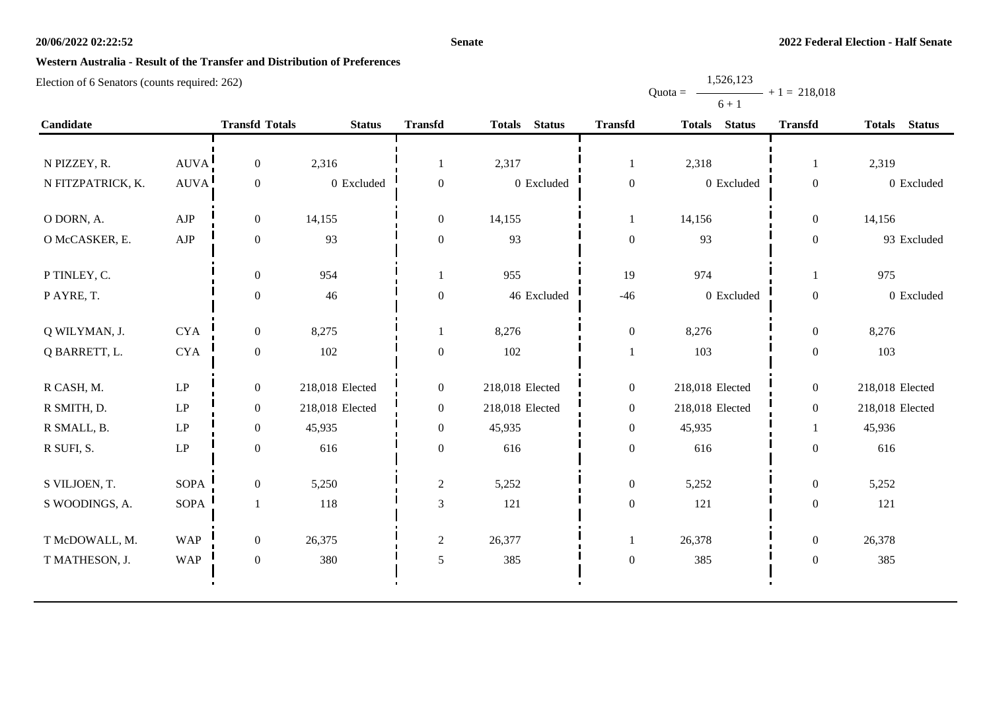#### **Senate**

# **Western Australia - Result of the Transfer and Distribution of Preferences**

Election of 6 Senators (counts required: 262)

|                   |                        |                       |                 |                  |                 |                  | $0 + 1$         |                  |                 |
|-------------------|------------------------|-----------------------|-----------------|------------------|-----------------|------------------|-----------------|------------------|-----------------|
| Candidate         |                        | <b>Transfd Totals</b> | <b>Status</b>   | <b>Transfd</b>   | Totals Status   | <b>Transfd</b>   | Totals Status   | <b>Transfd</b>   | Totals Status   |
|                   |                        |                       |                 |                  |                 |                  |                 |                  |                 |
| N PIZZEY, R.      | AUVA!                  | $\boldsymbol{0}$      | 2,316           |                  | 2,317           | 1                | 2,318           | 1                | 2,319           |
| N FITZPATRICK, K. | <b>AUVA</b>            | $\boldsymbol{0}$      | 0 Excluded      | $\boldsymbol{0}$ | $0\,$ Excluded  | $\boldsymbol{0}$ | 0 Excluded      | $\boldsymbol{0}$ | 0 Excluded      |
| O DORN, A.        | ${\rm AJP}$            | $\overline{0}$        | 14,155          | $\overline{0}$   | 14,155          |                  | 14,156          | $\boldsymbol{0}$ | 14,156          |
| O McCASKER, E.    | ${\rm AJP}$            | $\boldsymbol{0}$      | 93              | $\boldsymbol{0}$ | 93              | $\boldsymbol{0}$ | 93              | $\boldsymbol{0}$ | 93 Excluded     |
| P TINLEY, C.      |                        | $\boldsymbol{0}$      | 954             |                  | 955             | 19               | 974             | $\mathbf{1}$     | 975             |
| P AYRE, T.        |                        | $\mathbf{0}$          | 46              | $\boldsymbol{0}$ | 46 Excluded     | $-46$            | 0 Excluded      | $\boldsymbol{0}$ | 0 Excluded      |
| Q WILYMAN, J.     | <b>CYA</b>             | $\overline{0}$        | 8,275           |                  | 8,276           | $\boldsymbol{0}$ | 8,276           | $\overline{0}$   | 8,276           |
| Q BARRETT, L.     | <b>CYA</b>             | $\boldsymbol{0}$      | 102             | $\boldsymbol{0}$ | 102             | $\mathbf{1}$     | 103             | $\boldsymbol{0}$ | 103             |
| R CASH, M.        | LP                     | $\overline{0}$        | 218,018 Elected | $\overline{0}$   | 218,018 Elected | $\boldsymbol{0}$ | 218,018 Elected | $\boldsymbol{0}$ | 218,018 Elected |
|                   |                        |                       |                 |                  |                 |                  |                 |                  |                 |
| R SMITH, D.       | $\mathbf{L}\mathbf{P}$ | $\boldsymbol{0}$      | 218,018 Elected | $\overline{0}$   | 218,018 Elected | $\boldsymbol{0}$ | 218,018 Elected | $\boldsymbol{0}$ | 218,018 Elected |
| R SMALL, B.       | LP                     | $\overline{0}$        | 45,935          | $\Omega$         | 45,935          | $\boldsymbol{0}$ | 45,935          | 1                | 45,936          |
| R SUFI, S.        | LP                     | $\boldsymbol{0}$      | 616             | $\mathbf{0}$     | 616             | $\boldsymbol{0}$ | 616             | $\boldsymbol{0}$ | 616             |
| S VILJOEN, T.     | <b>SOPA</b>            | $\mathbf{0}$          | 5,250           | $\sqrt{2}$       | 5,252           | $\boldsymbol{0}$ | 5,252           | $\boldsymbol{0}$ | 5,252           |
| S WOODINGS, A.    | SOPA                   |                       | 118             | $\mathfrak{Z}$   | 121             | $\boldsymbol{0}$ | 121             | $\boldsymbol{0}$ | 121             |
| T McDOWALL, M.    | <b>WAP</b>             | $\boldsymbol{0}$      | 26,375          | $\overline{2}$   | 26,377          | 1                | 26,378          | $\boldsymbol{0}$ | 26,378          |
| T MATHESON, J.    | <b>WAP</b>             | $\boldsymbol{0}$      | 380             | 5                | 385             | $\boldsymbol{0}$ | 385             | $\mathbf{0}$     | 385             |
|                   |                        |                       |                 |                  |                 |                  |                 |                  |                 |

Quota = 1,526,123  $6 + 1$  $+ 1 = 218,018$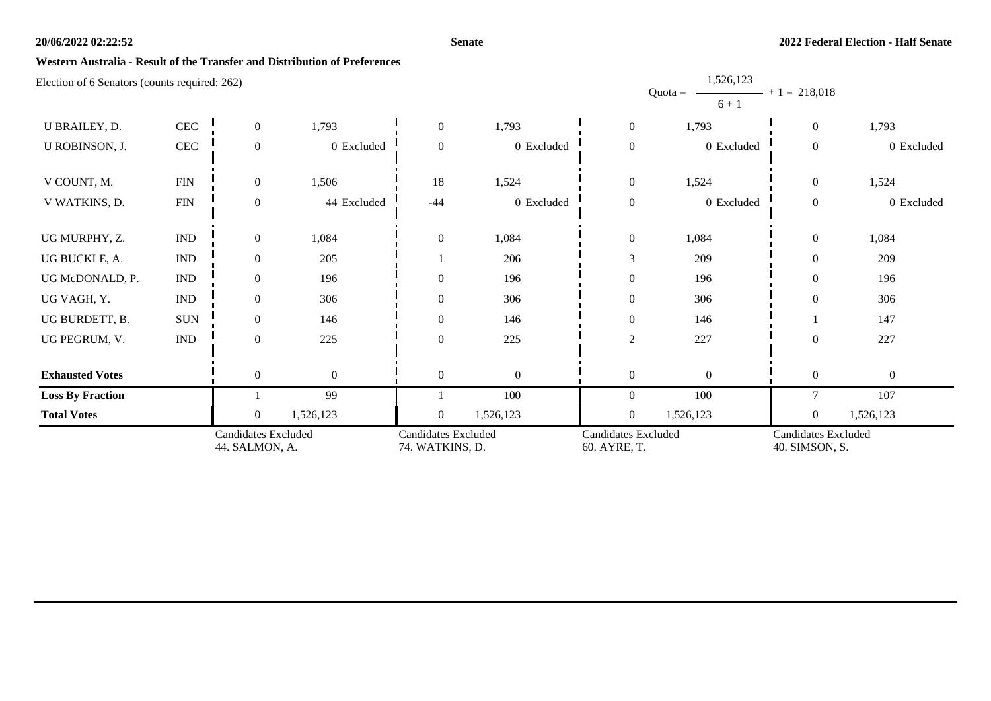#### **Senate**

1,526,123

## **Western Australia - Result of the Transfer and Distribution of Preferences**

|                                               |                             | <b>Candidates Excluded</b><br>44. SALMON, A. |              | Candidates Excluded<br>74. WATKINS, D. |              | <b>Candidates Excluded</b><br>60. AYRE, T. |                                   | <b>Candidates Excluded</b><br>40. SIMSON, S. |                |
|-----------------------------------------------|-----------------------------|----------------------------------------------|--------------|----------------------------------------|--------------|--------------------------------------------|-----------------------------------|----------------------------------------------|----------------|
| <b>Total Votes</b>                            |                             | $\overline{0}$                               | 1,526,123    | $\overline{0}$                         | 1,526,123    | $\overline{0}$                             | 1,526,123                         | $\overline{0}$                               | 1,526,123      |
| <b>Loss By Fraction</b>                       |                             |                                              | 99           |                                        | 100          | $\Omega$                                   | 100                               | $\tau$                                       | 107            |
| <b>Exhausted Votes</b>                        |                             | $\overline{0}$                               | $\mathbf{0}$ | $\theta$                               | $\mathbf{0}$ | $\mathbf{0}$                               | $\Omega$                          | $\overline{0}$                               | $\overline{0}$ |
| UG PEGRUM, V.                                 | $\mathop{\rm IND}\nolimits$ | $\boldsymbol{0}$                             | 225          | $\Omega$                               | 225          | 2                                          | 227                               | $\overline{0}$                               | 227            |
| UG BURDETT, B.                                | <b>SUN</b>                  | $\overline{0}$                               | 146          | $\Omega$                               | 146          | $\overline{0}$                             | 146                               |                                              | 147            |
| UG VAGH, Y.                                   | <b>IND</b>                  | $\overline{0}$                               | 306          | 0                                      | 306          | $\overline{0}$                             | 306                               | $\overline{0}$                               | 306            |
| UG McDONALD, P.                               | $\mathop{\rm IND}\nolimits$ | $\overline{0}$                               | 196          | $\Omega$                               | 196          | $\boldsymbol{0}$                           | 196                               | $\theta$                                     | 196            |
| UG BUCKLE, A.                                 | $\ensuremath{\text{IND}}$   | $\overline{0}$                               | 205          |                                        | 206          | 3                                          | 209                               | $\theta$                                     | 209            |
| UG MURPHY, Z.                                 | $\ensuremath{\mathsf{IND}}$ | $\overline{0}$                               | 1,084        | $\theta$                               | 1,084        | $\boldsymbol{0}$                           | 1,084                             | $\overline{0}$                               | 1,084          |
| V WATKINS, D.                                 | ${\rm FIN}$                 | $\overline{0}$                               | 44 Excluded  | $-44$                                  | 0 Excluded   | $\boldsymbol{0}$                           | 0 Excluded                        | $\boldsymbol{0}$                             | 0 Excluded     |
| V COUNT, M.                                   | ${\rm FIN}$                 | $\overline{0}$                               | 1,506        | 18                                     | 1,524        | $\mathbf{0}$                               | 1,524                             | $\boldsymbol{0}$                             | 1,524          |
| U ROBINSON, J.                                | $\rm CEC$                   | $\overline{0}$                               | 0 Excluded   | $\Omega$                               | 0 Excluded   | $\boldsymbol{0}$                           | 0 Excluded                        | $\boldsymbol{0}$                             | 0 Excluded     |
| U BRAILEY, D.                                 | $\mbox{CEC}$                | $\overline{0}$                               | 1,793        | $\overline{0}$                         | 1,793        | $\mathbf{0}$                               | 1,793                             | $\overline{0}$                               | 1,793          |
| Election of 6 Senators (counts required: 262) |                             |                                              |              |                                        |              |                                            | 1,320,123<br>$Quota =$<br>$6 + 1$ | $- + 1 = 218,018$                            |                |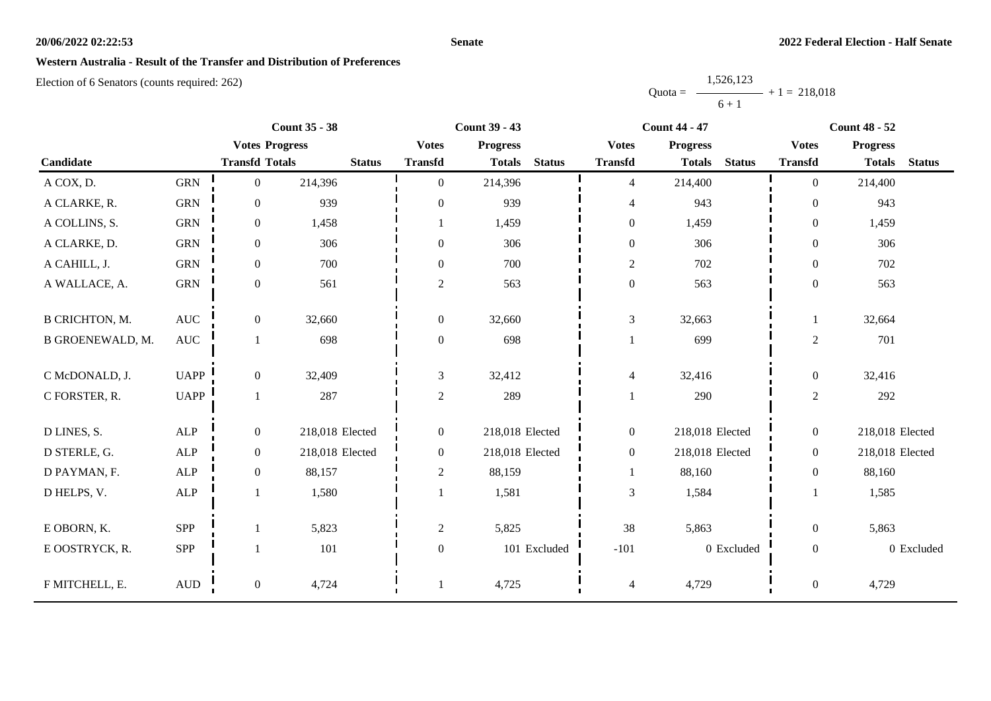#### **Senate**

### **Western Australia - Result of the Transfer and Distribution of Preferences**

|           | 1,526,123 |                |
|-----------|-----------|----------------|
| $Quota =$ |           | $+1 = 218,018$ |
|           | $6 + 1$   |                |

|                         |                      | <b>Count 35 - 38</b>  |                 |                  | <b>Count 39 - 43</b> |               |                  | <b>Count 44 - 47</b> |               | <b>Count 48 - 52</b> |                 |               |
|-------------------------|----------------------|-----------------------|-----------------|------------------|----------------------|---------------|------------------|----------------------|---------------|----------------------|-----------------|---------------|
|                         |                      | <b>Votes Progress</b> |                 | <b>Votes</b>     | <b>Progress</b>      |               | <b>Votes</b>     | <b>Progress</b>      |               | <b>Votes</b>         | <b>Progress</b> |               |
| Candidate               |                      | <b>Transfd Totals</b> | <b>Status</b>   | <b>Transfd</b>   | <b>Totals</b>        | <b>Status</b> | <b>Transfd</b>   | <b>Totals</b>        | <b>Status</b> | <b>Transfd</b>       | <b>Totals</b>   | <b>Status</b> |
| A COX, D.               | <b>GRN</b>           | $\boldsymbol{0}$      | 214,396         | $\theta$         | 214,396              |               | $\overline{4}$   | 214,400              |               | $\Omega$             | 214,400         |               |
| A CLARKE, R.            | <b>GRN</b>           | $\overline{0}$        | 939             | $\overline{0}$   | 939                  |               | 4                | 943                  |               | $\overline{0}$       | 943             |               |
| A COLLINS, S.           | <b>GRN</b>           | $\boldsymbol{0}$      | 1,458           |                  | 1,459                |               | $\boldsymbol{0}$ | 1,459                |               | $\overline{0}$       | 1,459           |               |
| A CLARKE, D.            | <b>GRN</b>           | $\boldsymbol{0}$      | 306             | $\overline{0}$   | 306                  |               | $\boldsymbol{0}$ | 306                  |               | $\overline{0}$       | 306             |               |
| A CAHILL, J.            | <b>GRN</b>           | $\boldsymbol{0}$      | 700             | $\overline{0}$   | 700                  |               | $\overline{c}$   | 702                  |               | $\Omega$             | 702             |               |
| A WALLACE, A.           | <b>GRN</b>           | $\boldsymbol{0}$      | 561             | $\overline{c}$   | 563                  |               | $\boldsymbol{0}$ | 563                  |               | $\overline{0}$       | 563             |               |
| <b>B CRICHTON, M.</b>   | $\operatorname{AUC}$ | $\boldsymbol{0}$      | 32,660          | $\boldsymbol{0}$ | 32,660               |               | 3                | 32,663               |               |                      | 32,664          |               |
| <b>B GROENEWALD, M.</b> | $\operatorname{AUC}$ | 1                     | 698             | $\boldsymbol{0}$ | 698                  |               |                  | 699                  |               | $\overline{c}$       | 701             |               |
| C McDONALD, J.          | <b>UAPP</b>          | $\boldsymbol{0}$      | 32,409          | 3                | 32,412               |               | $\overline{4}$   | 32,416               |               | $\overline{0}$       | 32,416          |               |
| C FORSTER, R.           | <b>UAPP</b>          | 1                     | 287             | $\overline{2}$   | 289                  |               |                  | 290                  |               | $\overline{2}$       | 292             |               |
| D LINES, S.             | ALP                  | $\boldsymbol{0}$      | 218,018 Elected | $\overline{0}$   | 218,018 Elected      |               | $\boldsymbol{0}$ | 218,018 Elected      |               | $\overline{0}$       | 218,018 Elected |               |
| D STERLE, G.            | ${\sf ALP}$          | $\boldsymbol{0}$      | 218,018 Elected | $\overline{0}$   | 218,018 Elected      |               | $\boldsymbol{0}$ | 218,018 Elected      |               | $\overline{0}$       | 218,018 Elected |               |
| D PAYMAN, F.            | ALP                  | $\mathbf{0}$          | 88,157          | $\overline{c}$   | 88,159               |               | $\mathbf{1}$     | 88,160               |               | $\overline{0}$       | 88,160          |               |
| D HELPS, V.             | ALP                  |                       | 1,580           |                  | 1,581                |               | 3                | 1,584                |               |                      | 1,585           |               |
| E OBORN, K.             | SPP                  |                       | 5,823           | $\boldsymbol{2}$ | 5,825                |               | 38               | 5,863                |               | $\overline{0}$       | 5,863           |               |
| E OOSTRYCK, R.          | SPP                  |                       | 101             | $\boldsymbol{0}$ |                      | 101 Excluded  | $-101$           |                      | 0 Excluded    | $\overline{0}$       |                 | 0 Excluded    |
| F MITCHELL, E.          | $\mbox{AUD}$         | $\boldsymbol{0}$      | 4,724           |                  | 4,725                |               | 4                | 4,729                |               | $\boldsymbol{0}$     | 4,729           |               |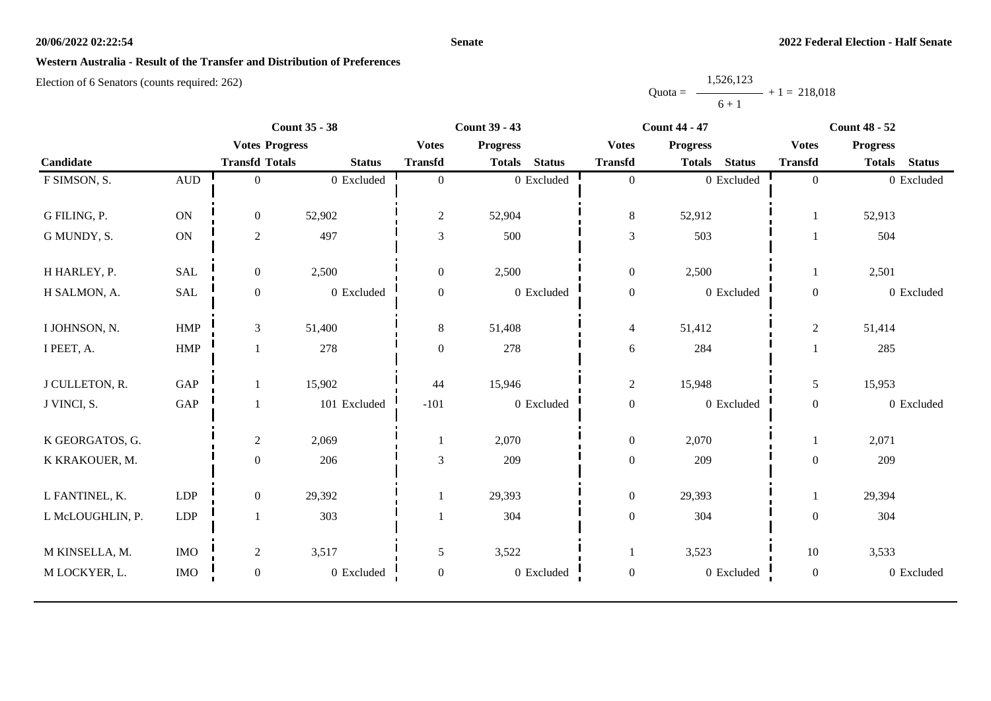#### **Senate**

### **Western Australia - Result of the Transfer and Distribution of Preferences**

|           | 1,526,123 |                |
|-----------|-----------|----------------|
| $Quota =$ |           | $+1 = 218,018$ |
|           | $6 + 1$   |                |

| <b>Count 35 - 38</b> |                      |                       |               | <b>Count 39 - 43</b> |                 |                | <b>Count 44 - 47</b> |                 |               | <b>Count 48 - 52</b> |                 |               |
|----------------------|----------------------|-----------------------|---------------|----------------------|-----------------|----------------|----------------------|-----------------|---------------|----------------------|-----------------|---------------|
|                      |                      | <b>Votes Progress</b> |               | <b>Votes</b>         | <b>Progress</b> |                | <b>Votes</b>         | <b>Progress</b> |               | <b>Votes</b>         | <b>Progress</b> |               |
| Candidate            |                      | <b>Transfd Totals</b> | <b>Status</b> | <b>Transfd</b>       | <b>Totals</b>   | <b>Status</b>  | <b>Transfd</b>       | <b>Totals</b>   | <b>Status</b> | <b>Transfd</b>       | <b>Totals</b>   | <b>Status</b> |
| F SIMSON, S.         | $\mbox{AUD}$         | $\overline{0}$        | 0 Excluded    | $\mathbf{0}$         |                 | 0 Excluded     | $\overline{0}$       |                 | 0 Excluded    | $\overline{0}$       |                 | 0 Excluded    |
|                      |                      |                       |               |                      |                 |                |                      |                 |               |                      |                 |               |
| G FILING, P.         | $\rm ON$             | $\overline{0}$        | 52,902        | $\overline{c}$       | 52,904          |                | $8\,$                | 52,912          |               |                      | 52,913          |               |
| G MUNDY, S.          | ON                   | $\overline{2}$        | 497           | 3                    | 500             |                | $\mathfrak{Z}$       | 503             |               |                      | 504             |               |
| H HARLEY, P.         | <b>SAL</b>           | $\overline{0}$        | 2,500         | $\overline{0}$       | 2,500           |                | $\mathbf{0}$         | 2,500           |               |                      | 2,501           |               |
| H SALMON, A.         | $\operatorname{SAL}$ | $\mathbf{0}$          | 0 Excluded    | $\mathbf{0}$         |                 | 0 Excluded     | $\boldsymbol{0}$     |                 | 0 Excluded    | $\overline{0}$       |                 | 0 Excluded    |
| I JOHNSON, N.        | HMP                  | 3                     | 51,400        | 8                    | 51,408          |                | $\overline{4}$       | 51,412          |               | $\overline{c}$       | 51,414          |               |
| I PEET, A.           | HMP                  |                       | 278           | $\boldsymbol{0}$     | 278             |                | $\sqrt{6}$           | 284             |               |                      | 285             |               |
| J CULLETON, R.       | GAP                  |                       | 15,902        | 44                   | 15,946          |                | $\overline{c}$       | 15,948          |               | 5                    | 15,953          |               |
| J VINCI, S.          | GAP                  |                       | 101 Excluded  | $-101$               |                 | 0 Excluded     | $\boldsymbol{0}$     |                 | 0 Excluded    | $\boldsymbol{0}$     |                 | 0 Excluded    |
| K GEORGATOS, G.      |                      | $\overline{2}$        | 2,069         |                      | 2,070           |                | $\boldsymbol{0}$     | 2,070           |               |                      | 2,071           |               |
| K KRAKOUER, M.       |                      | $\mathbf{0}$          | 206           | 3                    | 209             |                | $\boldsymbol{0}$     | 209             |               | $\boldsymbol{0}$     | 209             |               |
| L FANTINEL, K.       | ${\rm LDP}$          | $\overline{0}$        | 29,392        |                      | 29,393          |                | $\boldsymbol{0}$     | 29,393          |               |                      | 29,394          |               |
| L McLOUGHLIN, P.     | ${\rm LDP}$          |                       | 303           |                      | 304             |                | $\boldsymbol{0}$     | 304             |               | $\overline{0}$       | 304             |               |
| M KINSELLA, M.       | <b>IMO</b>           | $\overline{2}$        | 3,517         | 5                    | 3,522           |                |                      | 3,523           |               | 10                   | 3,533           |               |
| M LOCKYER, L.        | <b>IMO</b>           | $\boldsymbol{0}$      | 0 Excluded    | $\boldsymbol{0}$     |                 | $0\,$ Excluded | $\boldsymbol{0}$     |                 | 0 Excluded    | $\boldsymbol{0}$     |                 | 0 Excluded    |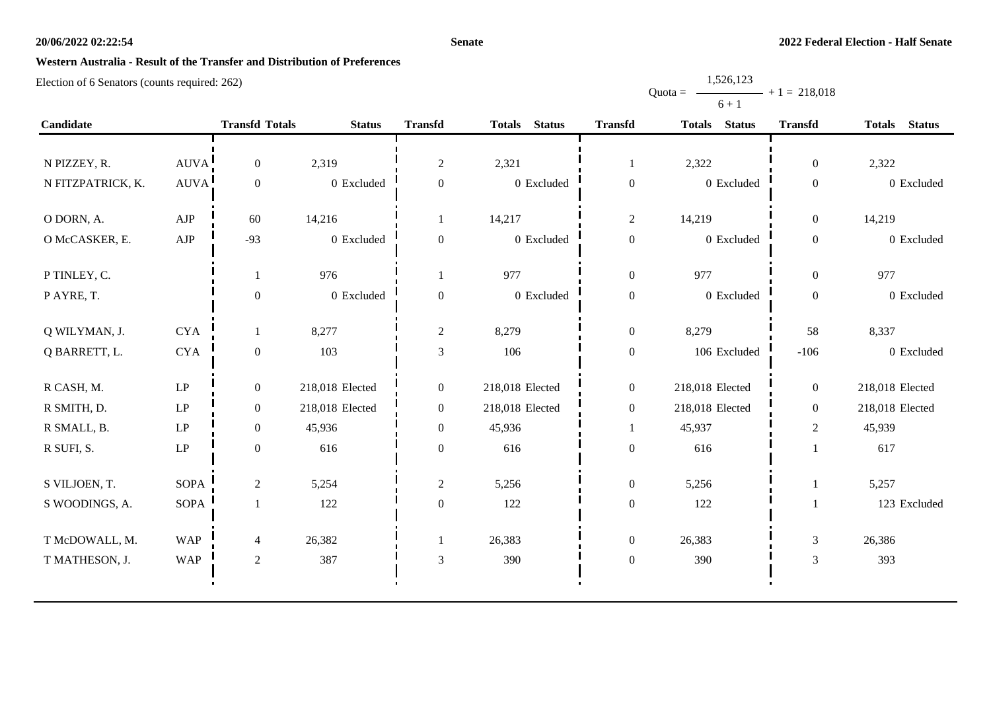#### **Senate**

Quota =

1,526,123

 $+ 1 = 218,018$ 

# **Western Australia - Result of the Transfer and Distribution of Preferences**

|                   |             |                       |                 |                  |                 |                  | $6 + 1$         |                  |                 |
|-------------------|-------------|-----------------------|-----------------|------------------|-----------------|------------------|-----------------|------------------|-----------------|
| Candidate         |             | <b>Transfd Totals</b> | <b>Status</b>   | <b>Transfd</b>   | Totals Status   | <b>Transfd</b>   | Totals Status   | <b>Transfd</b>   | Totals Status   |
|                   |             |                       |                 |                  |                 |                  |                 |                  |                 |
| N PIZZEY, R.      | AUVA        | $\mathbf{0}$          | 2,319           | $\overline{2}$   | 2,321           | 1                | 2,322           | $\overline{0}$   | 2,322           |
| N FITZPATRICK, K. | <b>AUVA</b> | $\boldsymbol{0}$      | 0 Excluded      | $\boldsymbol{0}$ | 0 Excluded      | $\boldsymbol{0}$ | 0 Excluded      | $\boldsymbol{0}$ | 0 Excluded      |
| O DORN, A.        | AJP         | 60                    | 14,216          | 1                | 14,217          | $\sqrt{2}$       | 14,219          | $\boldsymbol{0}$ | 14,219          |
| O McCASKER, E.    | ${\rm AJP}$ | $-93$                 | 0 Excluded      | $\overline{0}$   | 0 Excluded      | $\boldsymbol{0}$ | 0 Excluded      | $\boldsymbol{0}$ | 0 Excluded      |
| P TINLEY, C.      |             | 1                     | 976             | 1                | 977             | $\boldsymbol{0}$ | 977             | $\overline{0}$   | 977             |
| PAYRE, T.         |             | $\boldsymbol{0}$      | 0 Excluded      | $\overline{0}$   | $0\,$ Excluded  | $\boldsymbol{0}$ | 0 Excluded      | $\boldsymbol{0}$ | 0 Excluded      |
| Q WILYMAN, J.     | <b>CYA</b>  | $\mathbf{1}$          | 8,277           | $\overline{c}$   | 8,279           | $\boldsymbol{0}$ | 8,279           | 58               | 8,337           |
| Q BARRETT, L.     | <b>CYA</b>  | $\boldsymbol{0}$      | 103             | $\mathfrak{Z}$   | 106             | $\boldsymbol{0}$ | 106 Excluded    | $-106$           | 0 Excluded      |
| R CASH, M.        | LP          | $\overline{0}$        | 218,018 Elected | $\overline{0}$   | 218,018 Elected | $\boldsymbol{0}$ | 218,018 Elected | $\overline{0}$   | 218,018 Elected |
| R SMITH, D.       | LP          | $\boldsymbol{0}$      | 218,018 Elected | $\overline{0}$   | 218,018 Elected | $\boldsymbol{0}$ | 218,018 Elected | $\boldsymbol{0}$ | 218,018 Elected |
| R SMALL, B.       | LP          | $\boldsymbol{0}$      | 45,936          | $\boldsymbol{0}$ | 45,936          | $\mathbf{1}$     | 45,937          | $\mathbf{2}$     | 45,939          |
| R SUFI, S.        | LP          | $\boldsymbol{0}$      | 616             | $\mathbf{0}$     | 616             | $\boldsymbol{0}$ | 616             | $\mathbf{1}$     | 617             |
| S VILJOEN, T.     | <b>SOPA</b> | $\overline{c}$        | 5,254           | $\sqrt{2}$       | 5,256           | $\boldsymbol{0}$ | 5,256           | $\mathbf 1$      | 5,257           |
| S WOODINGS, A.    | <b>SOPA</b> | $\mathbf{1}$          | 122             | $\overline{0}$   | 122             | $\boldsymbol{0}$ | 122             | $\mathbf{1}$     | 123 Excluded    |
| T McDOWALL, M.    | <b>WAP</b>  | 4                     | 26,382          | 1                | 26,383          | $\boldsymbol{0}$ | 26,383          | $\mathfrak{Z}$   | 26,386          |
| T MATHESON, J.    | <b>WAP</b>  | $\sqrt{2}$            | 387             | $\mathfrak{Z}$   | 390             | $\boldsymbol{0}$ | 390             | $\mathfrak{Z}$   | 393             |
|                   |             |                       |                 |                  |                 |                  |                 |                  |                 |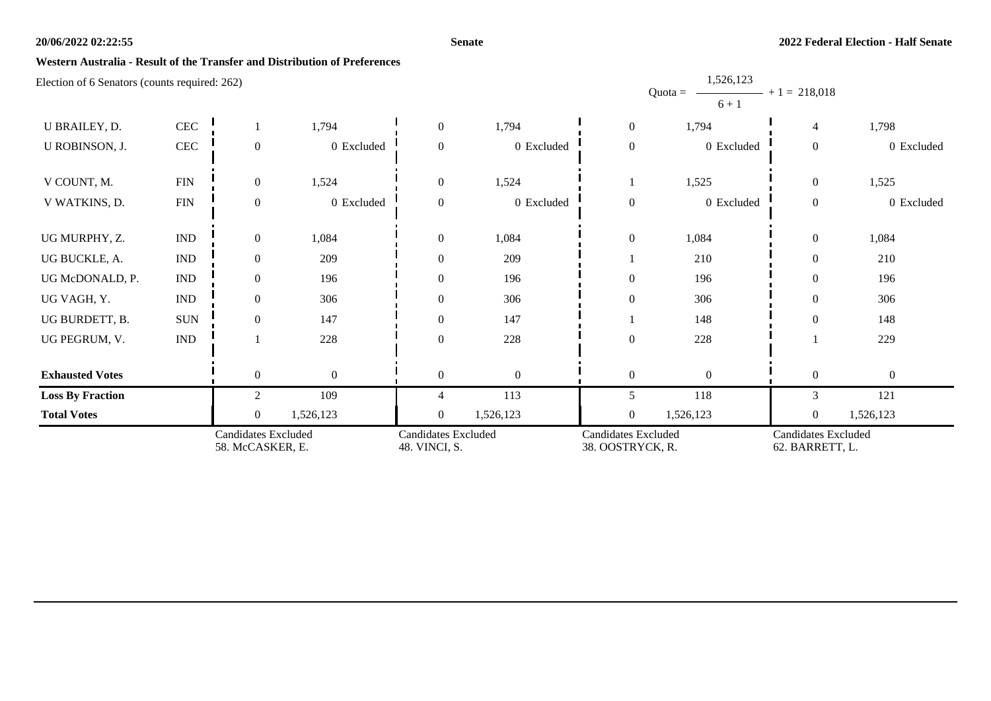#### **Senate**

1,526,123

### **Western Australia - Result of the Transfer and Distribution of Preferences**

|                                                           |                             | <b>Candidates Excluded</b><br>58. McCASKER, E. |                | <b>Candidates Excluded</b><br>48. VINCI, S. |              | <b>Candidates Excluded</b><br>38. OOSTRYCK, R. |                                     | <b>Candidates Excluded</b><br>62. BARRETT, L. |                |
|-----------------------------------------------------------|-----------------------------|------------------------------------------------|----------------|---------------------------------------------|--------------|------------------------------------------------|-------------------------------------|-----------------------------------------------|----------------|
| <b>Total Votes</b>                                        |                             | $\overline{0}$                                 | 1,526,123      | $\overline{0}$                              | 1,526,123    | $\overline{0}$                                 | 1,526,123                           | $\overline{0}$                                | 1,526,123      |
| <b>Loss By Fraction</b>                                   |                             | $\overline{c}$                                 | 109            | 4                                           | 113          | 5                                              | 118                                 | 3                                             | 121            |
| <b>Exhausted Votes</b>                                    |                             | $\overline{0}$                                 | $\overline{0}$ | $\theta$                                    | $\mathbf{0}$ | $\overline{0}$                                 | $\Omega$                            | $\mathbf{0}$                                  | $\overline{0}$ |
| UG PEGRUM, V.                                             | <b>IND</b>                  |                                                | 228            | $\Omega$                                    | 228          | $\mathbf{0}$                                   | 228                                 |                                               | 229            |
|                                                           |                             |                                                |                |                                             |              |                                                |                                     |                                               |                |
| UG BURDETT, B.                                            | <b>SUN</b>                  | $\Omega$                                       | 147            | $\Omega$                                    | 147          |                                                | 148                                 | $\theta$                                      | 148            |
| UG VAGH, Y.                                               | <b>IND</b>                  | $\overline{0}$                                 | 306            | $\Omega$                                    | 306          | $\mathbf{0}$                                   | 306                                 | $\overline{0}$                                | 306            |
| UG McDONALD, P.                                           | <b>IND</b>                  | $\overline{0}$                                 | 196            | $\Omega$                                    | 196          | $\mathbf{0}$                                   | 196                                 | $\theta$                                      | 196            |
| UG BUCKLE, A.                                             | IND                         | $\overline{0}$                                 | 209            | $\Omega$                                    | 209          |                                                | 210                                 | $\theta$                                      | 210            |
| UG MURPHY, Z.                                             | $\mathop{\rm IND}\nolimits$ | $\overline{0}$                                 | 1,084          | $\overline{0}$                              | 1,084        | $\mathbf{0}$                                   | 1,084                               | $\overline{0}$                                | 1,084          |
| V WATKINS, D.                                             | ${\rm FIN}$                 | $\overline{0}$                                 | 0 Excluded     | $\overline{0}$                              | 0 Excluded   | $\overline{0}$                                 | 0 Excluded                          | $\boldsymbol{0}$                              | 0 Excluded     |
| V COUNT, M.                                               | ${\rm FIN}$                 | $\overline{0}$                                 | 1,524          | $\theta$                                    | 1,524        |                                                | 1,525                               | $\boldsymbol{0}$                              | 1,525          |
| U ROBINSON, J.                                            | CEC                         | $\overline{0}$                                 | 0 Excluded     | $\Omega$                                    | 0 Excluded   | $\boldsymbol{0}$                               | 0 Excluded                          | $\boldsymbol{0}$                              | 0 Excluded     |
| U BRAILEY, D.                                             | CEC                         |                                                | 1,794          | $\theta$                                    | 1,794        | $\mathbf{0}$                                   | 1,794                               | $\overline{4}$                                | 1,798          |
| $E_{\rm E}$ Electron of 0 Senators (counts required. 202) |                             |                                                |                |                                             |              |                                                | 1,020,120<br>Quota = $-$<br>$6 + 1$ | $- + 1 = 218,018$                             |                |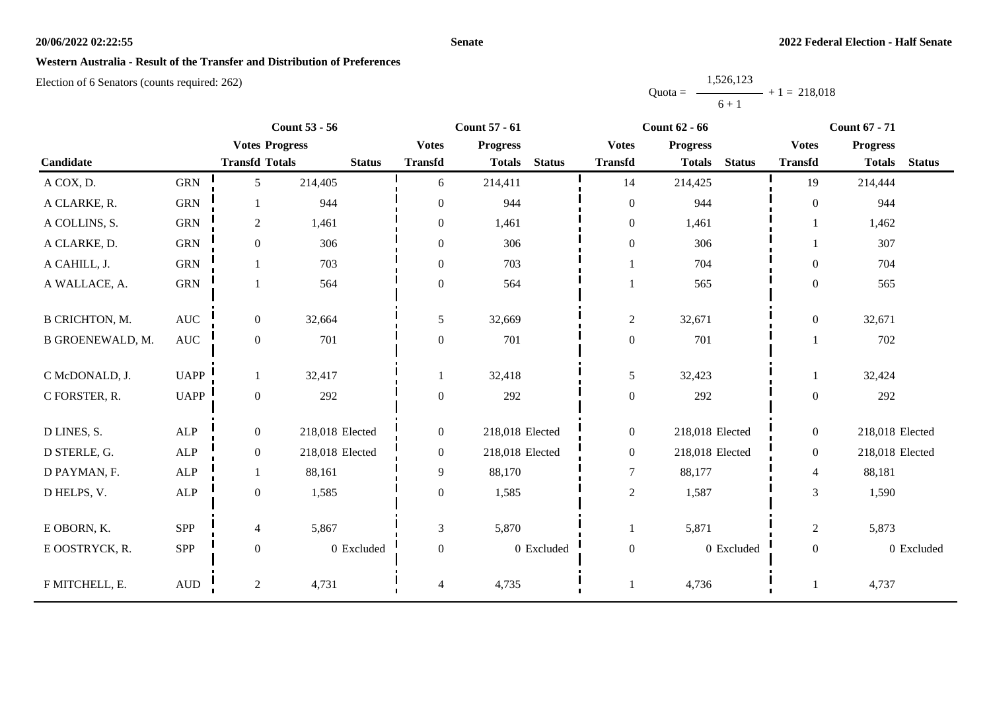#### **Senate**

### **Western Australia - Result of the Transfer and Distribution of Preferences**

|           | 1,526,123 |                |
|-----------|-----------|----------------|
| $Quota =$ |           | $+1 = 218,018$ |
|           | $6 + 1$   |                |

|                         | <b>Count 53 - 56</b> |                       | <b>Count 57 - 61</b> |                  | <b>Count 62 - 66</b> |               |                  | <b>Count 67 - 71</b> |               |                  |                 |               |
|-------------------------|----------------------|-----------------------|----------------------|------------------|----------------------|---------------|------------------|----------------------|---------------|------------------|-----------------|---------------|
|                         |                      | <b>Votes Progress</b> |                      | <b>Votes</b>     | <b>Progress</b>      |               | <b>Votes</b>     | <b>Progress</b>      |               | <b>Votes</b>     | <b>Progress</b> |               |
| Candidate               |                      | <b>Transfd Totals</b> | <b>Status</b>        | <b>Transfd</b>   | <b>Totals</b>        | <b>Status</b> | <b>Transfd</b>   | <b>Totals</b>        | <b>Status</b> | <b>Transfd</b>   | <b>Totals</b>   | <b>Status</b> |
| A COX, D.               | <b>GRN</b>           | 5                     | 214,405              | 6                | 214,411              |               | 14               | 214,425              |               | 19               | 214,444         |               |
| A CLARKE, R.            | <b>GRN</b>           |                       | 944                  | $\mathbf{0}$     | 944                  |               | $\mathbf{0}$     | 944                  |               | $\theta$         | 944             |               |
| A COLLINS, S.           | <b>GRN</b>           | $\overline{2}$        | 1,461                | $\overline{0}$   | 1,461                |               | $\boldsymbol{0}$ | 1,461                |               |                  | 1,462           |               |
| A CLARKE, D.            | <b>GRN</b>           | $\mathbf{0}$          | 306                  | $\mathbf{0}$     | 306                  |               | $\boldsymbol{0}$ | 306                  |               |                  | 307             |               |
| A CAHILL, J.            | <b>GRN</b>           |                       | 703                  | $\mathbf{0}$     | 703                  |               |                  | 704                  |               | $\overline{0}$   | 704             |               |
| A WALLACE, A.           | ${\rm GRN}$          |                       | 564                  | $\boldsymbol{0}$ | 564                  |               |                  | 565                  |               | $\boldsymbol{0}$ | 565             |               |
| <b>B CRICHTON, M.</b>   | $\operatorname{AUC}$ | $\boldsymbol{0}$      | 32,664               | 5                | 32,669               |               | $\overline{c}$   | 32,671               |               | $\overline{0}$   | 32,671          |               |
| <b>B GROENEWALD, M.</b> | <b>AUC</b>           | $\boldsymbol{0}$      | 701                  | $\boldsymbol{0}$ | 701                  |               | $\boldsymbol{0}$ | 701                  |               |                  | 702             |               |
| C McDONALD, J.          | <b>UAPP</b>          | 1                     | 32,417               | 1                | 32,418               |               | 5                | 32,423               |               |                  | 32,424          |               |
| C FORSTER, R.           | <b>UAPP</b>          | $\boldsymbol{0}$      | 292                  | $\mathbf{0}$     | 292                  |               | $\boldsymbol{0}$ | 292                  |               | $\boldsymbol{0}$ | 292             |               |
| D LINES, S.             | ALP                  | $\boldsymbol{0}$      | 218,018 Elected      | $\overline{0}$   | 218,018 Elected      |               | $\boldsymbol{0}$ | 218,018 Elected      |               | $\overline{0}$   | 218,018 Elected |               |
| D STERLE, G.            | ALP                  | $\overline{0}$        | 218,018 Elected      | $\overline{0}$   | 218,018 Elected      |               | $\boldsymbol{0}$ | 218,018 Elected      |               | $\overline{0}$   | 218,018 Elected |               |
| D PAYMAN, F.            | ALP                  | 1                     | 88,161               | 9                | 88,170               |               | $\tau$           | 88,177               |               | $\overline{4}$   | 88,181          |               |
| D HELPS, V.             | ALP                  | $\boldsymbol{0}$      | 1,585                | $\boldsymbol{0}$ | 1,585                |               | $\sqrt{2}$       | 1,587                |               | 3                | 1,590           |               |
| E OBORN, K.             | SPP                  | $\overline{4}$        | 5,867                | 3                | 5,870                |               |                  | 5,871                |               | $\overline{c}$   | 5,873           |               |
| E OOSTRYCK, R.          | SPP                  | $\boldsymbol{0}$      | 0 Excluded           | $\boldsymbol{0}$ |                      | 0 Excluded    | $\boldsymbol{0}$ |                      | 0 Excluded    | $\boldsymbol{0}$ |                 | 0 Excluded    |
| F MITCHELL, E.          | $\mbox{AUD}$         | 2                     | 4,731                | 4                | 4,735                |               |                  | 4,736                |               |                  | 4,737           |               |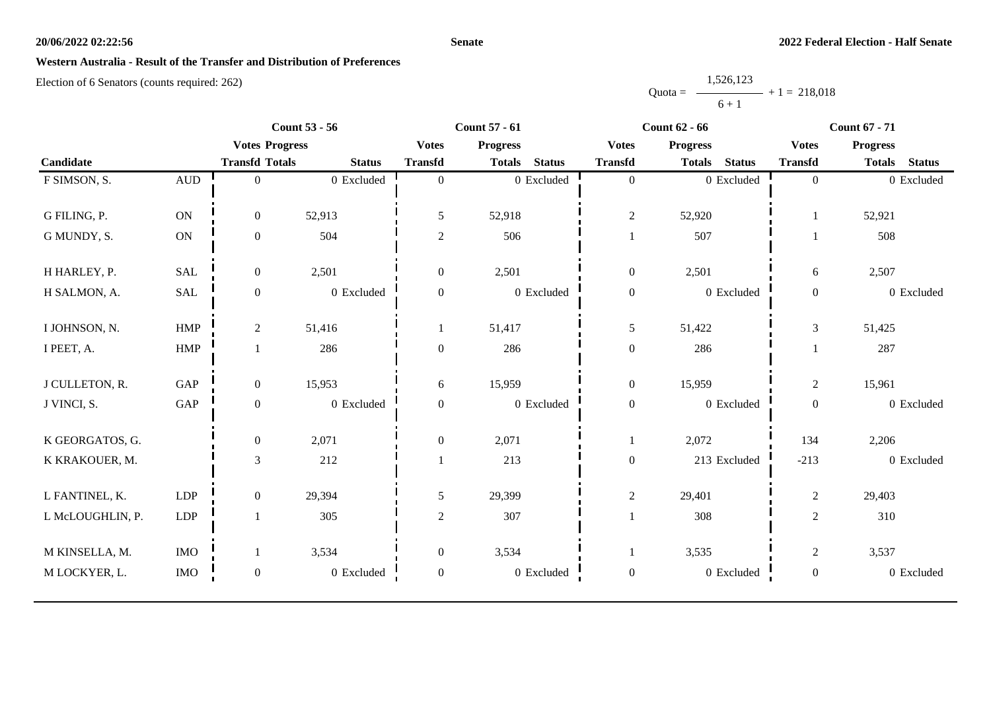#### **Senate**

### **Western Australia - Result of the Transfer and Distribution of Preferences**

|           | 1,526,123 |                |
|-----------|-----------|----------------|
| $Quota =$ |           | $+1 = 218.018$ |
|           | $6 + 1$   |                |

|                  | <b>Count 53 - 56</b> |                       |                | <b>Count 57 - 61</b> |                 |                |                  | <b>Count 62 - 66</b> |               | <b>Count 67 - 71</b> |                 |               |
|------------------|----------------------|-----------------------|----------------|----------------------|-----------------|----------------|------------------|----------------------|---------------|----------------------|-----------------|---------------|
|                  |                      | <b>Votes Progress</b> |                | <b>Votes</b>         | <b>Progress</b> |                | <b>Votes</b>     | <b>Progress</b>      |               | <b>Votes</b>         | <b>Progress</b> |               |
| Candidate        |                      | <b>Transfd Totals</b> | <b>Status</b>  | <b>Transfd</b>       | <b>Totals</b>   | <b>Status</b>  | <b>Transfd</b>   | <b>Totals</b>        | <b>Status</b> | <b>Transfd</b>       | <b>Totals</b>   | <b>Status</b> |
| F SIMSON, S.     | $\mbox{\rm AUD}$     | $\mathbf{0}$          | 0 Excluded     | $\overline{0}$       |                 | 0 Excluded     | $\boldsymbol{0}$ |                      | 0 Excluded    | $\boldsymbol{0}$     |                 | 0 Excluded    |
|                  |                      |                       |                |                      |                 |                |                  |                      |               |                      |                 |               |
| G FILING, P.     | ON                   | $\overline{0}$        | 52,913         | 5                    | 52,918          |                | $\overline{c}$   | 52,920               |               | 1                    | 52,921          |               |
| G MUNDY, S.      | ON                   | $\boldsymbol{0}$      | 504            | $\mathbf{2}$         | 506             |                |                  | 507                  |               |                      | 508             |               |
| H HARLEY, P.     | <b>SAL</b>           | $\overline{0}$        | 2,501          | $\overline{0}$       | 2,501           |                | $\boldsymbol{0}$ | 2,501                |               | 6                    | 2,507           |               |
| H SALMON, A.     | $\operatorname{SAL}$ | $\boldsymbol{0}$      | 0 Excluded     | $\boldsymbol{0}$     |                 | 0 Excluded     | $\boldsymbol{0}$ |                      | 0 Excluded    | $\boldsymbol{0}$     |                 | 0 Excluded    |
| I JOHNSON, N.    | <b>HMP</b>           | $\overline{2}$        | 51,416         |                      | 51,417          |                | 5                | 51,422               |               | $\mathfrak{Z}$       | 51,425          |               |
| I PEET, A.       | ${\rm HMP}$          |                       | 286            | $\boldsymbol{0}$     | 286             |                | $\boldsymbol{0}$ | 286                  |               |                      | 287             |               |
| J CULLETON, R.   | GAP                  | $\overline{0}$        | 15,953         | 6                    | 15,959          |                | $\boldsymbol{0}$ | 15,959               |               | $\overline{c}$       | 15,961          |               |
| J VINCI, S.      | GAP                  | $\boldsymbol{0}$      | $0\,$ Excluded | $\boldsymbol{0}$     |                 | $0\,$ Excluded | $\boldsymbol{0}$ |                      | 0 Excluded    | $\boldsymbol{0}$     |                 | 0 Excluded    |
| K GEORGATOS, G.  |                      | $\overline{0}$        | 2,071          | $\overline{0}$       | 2,071           |                | -1               | 2,072                |               | 134                  | 2,206           |               |
| K KRAKOUER, M.   |                      | $\mathfrak{Z}$        | 212            |                      | 213             |                | $\boldsymbol{0}$ |                      | 213 Excluded  | $-213$               |                 | 0 Excluded    |
| L FANTINEL, K.   | LDP                  | $\overline{0}$        | 29,394         | 5                    | 29,399          |                | $\overline{2}$   | 29,401               |               | $\overline{c}$       | 29,403          |               |
| L McLOUGHLIN, P. | LDP                  |                       | 305            | $\overline{2}$       | 307             |                |                  | 308                  |               | $\overline{2}$       | 310             |               |
| M KINSELLA, M.   | <b>IMO</b>           |                       | 3,534          | $\overline{0}$       | 3,534           |                |                  | 3,535                |               | $\overline{c}$       | 3,537           |               |
| M LOCKYER, L.    | <b>IMO</b>           | $\boldsymbol{0}$      | 0 Excluded     | $\boldsymbol{0}$     |                 | 0 Excluded     | $\boldsymbol{0}$ |                      | 0 Excluded    | $\boldsymbol{0}$     |                 | 0 Excluded    |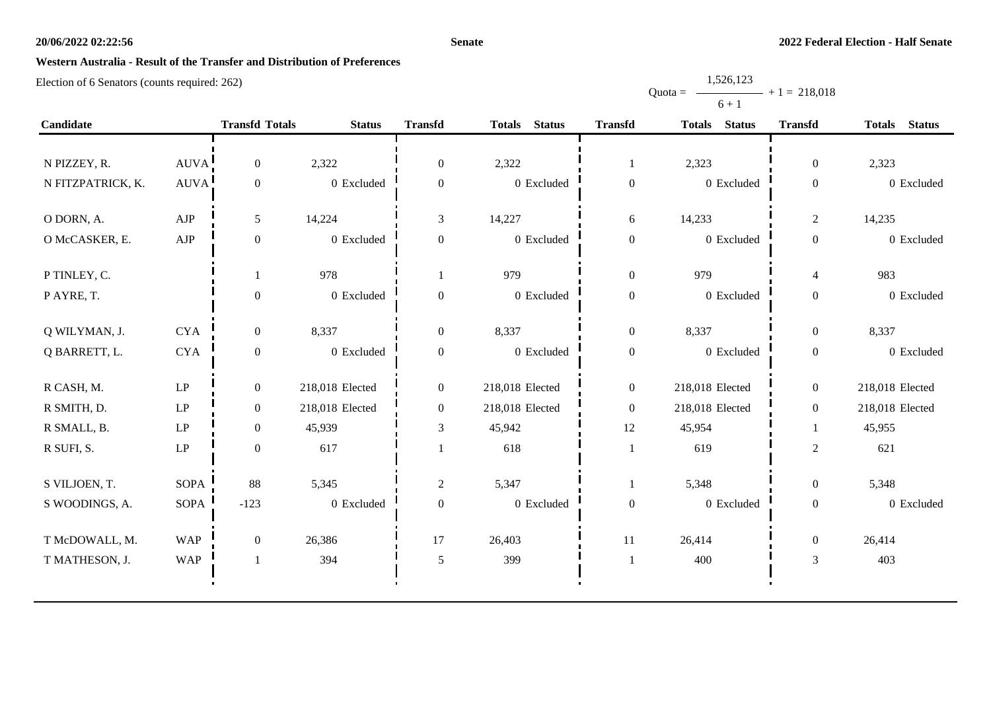#### **Senate**

Quota =

1,526,123

 $+ 1 = 218,018$ 

# **Western Australia - Result of the Transfer and Distribution of Preferences**

|                   |                            |                       |                 |                  |                                |                  | $6 + 1$         |                  |                 |
|-------------------|----------------------------|-----------------------|-----------------|------------------|--------------------------------|------------------|-----------------|------------------|-----------------|
| Candidate         |                            | <b>Transfd Totals</b> | <b>Status</b>   | <b>Transfd</b>   | <b>Status</b><br><b>Totals</b> | <b>Transfd</b>   | Totals Status   | <b>Transfd</b>   | Totals Status   |
|                   |                            |                       |                 |                  |                                |                  |                 |                  |                 |
| N PIZZEY, R.      | AUVA!                      | $\overline{0}$        | 2,322           | $\boldsymbol{0}$ | 2,322                          | 1                | 2,323           | $\boldsymbol{0}$ | 2,323           |
| N FITZPATRICK, K. | <b>AUVA</b>                | $\boldsymbol{0}$      | 0 Excluded      | $\boldsymbol{0}$ | 0 Excluded                     | $\boldsymbol{0}$ | 0 Excluded      | $\boldsymbol{0}$ | 0 Excluded      |
| O DORN, A.        | AJP                        | 5                     | 14,224          | $\mathfrak{Z}$   | 14,227                         | $\sqrt{6}$       | 14,233          | $\mathbf{2}$     | 14,235          |
| O McCASKER, E.    | ${\rm AJP}$                | $\boldsymbol{0}$      | 0 Excluded      | $\mathbf{0}$     | 0 Excluded                     | $\boldsymbol{0}$ | 0 Excluded      | $\boldsymbol{0}$ | 0 Excluded      |
| P TINLEY, C.      |                            |                       | 978             | 1                | 979                            | $\boldsymbol{0}$ | 979             | $\overline{4}$   | 983             |
| PAYRE, T.         |                            | $\boldsymbol{0}$      | 0 Excluded      | $\boldsymbol{0}$ | $0\,$ Excluded                 | $\boldsymbol{0}$ | 0 Excluded      | $\boldsymbol{0}$ | 0 Excluded      |
| Q WILYMAN, J.     | <b>CYA</b>                 | $\boldsymbol{0}$      | 8,337           | $\boldsymbol{0}$ | 8,337                          | $\boldsymbol{0}$ | 8,337           | $\boldsymbol{0}$ | 8,337           |
| Q BARRETT, L.     | <b>CYA</b>                 | $\boldsymbol{0}$      | 0 Excluded      | $\boldsymbol{0}$ | 0 Excluded                     | $\boldsymbol{0}$ | 0 Excluded      | $\boldsymbol{0}$ | 0 Excluded      |
| R CASH, M.        | LP                         | $\overline{0}$        | 218,018 Elected | $\overline{0}$   | 218,018 Elected                | $\mathbf{0}$     | 218,018 Elected | $\boldsymbol{0}$ | 218,018 Elected |
| R SMITH, D.       | $\mathbf{L}\mathbf{P}$     | $\overline{0}$        | 218,018 Elected | $\boldsymbol{0}$ | 218,018 Elected                | $\boldsymbol{0}$ | 218,018 Elected | $\boldsymbol{0}$ | 218,018 Elected |
| R SMALL, B.       | $\mathbf{L}\mathbf{P}$     | $\boldsymbol{0}$      | 45,939          | $\mathfrak{Z}$   | 45,942                         | 12               | 45,954          | 1                | 45,955          |
| R SUFI, S.        | $\ensuremath{\mathrm{LP}}$ | $\boldsymbol{0}$      | 617             |                  | 618                            | $\mathbf{1}$     | 619             | $\mathfrak{2}$   | 621             |
| S VILJOEN, T.     | <b>SOPA</b>                | 88                    | 5,345           | 2                | 5,347                          | $\mathbf{1}$     | 5,348           | $\boldsymbol{0}$ | 5,348           |
| S WOODINGS, A.    | SOPA                       | $-123$                | 0 Excluded      | $\boldsymbol{0}$ | 0 Excluded                     | $\boldsymbol{0}$ | 0 Excluded      | $\boldsymbol{0}$ | 0 Excluded      |
| T McDOWALL, M.    | <b>WAP</b>                 | $\boldsymbol{0}$      | 26,386          | 17               | 26,403                         | 11               | 26,414          | $\boldsymbol{0}$ | 26,414          |
| T MATHESON, J.    | <b>WAP</b>                 |                       | 394             | 5                | 399                            | $\mathbf{1}$     | 400             | $\mathfrak{Z}$   | 403             |
|                   |                            |                       |                 |                  |                                |                  |                 |                  |                 |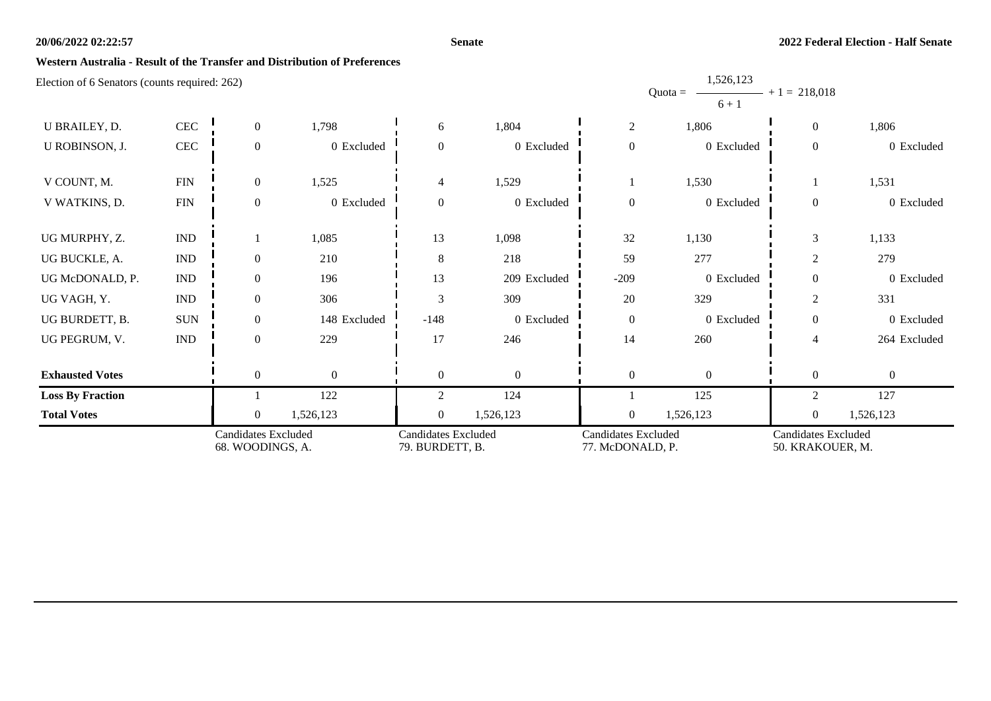#### **Senate**

1,526,123

### **Western Australia - Result of the Transfer and Distribution of Preferences**

| <b>Candidates Excluded</b><br>68. WOODINGS, A. |                             | <b>Candidates Excluded</b><br>79. BURDETT, B. |                | <b>Candidates Excluded</b><br>77. McDONALD, P. |                | <b>Candidates Excluded</b><br>50. KRAKOUER, M. |                                   |                  |              |
|------------------------------------------------|-----------------------------|-----------------------------------------------|----------------|------------------------------------------------|----------------|------------------------------------------------|-----------------------------------|------------------|--------------|
| <b>Total Votes</b>                             |                             | $\Omega$                                      | 1,526,123      | $\Omega$                                       | 1,526,123      | $\overline{0}$                                 | 1,526,123                         | $\boldsymbol{0}$ | 1,526,123    |
| <b>Loss By Fraction</b>                        |                             |                                               | 122            | 2                                              | 124            |                                                | 125                               | 2                | 127          |
| <b>Exhausted Votes</b>                         |                             | $\overline{0}$                                | $\overline{0}$ | $\overline{0}$                                 | $\overline{0}$ | $\boldsymbol{0}$                               | $\Omega$                          | $\overline{0}$   | $\Omega$     |
| UG PEGRUM, V.                                  | $\ensuremath{\mathsf{IND}}$ | $\theta$                                      | 229            | 17                                             | 246            | 14                                             | 260                               | $\overline{4}$   | 264 Excluded |
| UG BURDETT, B.                                 | <b>SUN</b>                  | $\mathbf{0}$                                  | 148 Excluded   | $-148$                                         | 0 Excluded     | $\boldsymbol{0}$                               | 0 Excluded                        | $\theta$         | 0 Excluded   |
| UG VAGH, Y.                                    | $\mathop{\rm IND}\nolimits$ | $\overline{0}$                                | 306            | 3                                              | 309            | $20\,$                                         | 329                               | $\overline{2}$   | 331          |
| UG McDONALD, P.                                | $\ensuremath{\mathsf{IND}}$ | $\Omega$                                      | 196            | 13                                             | 209 Excluded   | $-209$                                         | 0 Excluded                        | $\Omega$         | 0 Excluded   |
| UG BUCKLE, A.                                  | $\mathop{\rm IND}\nolimits$ | $\Omega$                                      | 210            | 8                                              | 218            | 59                                             | 277                               | 2                | 279          |
| UG MURPHY, Z.                                  | $\ensuremath{\mathsf{IND}}$ |                                               | 1,085          | 13                                             | 1,098          | 32                                             | 1,130                             | 3                | 1,133        |
| V WATKINS, D.                                  | <b>FIN</b>                  | $\Omega$                                      | 0 Excluded     | $\Omega$                                       | 0 Excluded     | $\boldsymbol{0}$                               | 0 Excluded                        | $\overline{0}$   | 0 Excluded   |
| V COUNT, M.                                    | <b>FIN</b>                  | $\overline{0}$                                | 1,525          | $\overline{4}$                                 | 1,529          |                                                | 1,530                             |                  | 1,531        |
| U ROBINSON, J.                                 | $\rm CEC$                   | $\Omega$                                      | 0 Excluded     | $\Omega$                                       | 0 Excluded     | $\overline{0}$                                 | 0 Excluded                        | $\overline{0}$   | 0 Excluded   |
| U BRAILEY, D.                                  | $\rm CEC$                   | $\Omega$                                      | 1,798          | 6                                              | 1,804          | $\sqrt{2}$                                     | 1,806                             | $\overline{0}$   | 1,806        |
| Election of 6 Senators (counts required: 262)  |                             |                                               |                |                                                |                |                                                | 1,320,123<br>$Quota =$<br>$6 + 1$ | $+1 = 218,018$   |              |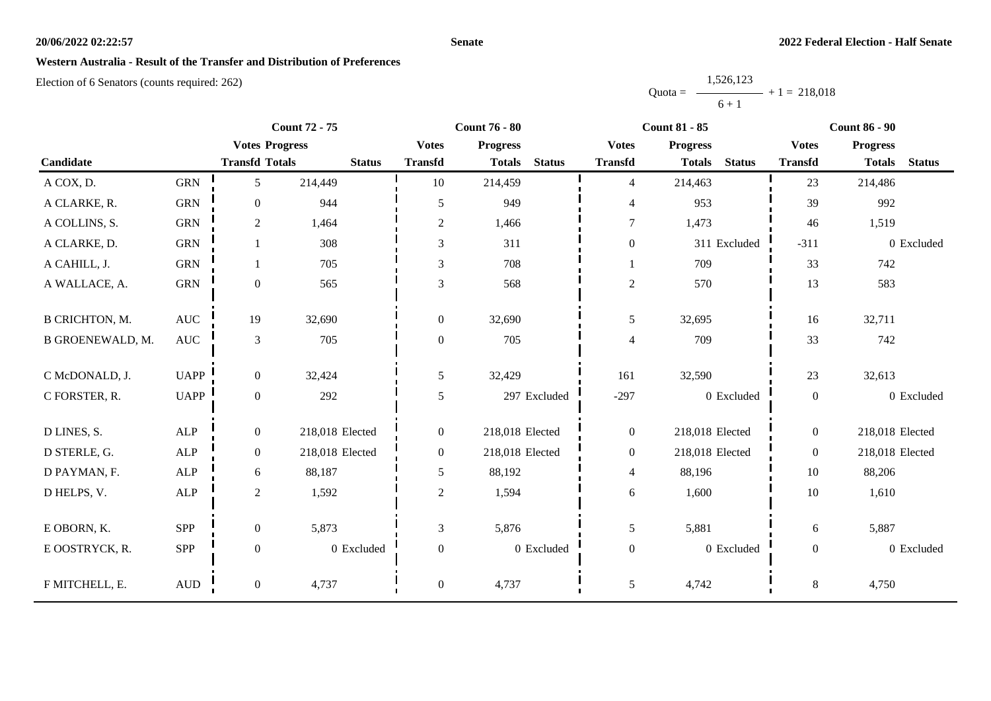#### **Senate**

### **Western Australia - Result of the Transfer and Distribution of Preferences**

|           | 1,526,123 |                |
|-----------|-----------|----------------|
| $Quota =$ |           | $+1 = 218.018$ |
|           | $6 + 1$   |                |

|                         | <b>Count 72 - 75</b> |                       |                 |                  | <b>Count 76 - 80</b>           |                  | <b>Count 81 - 85</b>           | <b>Count 86 - 90</b> |                                |  |
|-------------------------|----------------------|-----------------------|-----------------|------------------|--------------------------------|------------------|--------------------------------|----------------------|--------------------------------|--|
|                         |                      | <b>Votes Progress</b> |                 | <b>Votes</b>     | <b>Progress</b>                | <b>Votes</b>     | <b>Progress</b>                | <b>Votes</b>         | <b>Progress</b>                |  |
| Candidate               |                      | <b>Transfd Totals</b> | <b>Status</b>   | <b>Transfd</b>   | <b>Status</b><br><b>Totals</b> | <b>Transfd</b>   | <b>Status</b><br><b>Totals</b> | <b>Transfd</b>       | <b>Status</b><br><b>Totals</b> |  |
| A COX, D.               | <b>GRN</b>           | 5                     | 214,449         | 10               | 214,459                        | $\overline{4}$   | 214,463                        | 23                   | 214,486                        |  |
| A CLARKE, R.            | <b>GRN</b>           | $\boldsymbol{0}$      | 944             | 5                | 949                            | $\overline{4}$   | 953                            | 39                   | 992                            |  |
| A COLLINS, S.           | <b>GRN</b>           | $\overline{c}$        | 1,464           | $\overline{2}$   | 1,466                          | $\tau$           | 1,473                          | 46                   | 1,519                          |  |
| A CLARKE, D.            | <b>GRN</b>           | 1                     | 308             | 3                | 311                            | $\boldsymbol{0}$ | 311 Excluded                   | $-311$               | 0 Excluded                     |  |
| A CAHILL, J.            | <b>GRN</b>           |                       | 705             | 3                | 708                            |                  | 709                            | 33                   | 742                            |  |
| A WALLACE, A.           | ${\rm GRN}$          | $\boldsymbol{0}$      | 565             | 3                | 568                            | $\sqrt{2}$       | 570                            | 13                   | 583                            |  |
| <b>B CRICHTON, M.</b>   | <b>AUC</b>           | 19                    | 32,690          | $\overline{0}$   | 32,690                         | 5                | 32,695                         | 16                   | 32,711                         |  |
| <b>B GROENEWALD, M.</b> | $\operatorname{AUC}$ | $\mathfrak{Z}$        | 705             | $\boldsymbol{0}$ | 705                            | $\overline{4}$   | 709                            | 33                   | 742                            |  |
|                         |                      |                       |                 |                  |                                |                  |                                |                      |                                |  |
| C McDONALD, J.          | <b>UAPP</b>          | $\overline{0}$        | 32,424          | 5                | 32,429                         | 161              | 32,590                         | 23                   | 32,613                         |  |
| C FORSTER, R.           | <b>UAPP</b>          | $\boldsymbol{0}$      | 292             | 5                | 297 Excluded                   | $-297$           | 0 Excluded                     | $\boldsymbol{0}$     | 0 Excluded                     |  |
| D LINES, S.             | ALP                  | $\boldsymbol{0}$      | 218,018 Elected | $\overline{0}$   | 218,018 Elected                | $\mathbf{0}$     | 218,018 Elected                | $\overline{0}$       | 218,018 Elected                |  |
| D STERLE, G.            | <b>ALP</b>           | $\boldsymbol{0}$      | 218,018 Elected | $\overline{0}$   | 218,018 Elected                | $\boldsymbol{0}$ | 218,018 Elected                | $\overline{0}$       | 218,018 Elected                |  |
| D PAYMAN, F.            | <b>ALP</b>           | 6                     | 88,187          | 5                | 88,192                         | $\overline{4}$   | 88,196                         | 10                   | 88,206                         |  |
| D HELPS, V.             | ${\sf ALP}$          | $\sqrt{2}$            | 1,592           | $\overline{c}$   | 1,594                          | $\sqrt{6}$       | 1,600                          | 10                   | 1,610                          |  |
|                         |                      |                       |                 |                  |                                |                  |                                |                      |                                |  |
| E OBORN, K.             | SPP                  | $\boldsymbol{0}$      | 5,873           | 3                | 5,876                          | $\mathfrak{S}$   | 5,881                          | 6                    | 5,887                          |  |
| E OOSTRYCK, R.          | SPP                  | $\boldsymbol{0}$      | 0 Excluded      | $\boldsymbol{0}$ | 0 Excluded                     | $\boldsymbol{0}$ | 0 Excluded                     | $\overline{0}$       | 0 Excluded                     |  |
| F MITCHELL, E.          | $\mbox{AUD}$         | $\boldsymbol{0}$      | 4,737           | $\boldsymbol{0}$ | 4,737                          | 5                | 4,742                          | $8\,$                | 4,750                          |  |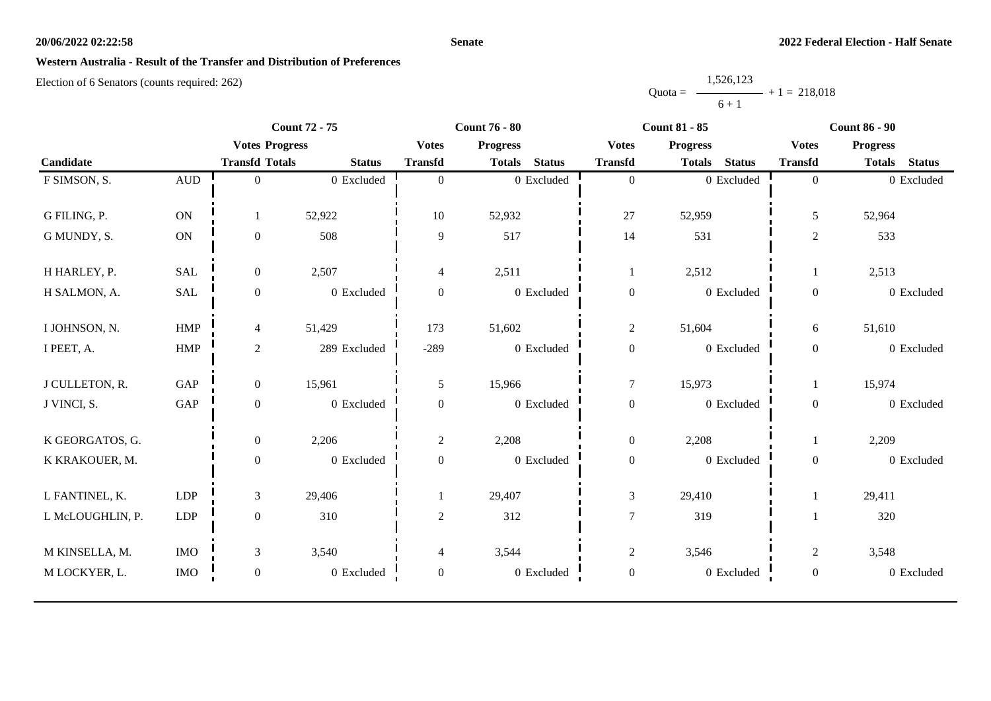#### **Senate**

# **Western Australia - Result of the Transfer and Distribution of Preferences**

|           | 1,526,123 |                |
|-----------|-----------|----------------|
| $Quota =$ |           | $+1 = 218.018$ |
|           | $6 + 1$   |                |

|                  |                      |                       | <b>Count 72 - 75</b> |                  | <b>Count 76 - 80</b> |                | <b>Count 81 - 85</b> |                 |               | <b>Count 86 - 90</b> |                 |               |  |
|------------------|----------------------|-----------------------|----------------------|------------------|----------------------|----------------|----------------------|-----------------|---------------|----------------------|-----------------|---------------|--|
|                  |                      | <b>Votes Progress</b> |                      | <b>Votes</b>     | <b>Progress</b>      |                | <b>Votes</b>         | <b>Progress</b> |               | <b>Votes</b>         | <b>Progress</b> |               |  |
| Candidate        |                      | <b>Transfd Totals</b> | <b>Status</b>        | <b>Transfd</b>   | <b>Totals</b>        | <b>Status</b>  | <b>Transfd</b>       | <b>Totals</b>   | <b>Status</b> | <b>Transfd</b>       | <b>Totals</b>   | <b>Status</b> |  |
| F SIMSON, S.     | $\hbox{AUD}$         | $\overline{0}$        | $0\,$ Excluded       | $\theta$         |                      | $0\,$ Excluded | $\overline{0}$       |                 | 0 Excluded    | $\overline{0}$       |                 | 0 Excluded    |  |
|                  |                      |                       |                      |                  |                      |                |                      |                 |               |                      |                 |               |  |
| G FILING, P.     | ON                   |                       | 52,922               | 10               | 52,932               |                | 27                   | 52,959          |               | 5                    | 52,964          |               |  |
| G MUNDY, S.      | <b>ON</b>            | $\mathbf{0}$          | 508                  | 9                | 517                  |                | 14                   | 531             |               | $\overline{c}$       | 533             |               |  |
| H HARLEY, P.     | <b>SAL</b>           | $\overline{0}$        | 2,507                | 4                | 2,511                |                | -1                   | 2,512           |               |                      | 2,513           |               |  |
| H SALMON, A.     | $\operatorname{SAL}$ | $\boldsymbol{0}$      | 0 Excluded           | $\boldsymbol{0}$ |                      | 0 Excluded     | $\boldsymbol{0}$     |                 | 0 Excluded    | $\boldsymbol{0}$     |                 | 0 Excluded    |  |
| I JOHNSON, N.    | HMP                  | $\overline{4}$        | 51,429               | 173              | 51,602               |                | $\overline{2}$       | 51,604          |               | 6                    | 51,610          |               |  |
| I PEET, A.       | HMP                  | $\overline{2}$        | 289 Excluded         | $-289$           |                      | 0 Excluded     | $\boldsymbol{0}$     |                 | 0 Excluded    | $\boldsymbol{0}$     |                 | 0 Excluded    |  |
| J CULLETON, R.   | GAP                  | $\overline{0}$        | 15,961               | 5                | 15,966               |                | $\tau$               | 15,973          |               |                      | 15,974          |               |  |
| J VINCI, S.      | GAP                  | $\mathbf{0}$          | 0 Excluded           | $\mathbf{0}$     |                      | 0 Excluded     | $\boldsymbol{0}$     |                 | 0 Excluded    | $\overline{0}$       |                 | 0 Excluded    |  |
| K GEORGATOS, G.  |                      | $\overline{0}$        | 2,206                | $\overline{2}$   | 2,208                |                | $\boldsymbol{0}$     | 2,208           |               |                      | 2,209           |               |  |
| K KRAKOUER, M.   |                      | $\boldsymbol{0}$      | 0 Excluded           | $\boldsymbol{0}$ |                      | $0\,$ Excluded | $\boldsymbol{0}$     |                 | 0 Excluded    | $\overline{0}$       |                 | 0 Excluded    |  |
| L FANTINEL, K.   | LDP                  | 3                     | 29,406               |                  | 29,407               |                | $\mathfrak{Z}$       | 29,410          |               |                      | 29,411          |               |  |
| L McLOUGHLIN, P. | LDP                  | $\overline{0}$        | 310                  | 2                | 312                  |                | $\tau$               | 319             |               |                      | 320             |               |  |
| M KINSELLA, M.   | <b>IMO</b>           | 3                     | 3,540                | 4                | 3,544                |                | $\mathbf{2}$         | 3,546           |               | $\overline{c}$       | 3,548           |               |  |
| M LOCKYER, L.    | <b>IMO</b>           | $\boldsymbol{0}$      | 0 Excluded           | $\boldsymbol{0}$ |                      | 0 Excluded     | $\boldsymbol{0}$     |                 | 0 Excluded    | $\overline{0}$       |                 | 0 Excluded    |  |
|                  |                      |                       |                      |                  |                      |                |                      |                 |               |                      |                 |               |  |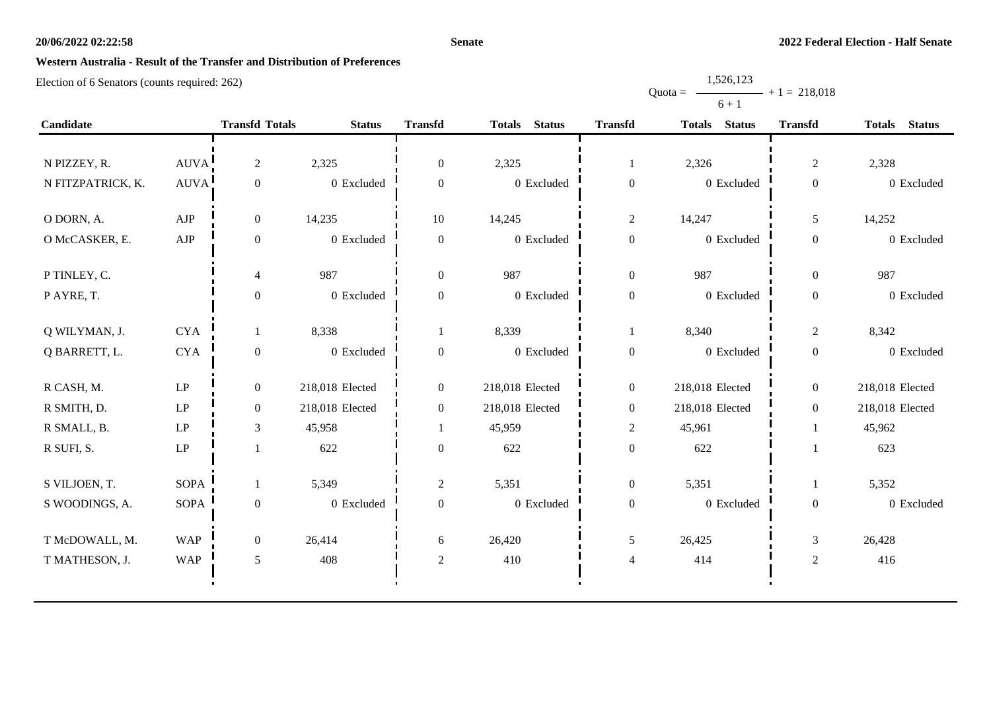#### **Senate**

Quota =

1,526,123

 $+ 1 = 218,018$ 

# **Western Australia - Result of the Transfer and Distribution of Preferences**

|                   |             |                       |                 |                  |                 |                  | $6 + 1$         |                  |                 |
|-------------------|-------------|-----------------------|-----------------|------------------|-----------------|------------------|-----------------|------------------|-----------------|
| Candidate         |             | <b>Transfd Totals</b> | <b>Status</b>   | <b>Transfd</b>   | Totals Status   | <b>Transfd</b>   | Totals Status   | <b>Transfd</b>   | Totals Status   |
|                   |             |                       |                 |                  |                 |                  |                 |                  |                 |
| N PIZZEY, R.      | <b>AUVA</b> | $\overline{2}$        | 2,325           | $\overline{0}$   | 2,325           | -1               | 2,326           | $\overline{2}$   | 2,328           |
| N FITZPATRICK, K. | <b>AUVA</b> | $\boldsymbol{0}$      | 0 Excluded      | $\overline{0}$   | 0 Excluded      | $\boldsymbol{0}$ | 0 Excluded      | $\boldsymbol{0}$ | 0 Excluded      |
| O DORN, A.        | AJP         | $\overline{0}$        | 14,235          | 10               | 14,245          | $\overline{c}$   | 14,247          | 5                | 14,252          |
| O McCASKER, E.    | AJP         | $\boldsymbol{0}$      | 0 Excluded      | $\overline{0}$   | 0 Excluded      | $\boldsymbol{0}$ | 0 Excluded      | $\boldsymbol{0}$ | 0 Excluded      |
| P TINLEY, C.      |             | 4                     | 987             | $\overline{0}$   | 987             | $\boldsymbol{0}$ | 987             | $\overline{0}$   | 987             |
| PAYRE, T.         |             | $\boldsymbol{0}$      | 0 Excluded      | $\overline{0}$   | 0 Excluded      | $\boldsymbol{0}$ | 0 Excluded      | $\boldsymbol{0}$ | 0 Excluded      |
| Q WILYMAN, J.     | <b>CYA</b>  | 1                     | 8,338           |                  | 8,339           | 1                | 8,340           | $\boldsymbol{2}$ | 8,342           |
| Q BARRETT, L.     | $\rm CYA$   | $\boldsymbol{0}$      | 0 Excluded      | $\boldsymbol{0}$ | 0 Excluded      | $\boldsymbol{0}$ | 0 Excluded      | $\boldsymbol{0}$ | 0 Excluded      |
| R CASH, M.        | LP          | $\boldsymbol{0}$      | 218,018 Elected | $\overline{0}$   | 218,018 Elected | $\boldsymbol{0}$ | 218,018 Elected | $\overline{0}$   | 218,018 Elected |
| R SMITH, D.       | LP          | $\boldsymbol{0}$      | 218,018 Elected | $\overline{0}$   | 218,018 Elected | $\boldsymbol{0}$ | 218,018 Elected | $\boldsymbol{0}$ | 218,018 Elected |
| R SMALL, B.       | LP          | $\mathfrak{Z}$        | 45,958          |                  | 45,959          | $\boldsymbol{2}$ | 45,961          | -1               | 45,962          |
| R SUFI, S.        | LP          |                       | 622             | $\boldsymbol{0}$ | 622             | $\boldsymbol{0}$ | 622             |                  | 623             |
| S VILJOEN, T.     | <b>SOPA</b> | 1                     | 5,349           | $\overline{2}$   | 5,351           | $\boldsymbol{0}$ | 5,351           | -1               | 5,352           |
| S WOODINGS, A.    | <b>SOPA</b> | $\boldsymbol{0}$      | 0 Excluded      | $\overline{0}$   | 0 Excluded      | $\boldsymbol{0}$ | 0 Excluded      | $\boldsymbol{0}$ | 0 Excluded      |
| T McDOWALL, M.    | <b>WAP</b>  | $\boldsymbol{0}$      | 26,414          | 6                | 26,420          | $\mathfrak s$    | 26,425          | $\mathfrak{Z}$   | 26,428          |
| T MATHESON, J.    | <b>WAP</b>  | $\mathfrak{H}$        | 408             | $\overline{2}$   | 410             | $\overline{4}$   | 414             | $\sqrt{2}$       | 416             |
|                   |             |                       |                 |                  |                 |                  |                 |                  |                 |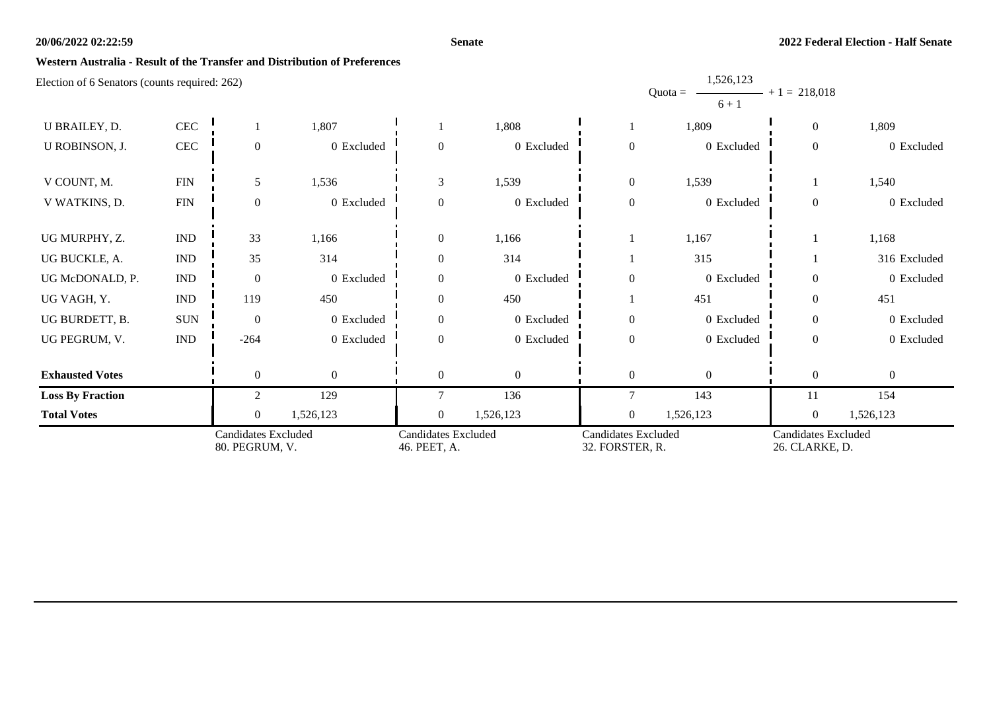#### **Senate**

1,526,123

### **Western Australia - Result of the Transfer and Distribution of Preferences**

|                                               |                           | <b>Candidates Excluded</b><br>80. PEGRUM, V. |                | <b>Candidates Excluded</b><br>46. PEET, A. |                | <b>Candidates Excluded</b><br>32. FORSTER, R. |                                   | Candidates Excluded<br>26. CLARKE, D. |              |
|-----------------------------------------------|---------------------------|----------------------------------------------|----------------|--------------------------------------------|----------------|-----------------------------------------------|-----------------------------------|---------------------------------------|--------------|
| <b>Total Votes</b>                            |                           | $\Omega$                                     | 1,526,123      | $\theta$                                   | 1,526,123      | $\boldsymbol{0}$                              | 1,526,123                         | $\boldsymbol{0}$                      | 1,526,123    |
| <b>Loss By Fraction</b>                       |                           | $\overline{2}$                               | 129            | $\tau$                                     | 136            | $\tau$                                        | 143                               | 11                                    | 154          |
| <b>Exhausted Votes</b>                        |                           | $\overline{0}$                               | $\overline{0}$ | $\Omega$                                   | $\overline{0}$ | $\overline{0}$                                | $\Omega$                          | $\theta$                              | $\theta$     |
| UG PEGRUM, V.                                 | $\ensuremath{\text{IND}}$ | $-264$                                       | 0 Excluded     | $\Omega$                                   | 0 Excluded     | $\boldsymbol{0}$                              | 0 Excluded                        | $\overline{0}$                        | 0 Excluded   |
| UG BURDETT, B.                                | <b>SUN</b>                | $\overline{0}$                               | 0 Excluded     | $\overline{0}$                             | 0 Excluded     | $\overline{0}$                                | 0 Excluded                        | $\Omega$                              | 0 Excluded   |
| UG VAGH, Y.                                   | <b>IND</b>                | 119                                          | 450            | $\mathbf{0}$                               | 450            |                                               | 451                               | $\overline{0}$                        | 451          |
| UG McDONALD, P.                               | <b>IND</b>                | $\overline{0}$                               | 0 Excluded     | $\mathbf{0}$                               | 0 Excluded     | $\boldsymbol{0}$                              | 0 Excluded                        | $\Omega$                              | 0 Excluded   |
| UG BUCKLE, A.                                 | $\ensuremath{\text{IND}}$ | 35                                           | 314            | $\Omega$                                   | 314            |                                               | 315                               |                                       | 316 Excluded |
| UG MURPHY, Z.                                 | <b>IND</b>                | 33                                           | 1,166          | $\mathbf{0}$                               | 1,166          |                                               | 1,167                             |                                       | 1,168        |
| V WATKINS, D.                                 | ${\rm FIN}$               | $\overline{0}$                               | 0 Excluded     | $\Omega$                                   | 0 Excluded     | $\boldsymbol{0}$                              | 0 Excluded                        | $\overline{0}$                        | 0 Excluded   |
| V COUNT, M.                                   | <b>FIN</b>                | 5                                            | 1,536          | 3                                          | 1,539          | $\boldsymbol{0}$                              | 1,539                             |                                       | 1,540        |
| U ROBINSON, J.                                | $\mbox{CEC}$              | $\theta$                                     | 0 Excluded     | $\Omega$                                   | 0 Excluded     | $\boldsymbol{0}$                              | 0 Excluded                        | $\overline{0}$                        | 0 Excluded   |
| U BRAILEY, D.                                 | $\mbox{CEC}$              |                                              | 1,807          |                                            | 1,808          |                                               | 1,809                             | $\overline{0}$                        | 1,809        |
| Election of 6 Senators (counts required: 262) |                           |                                              |                |                                            |                |                                               | 1,320,123<br>$Quota =$<br>$6 + 1$ | $+1 = 218,018$                        |              |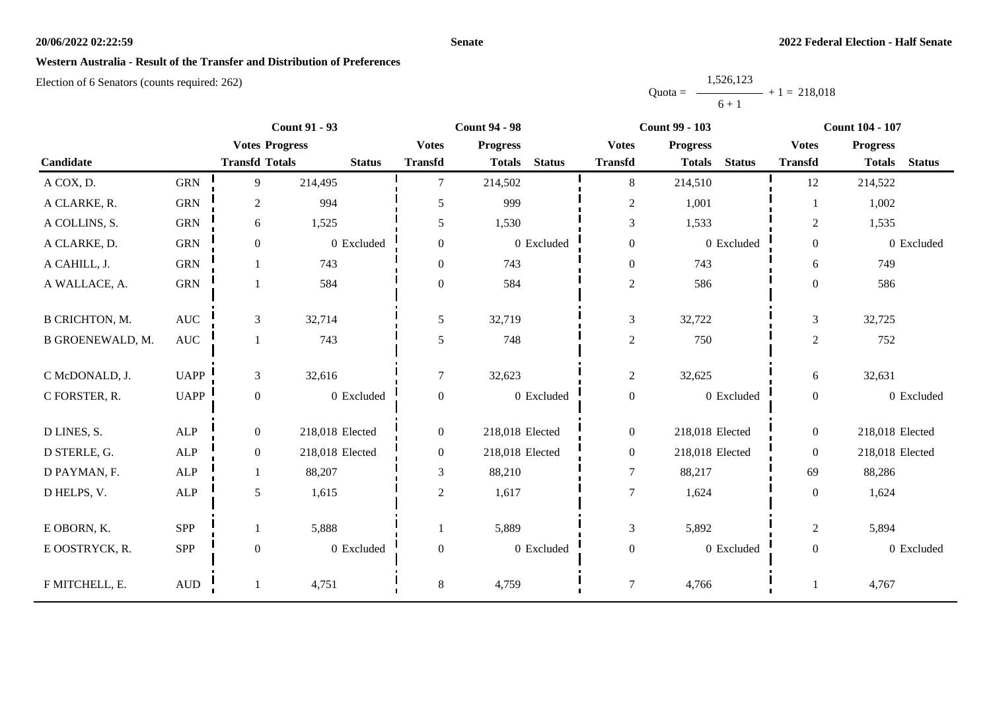#### **Senate**

### **Western Australia - Result of the Transfer and Distribution of Preferences**

|           | 1,526,123 |                |
|-----------|-----------|----------------|
| $Quota =$ |           | $+1 = 218,018$ |
|           | $6 + 1$   |                |

|                       |                      | <b>Count 91 - 93</b>  |                 | <b>Count 94 - 98</b> |                 | <b>Count 99 - 103</b> |                  |                 | <b>Count 104 - 107</b> |                  |                 |               |
|-----------------------|----------------------|-----------------------|-----------------|----------------------|-----------------|-----------------------|------------------|-----------------|------------------------|------------------|-----------------|---------------|
|                       |                      | <b>Votes Progress</b> |                 | <b>Votes</b>         | <b>Progress</b> |                       | <b>Votes</b>     | <b>Progress</b> |                        | <b>Votes</b>     | <b>Progress</b> |               |
| Candidate             |                      | <b>Transfd Totals</b> | <b>Status</b>   | <b>Transfd</b>       | <b>Totals</b>   | <b>Status</b>         | <b>Transfd</b>   | <b>Totals</b>   | <b>Status</b>          | <b>Transfd</b>   | <b>Totals</b>   | <b>Status</b> |
| A COX, D.             | <b>GRN</b>           | 9                     | 214,495         | $\tau$               | 214,502         |                       | 8                | 214,510         |                        | 12               | 214,522         |               |
| A CLARKE, R.          | <b>GRN</b>           | $\overline{2}$        | 994             | 5                    | 999             |                       | $\overline{c}$   | 1,001           |                        |                  | 1,002           |               |
| A COLLINS, S.         | <b>GRN</b>           | 6                     | 1,525           | 5                    | 1,530           |                       | $\mathfrak{Z}$   | 1,533           |                        | $\overline{2}$   | 1,535           |               |
| A CLARKE, D.          | <b>GRN</b>           | $\mathbf{0}$          | 0 Excluded      | $\overline{0}$       |                 | 0 Excluded            | $\boldsymbol{0}$ |                 | 0 Excluded             | $\boldsymbol{0}$ |                 | 0 Excluded    |
| A CAHILL, J.          | <b>GRN</b>           |                       | 743             | $\overline{0}$       | 743             |                       | $\boldsymbol{0}$ | 743             |                        | 6                | 749             |               |
| A WALLACE, A.         | ${\rm GRN}$          |                       | 584             | $\boldsymbol{0}$     | 584             |                       | $\sqrt{2}$       | 586             |                        | $\overline{0}$   | 586             |               |
|                       |                      |                       |                 |                      |                 |                       |                  |                 |                        |                  |                 |               |
| <b>B CRICHTON, M.</b> | AUC                  | $\mathfrak{Z}$        | 32,714          | 5                    | 32,719          |                       | $\mathfrak{Z}$   | 32,722          |                        | 3                | 32,725          |               |
| B GROENEWALD, M.      | $\operatorname{AUC}$ | 1                     | 743             | 5                    | 748             |                       | $\mathfrak{2}$   | 750             |                        | $\overline{2}$   | 752             |               |
| C McDONALD, J.        | <b>UAPP</b>          | 3                     | 32,616          | $\overline{7}$       | 32,623          |                       | $\overline{c}$   | 32,625          |                        | 6                | 32,631          |               |
| C FORSTER, R.         | <b>UAPP</b>          | $\mathbf{0}$          | 0 Excluded      | $\boldsymbol{0}$     |                 | $0\,$ Excluded        | $\boldsymbol{0}$ |                 | 0 Excluded             | $\boldsymbol{0}$ |                 | 0 Excluded    |
| D LINES, S.           | ALP                  | $\boldsymbol{0}$      | 218,018 Elected | $\overline{0}$       | 218,018 Elected |                       | $\boldsymbol{0}$ | 218,018 Elected |                        | $\overline{0}$   | 218,018 Elected |               |
| D STERLE, G.          | ALP                  | $\overline{0}$        | 218,018 Elected | $\boldsymbol{0}$     | 218,018 Elected |                       | $\boldsymbol{0}$ | 218,018 Elected |                        | $\overline{0}$   | 218,018 Elected |               |
| D PAYMAN, F.          | ALP                  | 1                     | 88,207          | 3                    | 88,210          |                       | $\tau$           | 88,217          |                        | 69               | 88,286          |               |
| D HELPS, V.           | ALP                  | $\sqrt{5}$            | 1,615           | $\overline{2}$       | 1,617           |                       | $\overline{7}$   | 1,624           |                        | $\overline{0}$   | 1,624           |               |
|                       |                      |                       |                 |                      |                 |                       |                  |                 |                        |                  |                 |               |
| E OBORN, K.           | <b>SPP</b>           | 1                     | 5,888           |                      | 5,889           |                       | $\mathfrak{Z}$   | 5,892           |                        | $\overline{c}$   | 5,894           |               |
| E OOSTRYCK, R.        | SPP                  | $\boldsymbol{0}$      | 0 Excluded      | $\boldsymbol{0}$     |                 | 0 Excluded            | $\boldsymbol{0}$ |                 | 0 Excluded             | $\boldsymbol{0}$ |                 | 0 Excluded    |
| F MITCHELL, E.        | $\mbox{AUD}$         |                       | 4,751           | 8                    | 4,759           |                       | $\tau$           | 4,766           |                        |                  | 4,767           |               |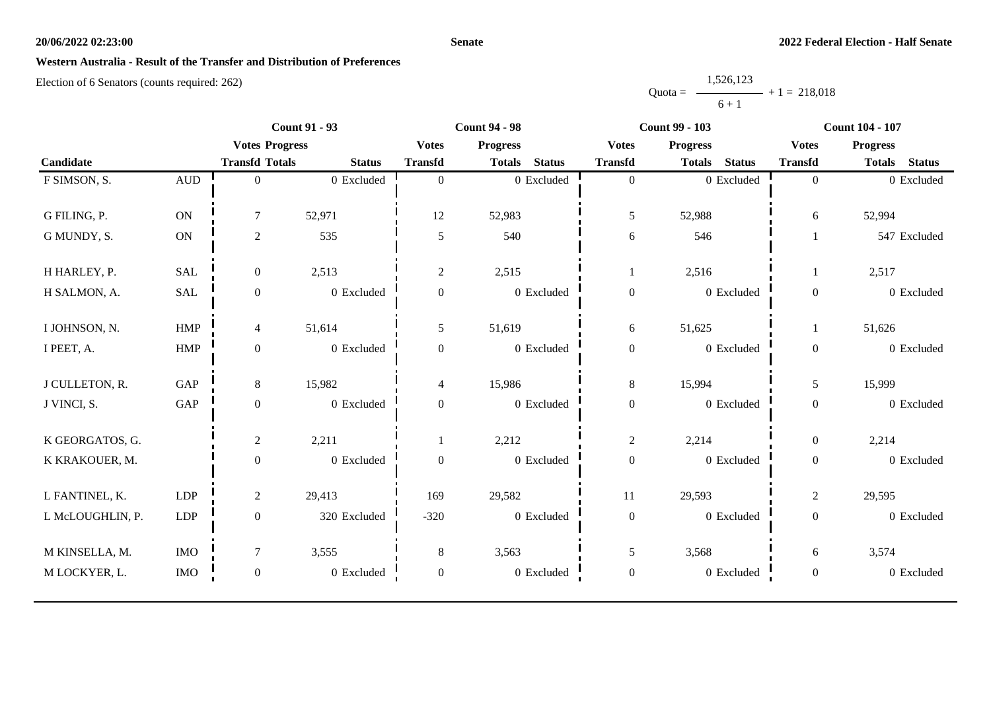#### **Senate**

# **Western Australia - Result of the Transfer and Distribution of Preferences**

|           | 1,526,123 |                |
|-----------|-----------|----------------|
| $Quota =$ |           | $+1 = 218.018$ |
|           | $6 + 1$   |                |

|                  |              | <b>Count 91 - 93</b>  |               | <b>Count 94 - 98</b> |                 | <b>Count 99 - 103</b> |                  |                 | <b>Count 104 - 107</b> |                  |                 |               |
|------------------|--------------|-----------------------|---------------|----------------------|-----------------|-----------------------|------------------|-----------------|------------------------|------------------|-----------------|---------------|
|                  |              | <b>Votes Progress</b> |               | <b>Votes</b>         | <b>Progress</b> |                       | <b>Votes</b>     | <b>Progress</b> |                        | <b>Votes</b>     | <b>Progress</b> |               |
| Candidate        |              | <b>Transfd Totals</b> | <b>Status</b> | <b>Transfd</b>       | <b>Totals</b>   | <b>Status</b>         | <b>Transfd</b>   | <b>Totals</b>   | <b>Status</b>          | <b>Transfd</b>   | <b>Totals</b>   | <b>Status</b> |
| F SIMSON, S.     | $\mbox{AUD}$ | $\theta$              | 0 Excluded    | $\mathbf{0}$         |                 | 0 Excluded            | $\boldsymbol{0}$ |                 | 0 Excluded             | $\overline{0}$   |                 | 0 Excluded    |
| G FILING, P.     | ON           | $\tau$                | 52,971        | 12                   | 52,983          |                       | 5                | 52,988          |                        | 6                | 52,994          |               |
| G MUNDY, S.      | ON           | $\overline{c}$        | 535           | 5                    | 540             |                       | 6                | 546             |                        |                  |                 | 547 Excluded  |
| H HARLEY, P.     | <b>SAL</b>   | $\overline{0}$        | 2,513         | $\overline{c}$       | 2,515           |                       | 1                | 2,516           |                        |                  | 2,517           |               |
| H SALMON, A.     | <b>SAL</b>   | $\boldsymbol{0}$      | 0 Excluded    | $\boldsymbol{0}$     |                 | 0 Excluded            | $\boldsymbol{0}$ |                 | 0 Excluded             | $\overline{0}$   |                 | 0 Excluded    |
| I JOHNSON, N.    | <b>HMP</b>   | $\overline{4}$        | 51,614        | 5                    | 51,619          |                       | $\sqrt{6}$       | 51,625          |                        |                  | 51,626          |               |
| I PEET, A.       | HMP          | $\boldsymbol{0}$      | 0 Excluded    | $\boldsymbol{0}$     |                 | 0 Excluded            | $\boldsymbol{0}$ |                 | 0 Excluded             | $\boldsymbol{0}$ |                 | 0 Excluded    |
| J CULLETON, R.   | GAP          | 8                     | 15,982        | $\overline{4}$       | 15,986          |                       | $8\,$            | 15,994          |                        | 5                | 15,999          |               |
| J VINCI, S.      | GAP          | $\boldsymbol{0}$      | 0 Excluded    | $\boldsymbol{0}$     |                 | 0 Excluded            | $\boldsymbol{0}$ |                 | 0 Excluded             | $\boldsymbol{0}$ |                 | 0 Excluded    |
| K GEORGATOS, G.  |              | $\overline{2}$        | 2,211         |                      | 2,212           |                       | $\overline{c}$   | 2,214           |                        | $\overline{0}$   | 2,214           |               |
| K KRAKOUER, M.   |              | $\overline{0}$        | 0 Excluded    | $\boldsymbol{0}$     |                 | 0 Excluded            | $\boldsymbol{0}$ |                 | 0 Excluded             | $\boldsymbol{0}$ |                 | 0 Excluded    |
| L FANTINEL, K.   | <b>LDP</b>   | $\overline{2}$        | 29,413        | 169                  | 29,582          |                       | 11               | 29,593          |                        | $\overline{2}$   | 29,595          |               |
| L McLOUGHLIN, P. | LDP          | $\overline{0}$        | 320 Excluded  | $-320$               |                 | 0 Excluded            | $\boldsymbol{0}$ |                 | 0 Excluded             | $\overline{0}$   |                 | 0 Excluded    |
| M KINSELLA, M.   | <b>IMO</b>   | $\tau$                | 3,555         | 8                    | 3,563           |                       | 5                | 3,568           |                        | 6                | 3,574           |               |
| M LOCKYER, L.    | <b>IMO</b>   | $\overline{0}$        | 0 Excluded    | $\mathbf{0}$         |                 | 0 Excluded            | $\boldsymbol{0}$ |                 | 0 Excluded             | $\boldsymbol{0}$ |                 | 0 Excluded    |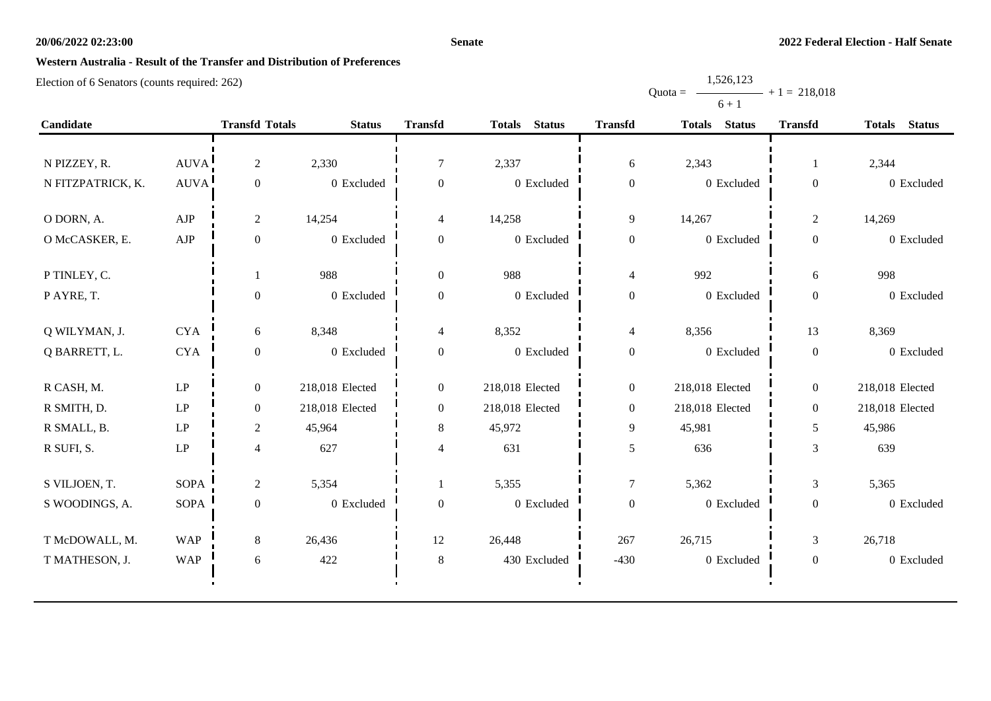#### **Senate**

Quota =

1,526,123

 $+ 1 = 218,018$ 

# **Western Australia - Result of the Transfer and Distribution of Preferences**

|                   |             |                       |                 |                  |                 |                  | $6 + 1$         |                  |                 |
|-------------------|-------------|-----------------------|-----------------|------------------|-----------------|------------------|-----------------|------------------|-----------------|
| Candidate         |             | <b>Transfd Totals</b> | <b>Status</b>   | <b>Transfd</b>   | Totals Status   | <b>Transfd</b>   | Totals Status   | <b>Transfd</b>   | Totals Status   |
|                   |             |                       |                 |                  |                 |                  |                 |                  |                 |
| N PIZZEY, R.      | AUVA        | $\overline{2}$        | 2,330           | $\tau$           | 2,337           | $\sqrt{6}$       | 2,343           |                  | 2,344           |
| N FITZPATRICK, K. | <b>AUVA</b> | $\mathbf{0}$          | 0 Excluded      | $\mathbf{0}$     | 0 Excluded      | $\boldsymbol{0}$ | 0 Excluded      | $\boldsymbol{0}$ | 0 Excluded      |
| O DORN, A.        | AJP         | $\overline{2}$        | 14,254          | $\overline{4}$   | 14,258          | $\overline{9}$   | 14,267          | $\boldsymbol{2}$ | 14,269          |
| O McCASKER, E.    | ${\rm AJP}$ | $\boldsymbol{0}$      | 0 Excluded      | $\mathbf{0}$     | 0 Excluded      | $\boldsymbol{0}$ | 0 Excluded      | $\boldsymbol{0}$ | 0 Excluded      |
| P TINLEY, C.      |             |                       | 988             | $\mathbf{0}$     | 988             | $\overline{4}$   | 992             | 6                | 998             |
| PAYRE, T.         |             | $\boldsymbol{0}$      | 0 Excluded      | $\boldsymbol{0}$ | 0 Excluded      | $\boldsymbol{0}$ | 0 Excluded      | $\boldsymbol{0}$ | 0 Excluded      |
| Q WILYMAN, J.     | <b>CYA</b>  | 6                     | 8,348           | $\overline{4}$   | 8,352           | $\overline{4}$   | 8,356           | 13               | 8,369           |
| Q BARRETT, L.     | <b>CYA</b>  | $\boldsymbol{0}$      | 0 Excluded      | $\boldsymbol{0}$ | 0 Excluded      | $\boldsymbol{0}$ | 0 Excluded      | $\boldsymbol{0}$ | 0 Excluded      |
| R CASH, M.        | LP          | $\mathbf{0}$          | 218,018 Elected | $\mathbf{0}$     | 218,018 Elected | $\boldsymbol{0}$ | 218,018 Elected | $\boldsymbol{0}$ | 218,018 Elected |
| R SMITH, D.       | LP          | $\mathbf{0}$          | 218,018 Elected | $\mathbf{0}$     | 218,018 Elected | $\boldsymbol{0}$ | 218,018 Elected | $\boldsymbol{0}$ | 218,018 Elected |
| R SMALL, B.       | LP          | $\overline{c}$        | 45,964          | $8\,$            | 45,972          | 9                | 45,981          | 5                | 45,986          |
| R SUFI, S.        | LP          | $\overline{4}$        | 627             | $\overline{4}$   | 631             | $\mathfrak{S}$   | 636             | 3                | 639             |
| S VILJOEN, T.     | <b>SOPA</b> | $\overline{2}$        | 5,354           |                  | 5,355           | $\boldsymbol{7}$ | 5,362           | $\mathfrak{Z}$   | 5,365           |
| S WOODINGS, A.    | SOPA        | $\mathbf{0}$          | 0 Excluded      | $\mathbf{0}$     | 0 Excluded      | $\boldsymbol{0}$ | 0 Excluded      | $\boldsymbol{0}$ | 0 Excluded      |
| T McDOWALL, M.    | <b>WAP</b>  | 8                     | 26,436          | 12               | 26,448          | 267              | 26,715          | 3                | 26,718          |
| T MATHESON, J.    | <b>WAP</b>  | 6                     | 422             | $8\,$            | 430 Excluded    | $-430$           | $0$ Excluded    | $\boldsymbol{0}$ | 0 Excluded      |
|                   |             |                       |                 |                  |                 |                  |                 |                  |                 |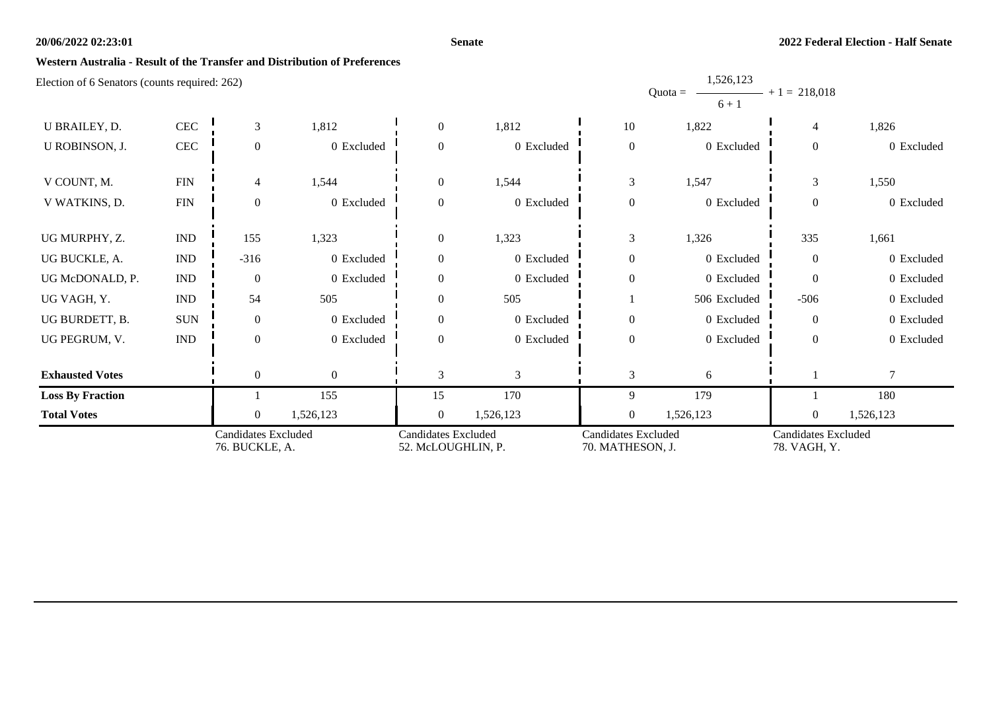#### **Senate**

1,526,123

### **Western Australia - Result of the Transfer and Distribution of Preferences**

|                         |                             | <b>Candidates Excluded</b><br>76. BUCKLE, A. |              | <b>Candidates Excluded</b><br>52. McLOUGHLIN, P. |            | <b>Candidates Excluded</b><br>70. MATHESON, J. |                      | <b>Candidates Excluded</b><br>78. VAGH, Y. |            |
|-------------------------|-----------------------------|----------------------------------------------|--------------|--------------------------------------------------|------------|------------------------------------------------|----------------------|--------------------------------------------|------------|
| <b>Total Votes</b>      |                             | $\Omega$                                     | 1,526,123    | $\overline{0}$                                   | 1,526,123  | $\overline{0}$                                 | 1,526,123            | $\overline{0}$                             | 1,526,123  |
| <b>Loss By Fraction</b> |                             |                                              | 155          | 15                                               | 170        | 9                                              | 179                  |                                            | 180        |
| <b>Exhausted Votes</b>  |                             | $\overline{0}$                               | $\mathbf{0}$ | 3                                                | 3          | 3                                              | 6                    |                                            | $\tau$     |
| UG PEGRUM, V.           | $\mathop{\rm IND}\nolimits$ | $\Omega$                                     | 0 Excluded   | $\Omega$                                         | 0 Excluded | $\overline{0}$                                 | 0 Excluded           | $\Omega$                                   | 0 Excluded |
| UG BURDETT, B.          | <b>SUN</b>                  | $\theta$                                     | 0 Excluded   | $\theta$                                         | 0 Excluded | $\boldsymbol{0}$                               | 0 Excluded           | $\overline{0}$                             | 0 Excluded |
| UG VAGH, Y.             | $\ensuremath{\mathsf{IND}}$ | 54                                           | 505          | $\theta$                                         | 505        |                                                | 506 Excluded         | $-506$                                     | 0 Excluded |
| UG McDONALD, P.         | $\ensuremath{\mathsf{IND}}$ | $\overline{0}$                               | 0 Excluded   | $\theta$                                         | 0 Excluded | $\mathbf{0}$                                   | 0 Excluded           | $\Omega$                                   | 0 Excluded |
| UG BUCKLE, A.           | $\mathop{\rm IND}\nolimits$ | $-316$                                       | 0 Excluded   | $\overline{0}$                                   | 0 Excluded | $\overline{0}$                                 | 0 Excluded           | $\overline{0}$                             | 0 Excluded |
| UG MURPHY, Z.           | $\mathop{\rm IND}\nolimits$ | 155                                          | 1,323        | $\overline{0}$                                   | 1,323      | 3                                              | 1,326                | 335                                        | 1,661      |
| V WATKINS, D.           | ${\rm FIN}$                 | $\theta$                                     | 0 Excluded   | $\theta$                                         | 0 Excluded | $\boldsymbol{0}$                               | 0 Excluded           | $\overline{0}$                             | 0 Excluded |
| V COUNT, M.             | ${\rm FIN}$                 | 4                                            | 1,544        | $\overline{0}$                                   | 1,544      | 3                                              | 1,547                | 3                                          | 1,550      |
| U ROBINSON, J.          | $\rm CEC$                   | $\overline{0}$                               | 0 Excluded   | $\theta$                                         | 0 Excluded | $\boldsymbol{0}$                               | 0 Excluded           | $\overline{0}$                             | 0 Excluded |
| U BRAILEY, D.           | CEC                         | 3                                            | 1,812        | $\overline{0}$                                   | 1,812      | 10                                             | 1,822                | 4                                          | 1,826      |
|                         |                             |                                              |              |                                                  |            |                                                | $Quota =$<br>$6 + 1$ | $-$ + 1 = 218,018                          |            |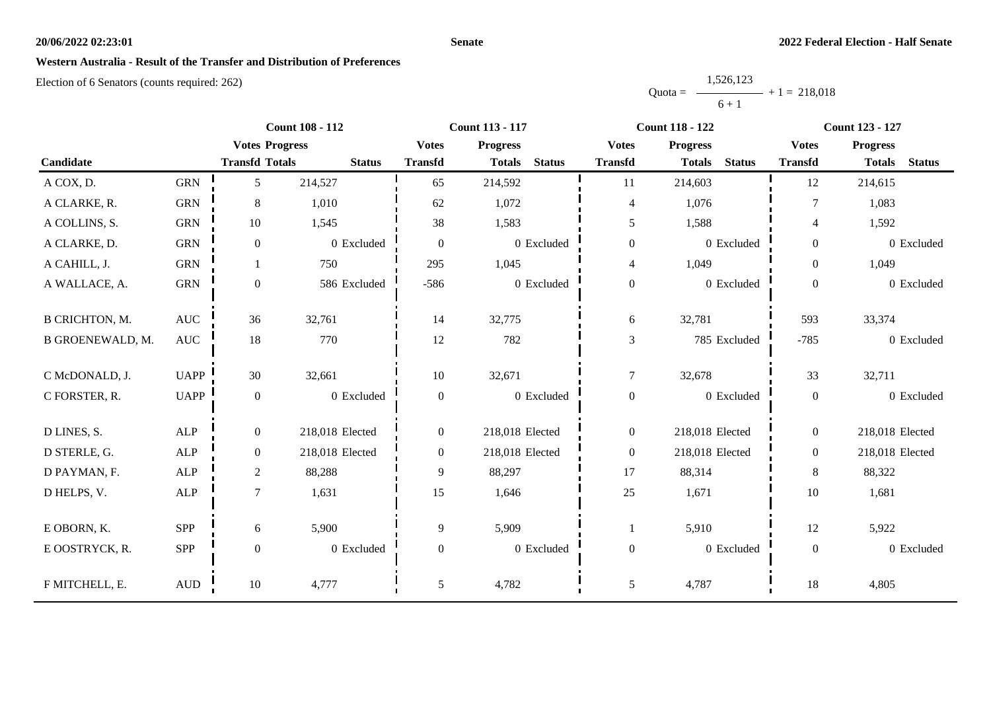#### **Senate**

## **Western Australia - Result of the Transfer and Distribution of Preferences**

|           | 1,526,123      |  |
|-----------|----------------|--|
| $Quota =$ | $+1 = 218,018$ |  |
|           | $6 + 1$        |  |

|                       |              |                       | <b>Count 108 - 112</b> |                  | <b>Count 113 - 117</b>         |                  | <b>Count 118 - 122</b>         |                  | <b>Count 123 - 127</b>         |
|-----------------------|--------------|-----------------------|------------------------|------------------|--------------------------------|------------------|--------------------------------|------------------|--------------------------------|
|                       |              | <b>Votes Progress</b> |                        | <b>Votes</b>     | <b>Progress</b>                | <b>Votes</b>     | <b>Progress</b>                | <b>Votes</b>     | <b>Progress</b>                |
| Candidate             |              | <b>Transfd Totals</b> | <b>Status</b>          | <b>Transfd</b>   | <b>Status</b><br><b>Totals</b> | <b>Transfd</b>   | <b>Status</b><br><b>Totals</b> | <b>Transfd</b>   | <b>Status</b><br><b>Totals</b> |
| A COX, D.             | <b>GRN</b>   | 5                     | 214,527                | 65               | 214,592                        | 11               | 214,603                        | 12               | 214,615                        |
| A CLARKE, R.          | <b>GRN</b>   | 8                     | 1,010                  | 62               | 1,072                          | $\overline{4}$   | 1,076                          | 7                | 1,083                          |
| A COLLINS, S.         | <b>GRN</b>   | 10                    | 1,545                  | 38               | 1,583                          | 5                | 1,588                          | $\overline{4}$   | 1,592                          |
| A CLARKE, D.          | <b>GRN</b>   | $\boldsymbol{0}$      | 0 Excluded             | $\boldsymbol{0}$ | 0 Excluded                     | $\boldsymbol{0}$ | 0 Excluded                     | $\overline{0}$   | 0 Excluded                     |
| A CAHILL, J.          | <b>GRN</b>   |                       | 750                    | 295              | 1,045                          | $\overline{4}$   | 1,049                          | $\overline{0}$   | 1,049                          |
| A WALLACE, A.         | <b>GRN</b>   | $\boldsymbol{0}$      | 586 Excluded           | $-586$           | 0 Excluded                     | $\boldsymbol{0}$ | 0 Excluded                     | $\overline{0}$   | 0 Excluded                     |
| <b>B CRICHTON, M.</b> | <b>AUC</b>   | 36                    | 32,761                 | 14               | 32,775                         | 6                | 32,781                         | 593              | 33,374                         |
| B GROENEWALD, M.      | AUC          | $18\,$                | 770                    | 12               | 782                            | $\mathfrak{Z}$   | 785 Excluded                   | $-785$           | 0 Excluded                     |
| C McDONALD, J.        | <b>UAPP</b>  | 30                    | 32,661                 | 10               | 32,671                         | $\overline{7}$   | 32,678                         | 33               | 32,711                         |
| C FORSTER, R.         | <b>UAPP</b>  | $\boldsymbol{0}$      | 0 Excluded             | $\boldsymbol{0}$ | 0 Excluded                     | $\boldsymbol{0}$ | 0 Excluded                     | $\overline{0}$   | 0 Excluded                     |
| D LINES, S.           | <b>ALP</b>   | $\mathbf{0}$          | 218,018 Elected        | $\overline{0}$   | 218,018 Elected                | $\boldsymbol{0}$ | 218,018 Elected                | $\overline{0}$   | 218,018 Elected                |
| D STERLE, G.          | ALP          | $\overline{0}$        | 218,018 Elected        | $\overline{0}$   | 218,018 Elected                | $\boldsymbol{0}$ | 218,018 Elected                | $\overline{0}$   | 218,018 Elected                |
| D PAYMAN, F.          | ALP          | $\sqrt{2}$            | 88,288                 | 9                | 88,297                         | 17               | 88,314                         | 8                | 88,322                         |
| D HELPS, V.           | $\mbox{ALP}$ | $\tau$                | 1,631                  | 15               | 1,646                          | $25\,$           | 1,671                          | 10               | 1,681                          |
| E OBORN, K.           | <b>SPP</b>   | 6                     | 5,900                  | 9                | 5,909                          | 1                | 5,910                          | 12               | 5,922                          |
| E OOSTRYCK, R.        | <b>SPP</b>   | $\boldsymbol{0}$      | 0 Excluded             | $\boldsymbol{0}$ | 0 Excluded                     | $\boldsymbol{0}$ | 0 Excluded                     | $\boldsymbol{0}$ | 0 Excluded                     |
| F MITCHELL, E.        | $\mbox{AUD}$ | 10                    | 4,777                  | 5                | 4,782                          | $\mathfrak{S}$   | 4,787                          | 18               | 4,805                          |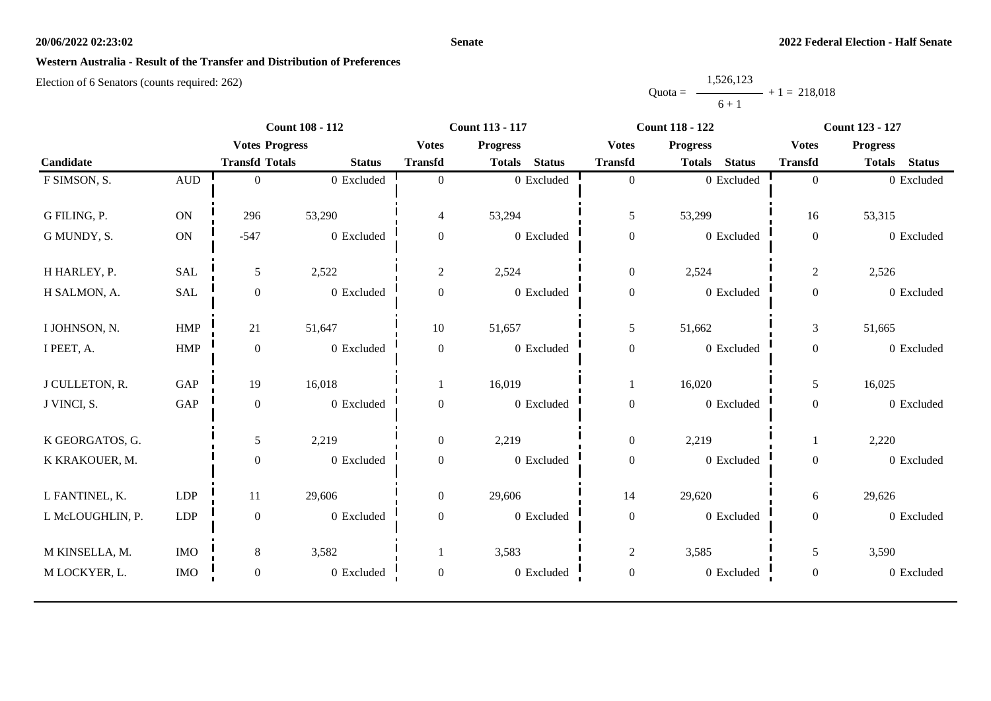#### **Senate**

### **Western Australia - Result of the Transfer and Distribution of Preferences**

|           | 1,526,123      |  |
|-----------|----------------|--|
| $Quota =$ | $+1 = 218,018$ |  |
|           | $6 + 1$        |  |

|                  |              |                       | <b>Count 108 - 112</b> |                  | Count 113 - 117                | <b>Count 118 - 122</b> |                                | Count 123 - 127  |                 |
|------------------|--------------|-----------------------|------------------------|------------------|--------------------------------|------------------------|--------------------------------|------------------|-----------------|
|                  |              | <b>Votes Progress</b> |                        | <b>Votes</b>     | <b>Progress</b>                | <b>Votes</b>           | <b>Progress</b>                | <b>Votes</b>     | <b>Progress</b> |
| Candidate        |              | <b>Transfd Totals</b> | <b>Status</b>          | <b>Transfd</b>   | <b>Status</b><br><b>Totals</b> | <b>Transfd</b>         | <b>Status</b><br><b>Totals</b> | <b>Transfd</b>   | Totals Status   |
| F SIMSON, S.     | $\mbox{AUD}$ | $\Omega$              | 0 Excluded             | $\theta$         | 0 Excluded                     | $\mathbf{0}$           | 0 Excluded                     | $\overline{0}$   | 0 Excluded      |
|                  |              |                       |                        |                  |                                |                        |                                |                  |                 |
| G FILING, P.     | ON           | 296                   | 53,290                 | $\overline{4}$   | 53,294                         | $\mathfrak{H}$         | 53,299                         | 16               | 53,315          |
| G MUNDY, S.      | ON           | $-547$                | 0 Excluded             | $\boldsymbol{0}$ | 0 Excluded                     | $\boldsymbol{0}$       | 0 Excluded                     | $\boldsymbol{0}$ | 0 Excluded      |
|                  |              |                       |                        |                  |                                |                        |                                |                  |                 |
| H HARLEY, P.     | <b>SAL</b>   | 5                     | 2,522                  | $\overline{2}$   | 2,524                          | $\boldsymbol{0}$       | 2,524                          | $\sqrt{2}$       | 2,526           |
| H SALMON, A.     | SAL          | $\boldsymbol{0}$      | 0 Excluded             | $\mathbf{0}$     | 0 Excluded                     | $\boldsymbol{0}$       | 0 Excluded                     | $\boldsymbol{0}$ | 0 Excluded      |
|                  |              |                       |                        |                  |                                |                        |                                |                  |                 |
| I JOHNSON, N.    | ${\rm HMP}$  | 21                    | 51,647                 | 10               | 51,657                         | $\mathfrak{H}$         | 51,662                         | $\mathfrak{Z}$   | 51,665          |
| I PEET, A.       | HMP          | $\mathbf{0}$          | 0 Excluded             | $\mathbf{0}$     | 0 Excluded                     | $\boldsymbol{0}$       | 0 Excluded                     | $\boldsymbol{0}$ | 0 Excluded      |
|                  |              |                       |                        |                  |                                |                        |                                |                  |                 |
| J CULLETON, R.   | GAP          | 19                    | 16,018                 |                  | 16,019                         | 1                      | 16,020                         | 5                | 16,025          |
| J VINCI, S.      | GAP          | $\overline{0}$        | 0 Excluded             | $\mathbf{0}$     | 0 Excluded                     | $\boldsymbol{0}$       | 0 Excluded                     | $\boldsymbol{0}$ | 0 Excluded      |
|                  |              |                       |                        |                  |                                |                        |                                |                  |                 |
| K GEORGATOS, G.  |              | 5                     | 2,219                  | $\overline{0}$   | 2,219                          | $\boldsymbol{0}$       | 2,219                          | -1               | 2,220           |
| K KRAKOUER, M.   |              | $\boldsymbol{0}$      | 0 Excluded             | $\boldsymbol{0}$ | 0 Excluded                     | $\boldsymbol{0}$       | 0 Excluded                     | $\boldsymbol{0}$ | 0 Excluded      |
| L FANTINEL, K.   | LDP          | 11                    | 29,606                 | $\overline{0}$   | 29,606                         | 14                     | 29,620                         | $6\,$            | 29,626          |
|                  |              |                       |                        |                  |                                |                        |                                |                  |                 |
| L McLOUGHLIN, P. | LDP          | $\overline{0}$        | 0 Excluded             | $\overline{0}$   | 0 Excluded                     | $\boldsymbol{0}$       | 0 Excluded                     | $\mathbf{0}$     | 0 Excluded      |
| M KINSELLA, M.   | $\rm{IMO}$   | 8                     | 3,582                  |                  | 3,583                          | $\sqrt{2}$             | 3,585                          | 5                | 3,590           |
| M LOCKYER, L.    | <b>IMO</b>   | $\boldsymbol{0}$      | 0 Excluded             | $\boldsymbol{0}$ | 0 Excluded                     | $\boldsymbol{0}$       | 0 Excluded                     | $\boldsymbol{0}$ | 0 Excluded      |
|                  |              |                       |                        |                  |                                |                        |                                |                  |                 |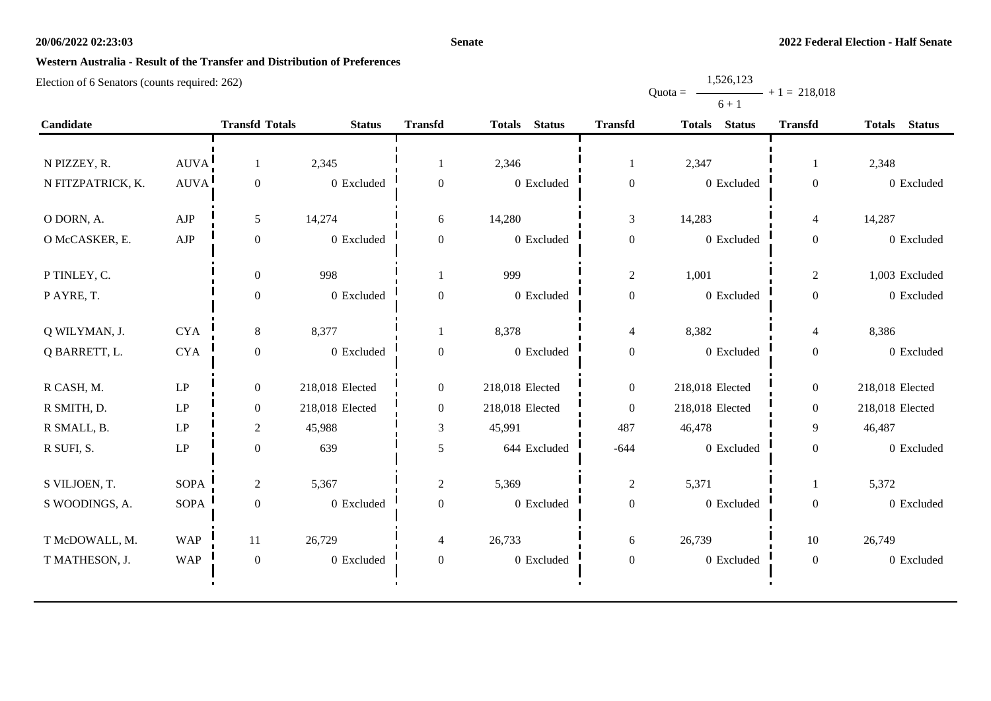#### **Senate**

Quota =

1,526,123

 $+ 1 = 218,018$ 

# **Western Australia - Result of the Transfer and Distribution of Preferences**

|                   |             |                       |                 |                  |                                |                  | $6 + 1$                        |                  |                                |
|-------------------|-------------|-----------------------|-----------------|------------------|--------------------------------|------------------|--------------------------------|------------------|--------------------------------|
| Candidate         |             | <b>Transfd Totals</b> | <b>Status</b>   | <b>Transfd</b>   | <b>Status</b><br><b>Totals</b> | <b>Transfd</b>   | <b>Status</b><br><b>Totals</b> | <b>Transfd</b>   | <b>Totals</b><br><b>Status</b> |
|                   |             |                       |                 |                  |                                |                  |                                |                  |                                |
| N PIZZEY, R.      | <b>AUVA</b> | 1                     | 2,345           |                  | 2,346                          | 1                | 2,347                          | 1                | 2,348                          |
| N FITZPATRICK, K. | <b>AUVA</b> | $\boldsymbol{0}$      | 0 Excluded      | $\boldsymbol{0}$ | 0 Excluded                     | $\boldsymbol{0}$ | 0 Excluded                     | $\boldsymbol{0}$ | 0 Excluded                     |
| O DORN, A.        | AJP         | 5                     | 14,274          | 6                | 14,280                         | $\mathfrak{Z}$   | 14,283                         | $\overline{4}$   | 14,287                         |
| O McCASKER, E.    | AJP         | $\boldsymbol{0}$      | 0 Excluded      | $\mathbf{0}$     | 0 Excluded                     | $\boldsymbol{0}$ | 0 Excluded                     | $\boldsymbol{0}$ | 0 Excluded                     |
| P TINLEY, C.      |             | $\boldsymbol{0}$      | 998             |                  | 999                            | $\sqrt{2}$       | 1,001                          | $\sqrt{2}$       | 1,003 Excluded                 |
| P AYRE, T.        |             | $\boldsymbol{0}$      | 0 Excluded      | $\boldsymbol{0}$ | 0 Excluded                     | $\boldsymbol{0}$ | 0 Excluded                     | $\boldsymbol{0}$ | 0 Excluded                     |
| Q WILYMAN, J.     | <b>CYA</b>  | 8                     | 8,377           |                  | 8,378                          | $\overline{4}$   | 8,382                          | $\overline{4}$   | 8,386                          |
| Q BARRETT, L.     | <b>CYA</b>  | $\boldsymbol{0}$      | 0 Excluded      | $\boldsymbol{0}$ | 0 Excluded                     | $\boldsymbol{0}$ | 0 Excluded                     | $\boldsymbol{0}$ | 0 Excluded                     |
| R CASH, M.        | LP          | $\overline{0}$        | 218,018 Elected | $\boldsymbol{0}$ | 218,018 Elected                | $\boldsymbol{0}$ | 218,018 Elected                | $\boldsymbol{0}$ | 218,018 Elected                |
| R SMITH, D.       | LP          | $\boldsymbol{0}$      | 218,018 Elected | $\boldsymbol{0}$ | 218,018 Elected                | $\boldsymbol{0}$ | 218,018 Elected                | $\boldsymbol{0}$ | 218,018 Elected                |
| R SMALL, B.       | LP          | $\overline{2}$        | 45,988          | 3                | 45,991                         | 487              | 46,478                         | 9                | 46,487                         |
| R SUFI, S.        | LP          | $\mathbf{0}$          | 639             | 5                | 644 Excluded                   | $-644$           | 0 Excluded                     | $\boldsymbol{0}$ | 0 Excluded                     |
| S VILJOEN, T.     | <b>SOPA</b> | $\overline{c}$        | 5,367           | $\mathbf{2}$     | 5,369                          | $\boldsymbol{2}$ | 5,371                          | -1               | 5,372                          |
| S WOODINGS, A.    | <b>SOPA</b> | $\mathbf{0}$          | 0 Excluded      | $\overline{0}$   | 0 Excluded                     | $\boldsymbol{0}$ | 0 Excluded                     | $\boldsymbol{0}$ | 0 Excluded                     |
| T McDOWALL, M.    | <b>WAP</b>  | 11                    | 26,729          | $\overline{4}$   | 26,733                         | 6                | 26,739                         | 10               | 26,749                         |
| T MATHESON, J.    | <b>WAP</b>  | $\mathbf{0}$          | 0 Excluded      | $\mathbf{0}$     | 0 Excluded                     | $\boldsymbol{0}$ | 0 Excluded                     | $\boldsymbol{0}$ | 0 Excluded                     |
|                   |             |                       |                 |                  |                                |                  |                                |                  |                                |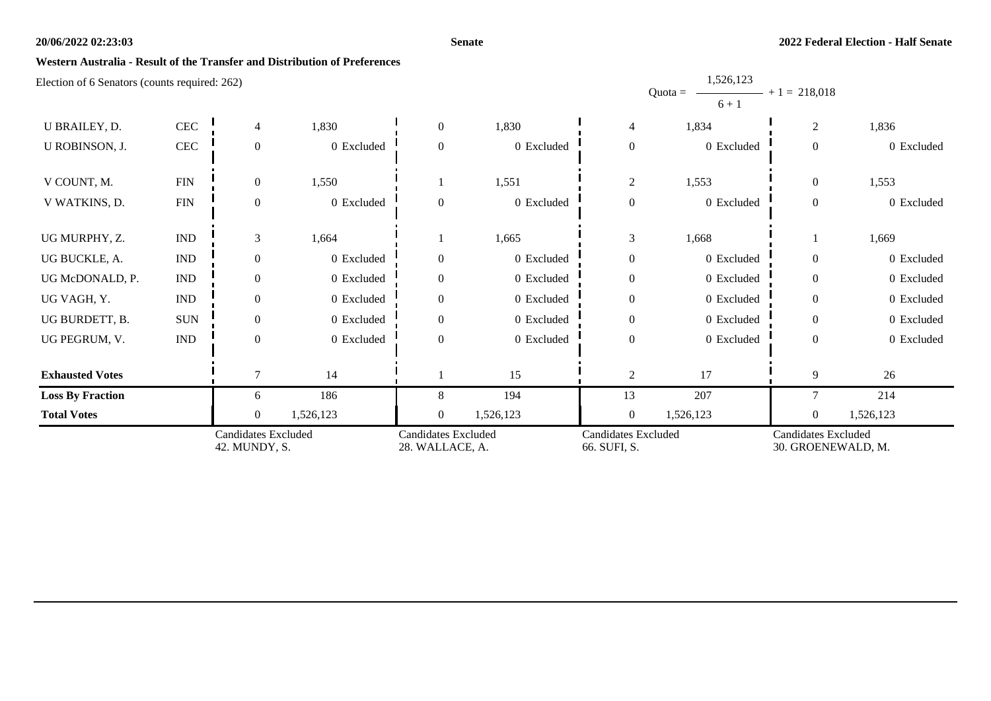#### **Senate**

1,526,123

## **Western Australia - Result of the Transfer and Distribution of Preferences**

| Election of 6 Senators (counts required: 262) |                             |                                             |            |                                               |            |                                            | 1,320,123<br>$Quota =$<br>$6 + 1$ | $+1 = 218,018$                                   |            |
|-----------------------------------------------|-----------------------------|---------------------------------------------|------------|-----------------------------------------------|------------|--------------------------------------------|-----------------------------------|--------------------------------------------------|------------|
| U BRAILEY, D.                                 | $\mbox{CEC}$                | 4                                           | 1,830      | $\overline{0}$                                | 1,830      | 4                                          | 1,834                             | $\overline{c}$                                   | 1,836      |
| U ROBINSON, J.                                | $\mbox{CEC}$                | $\theta$                                    | 0 Excluded | $\theta$                                      | 0 Excluded | $\overline{0}$                             | 0 Excluded                        | $\overline{0}$                                   | 0 Excluded |
| V COUNT, M.                                   | <b>FIN</b>                  | $\overline{0}$                              | 1,550      |                                               | 1,551      | $\overline{c}$                             | 1,553                             | $\theta$                                         | 1,553      |
| V WATKINS, D.                                 | <b>FIN</b>                  | $\theta$                                    | 0 Excluded | $\theta$                                      | 0 Excluded | $\overline{0}$                             | 0 Excluded                        | $\overline{0}$                                   | 0 Excluded |
| UG MURPHY, Z.                                 | $\mathop{\rm IND}\nolimits$ | 3                                           | 1,664      |                                               | 1,665      | 3                                          | 1,668                             |                                                  | 1,669      |
| UG BUCKLE, A.                                 | $\mathop{\rm IND}\nolimits$ | $\Omega$                                    | 0 Excluded | $\Omega$                                      | 0 Excluded | $\overline{0}$                             | 0 Excluded                        | $\Omega$                                         | 0 Excluded |
| UG McDONALD, P.                               | $\mathop{\rm IND}\nolimits$ | $\overline{0}$                              | 0 Excluded | $\overline{0}$                                | 0 Excluded | $\mathbf{0}$                               | 0 Excluded                        | $\Omega$                                         | 0 Excluded |
| UG VAGH, Y.                                   | $\mathop{\rm IND}\nolimits$ | $\mathbf{0}$                                | 0 Excluded | $\overline{0}$                                | 0 Excluded | $\boldsymbol{0}$                           | 0 Excluded                        | $\theta$                                         | 0 Excluded |
| UG BURDETT, B.                                | $\rm SUN$                   | $\overline{0}$                              | 0 Excluded | $\overline{0}$                                | 0 Excluded | $\overline{0}$                             | 0 Excluded                        | $\theta$                                         | 0 Excluded |
| UG PEGRUM, V.                                 | $\mathop{\rm IND}\nolimits$ | $\mathbf{0}$                                | 0 Excluded | $\theta$                                      | 0 Excluded | $\boldsymbol{0}$                           | 0 Excluded                        | $\Omega$                                         | 0 Excluded |
| <b>Exhausted Votes</b>                        |                             |                                             | 14         |                                               | 15         | $\mathfrak{2}$                             | 17                                | 9                                                | 26         |
| <b>Loss By Fraction</b>                       |                             | 6                                           | 186        | 8                                             | 194        | 13                                         | 207                               | $\overline{7}$                                   | 214        |
| <b>Total Votes</b>                            |                             | $\theta$                                    | 1,526,123  | $\overline{0}$                                | 1,526,123  | $\boldsymbol{0}$                           | 1,526,123                         | $\overline{0}$                                   | 1,526,123  |
|                                               |                             | <b>Candidates Excluded</b><br>42. MUNDY, S. |            | <b>Candidates Excluded</b><br>28. WALLACE, A. |            | <b>Candidates Excluded</b><br>66. SUFI, S. |                                   | <b>Candidates Excluded</b><br>30. GROENEWALD, M. |            |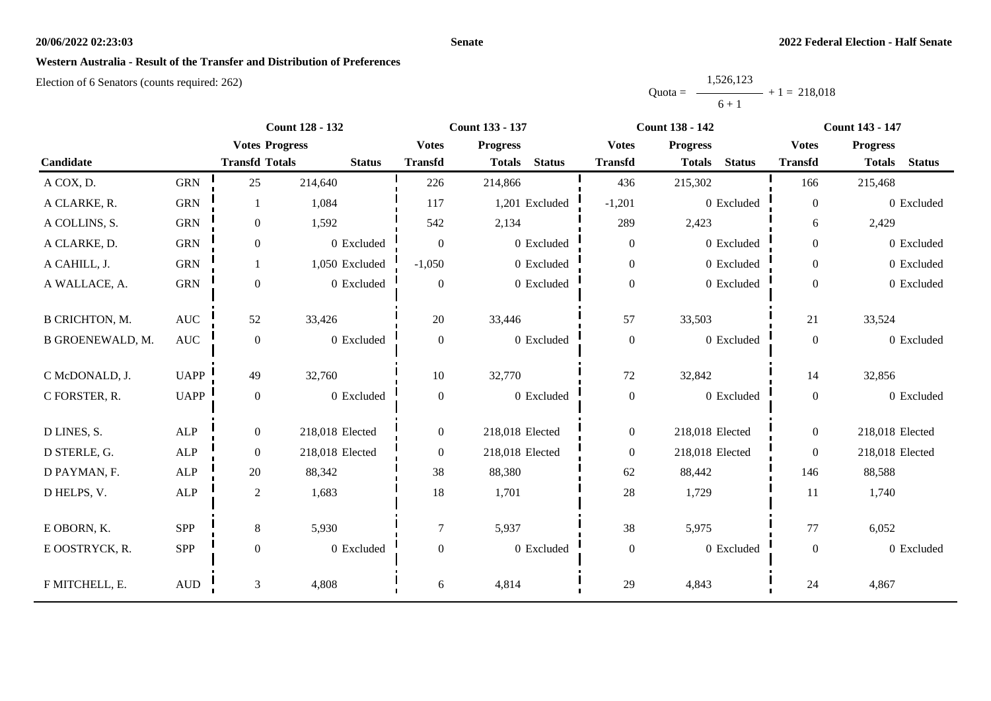#### **Senate**

## **Western Australia - Result of the Transfer and Distribution of Preferences**

|           | 1,526,123      |  |
|-----------|----------------|--|
| $Quota =$ | $+1 = 218,018$ |  |
|           | $6 + 1$        |  |

|                       |              |                       | <b>Count 128 - 132</b> |                  | <b>Count 133 - 137</b>         |                  | <b>Count 138 - 142</b>         |                  | <b>Count 143 - 147</b>         |
|-----------------------|--------------|-----------------------|------------------------|------------------|--------------------------------|------------------|--------------------------------|------------------|--------------------------------|
|                       |              | <b>Votes Progress</b> |                        | <b>Votes</b>     | <b>Progress</b>                | <b>Votes</b>     | <b>Progress</b>                | <b>Votes</b>     | <b>Progress</b>                |
| Candidate             |              | <b>Transfd Totals</b> | <b>Status</b>          | <b>Transfd</b>   | <b>Status</b><br><b>Totals</b> | <b>Transfd</b>   | <b>Status</b><br><b>Totals</b> | <b>Transfd</b>   | <b>Status</b><br><b>Totals</b> |
| A COX, D.             | <b>GRN</b>   | 25                    | 214,640                | 226              | 214,866                        | 436              | 215,302                        | 166              | 215,468                        |
| A CLARKE, R.          | <b>GRN</b>   | 1                     | 1,084                  | 117              | 1,201 Excluded                 | $-1,201$         | 0 Excluded                     | $\boldsymbol{0}$ | 0 Excluded                     |
| A COLLINS, S.         | <b>GRN</b>   | $\overline{0}$        | 1,592                  | 542              | 2,134                          | 289              | 2,423                          | 6                | 2,429                          |
| A CLARKE, D.          | <b>GRN</b>   | $\mathbf{0}$          | 0 Excluded             | $\boldsymbol{0}$ | 0 Excluded                     | $\boldsymbol{0}$ | 0 Excluded                     | $\overline{0}$   | 0 Excluded                     |
| A CAHILL, J.          | <b>GRN</b>   | 1                     | 1,050 Excluded         | $-1,050$         | 0 Excluded                     | $\boldsymbol{0}$ | 0 Excluded                     | $\overline{0}$   | 0 Excluded                     |
| A WALLACE, A.         | <b>GRN</b>   | $\boldsymbol{0}$      | 0 Excluded             | $\boldsymbol{0}$ | 0 Excluded                     | $\boldsymbol{0}$ | 0 Excluded                     | $\overline{0}$   | 0 Excluded                     |
|                       |              |                       |                        |                  |                                |                  |                                |                  |                                |
| <b>B CRICHTON, M.</b> | <b>AUC</b>   | 52                    | 33,426                 | 20               | 33,446                         | 57               | 33,503                         | 21               | 33,524                         |
| B GROENEWALD, M.      | <b>AUC</b>   | $\boldsymbol{0}$      | 0 Excluded             | $\boldsymbol{0}$ | 0 Excluded                     | $\boldsymbol{0}$ | 0 Excluded                     | $\boldsymbol{0}$ | 0 Excluded                     |
| C McDONALD, J.        | <b>UAPP</b>  | 49                    | 32,760                 | 10               | 32,770                         | 72               | 32,842                         | 14               | 32,856                         |
| C FORSTER, R.         | <b>UAPP</b>  | $\boldsymbol{0}$      | 0 Excluded             | $\boldsymbol{0}$ | 0 Excluded                     | $\boldsymbol{0}$ | 0 Excluded                     | $\overline{0}$   | 0 Excluded                     |
| D LINES, S.           | ALP          | $\boldsymbol{0}$      | 218,018 Elected        | $\overline{0}$   | 218,018 Elected                | $\boldsymbol{0}$ | 218,018 Elected                | $\overline{0}$   | 218,018 Elected                |
|                       |              |                       |                        |                  |                                |                  |                                |                  |                                |
| D STERLE, G.          | ALP          | $\boldsymbol{0}$      | 218,018 Elected        | $\overline{0}$   | 218,018 Elected                | $\boldsymbol{0}$ | 218,018 Elected                | $\overline{0}$   | 218,018 Elected                |
| D PAYMAN, F.          | ALP          | 20                    | 88,342                 | 38               | 88,380                         | 62               | 88,442                         | 146              | 88,588                         |
| D HELPS, V.           | ALP          | $\sqrt{2}$            | 1,683                  | 18               | 1,701                          | 28               | 1,729                          | 11               | 1,740                          |
| E OBORN, K.           | SPP          | 8                     | 5,930                  | $\overline{7}$   | 5,937                          | 38               | 5,975                          | 77               | 6,052                          |
|                       |              |                       |                        |                  |                                |                  |                                |                  |                                |
| E OOSTRYCK, R.        | SPP          | $\boldsymbol{0}$      | 0 Excluded             | $\overline{0}$   | 0 Excluded                     | $\boldsymbol{0}$ | 0 Excluded                     | $\overline{0}$   | 0 Excluded                     |
| F MITCHELL, E.        | $\mbox{AUD}$ | $\mathfrak{Z}$        | 4,808                  | 6                | 4,814                          | 29               | 4,843                          | 24               | 4,867                          |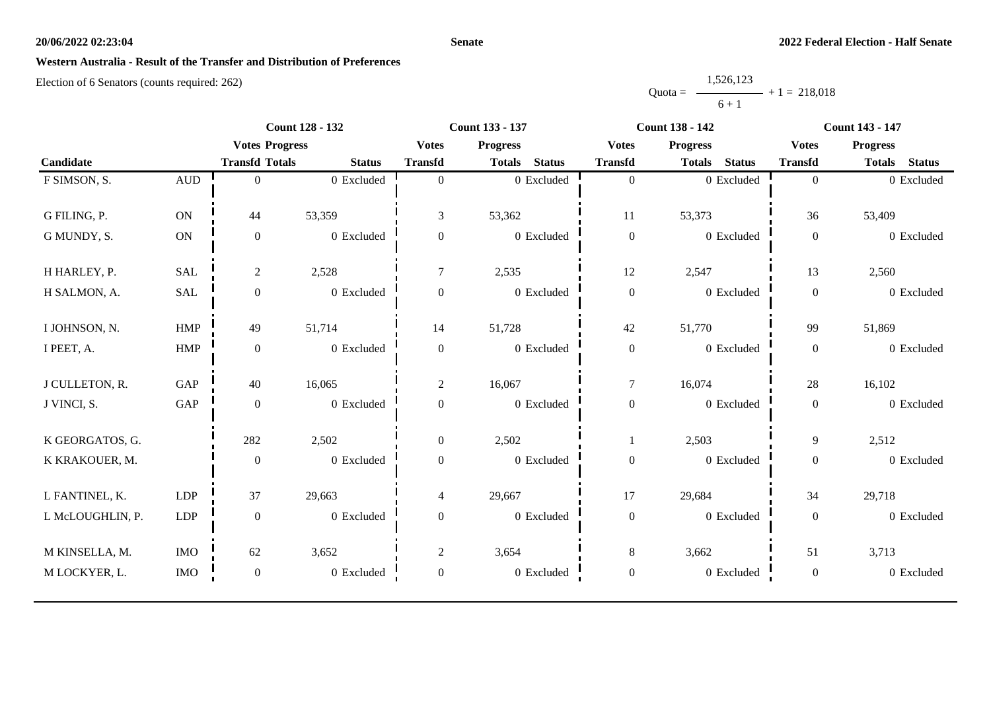#### **Senate**

## **Western Australia - Result of the Transfer and Distribution of Preferences**

|           | 1,526,123      |  |
|-----------|----------------|--|
| $Quota =$ | $+1 = 218,018$ |  |
|           | $6 + 1$        |  |

|                  |                  | <b>Count 128 - 132</b> |               |                  | <b>Count 133 - 137</b>         |                  | <b>Count 138 - 142</b>         | <b>Count 143 - 147</b> |                                |  |
|------------------|------------------|------------------------|---------------|------------------|--------------------------------|------------------|--------------------------------|------------------------|--------------------------------|--|
|                  |                  | <b>Votes Progress</b>  |               | <b>Votes</b>     | <b>Progress</b>                | <b>Votes</b>     | <b>Progress</b>                | <b>Votes</b>           | <b>Progress</b>                |  |
| Candidate        |                  | <b>Transfd Totals</b>  | <b>Status</b> | <b>Transfd</b>   | <b>Status</b><br><b>Totals</b> | <b>Transfd</b>   | <b>Status</b><br><b>Totals</b> | <b>Transfd</b>         | <b>Status</b><br><b>Totals</b> |  |
| F SIMSON, S.     | $\mbox{\rm AUD}$ | $\Omega$               | 0 Excluded    | $\Omega$         | 0 Excluded                     | $\boldsymbol{0}$ | 0 Excluded                     | $\overline{0}$         | 0 Excluded                     |  |
|                  |                  |                        |               |                  |                                |                  |                                |                        |                                |  |
| G FILING, P.     | ON               | 44                     | 53,359        | 3                | 53,362                         | 11               | 53,373                         | 36                     | 53,409                         |  |
| G MUNDY, S.      | <b>ON</b>        | $\boldsymbol{0}$       | 0 Excluded    | $\boldsymbol{0}$ | 0 Excluded                     | $\boldsymbol{0}$ | 0 Excluded                     | $\boldsymbol{0}$       | 0 Excluded                     |  |
|                  |                  |                        |               |                  |                                |                  |                                |                        |                                |  |
| H HARLEY, P.     | <b>SAL</b>       | $\overline{2}$         | 2,528         | $\tau$           | 2,535                          | 12               | 2,547                          | 13                     | 2,560                          |  |
| H SALMON, A.     | SAL              | $\boldsymbol{0}$       | 0 Excluded    | $\overline{0}$   | 0 Excluded                     | $\boldsymbol{0}$ | 0 Excluded                     | $\boldsymbol{0}$       | 0 Excluded                     |  |
| I JOHNSON, N.    | <b>HMP</b>       | 49                     | 51,714        | 14               | 51,728                         | 42               | 51,770                         | 99                     | 51,869                         |  |
|                  |                  |                        |               |                  |                                |                  |                                |                        |                                |  |
| I PEET, A.       | ${\rm HMP}$      | $\mathbf{0}$           | 0 Excluded    | $\boldsymbol{0}$ | 0 Excluded                     | $\boldsymbol{0}$ | 0 Excluded                     | $\overline{0}$         | 0 Excluded                     |  |
| J CULLETON, R.   | GAP              | 40                     | 16,065        | $\overline{2}$   | 16,067                         | $\tau$           | 16,074                         | 28                     | 16,102                         |  |
| J VINCI, S.      | GAP              | $\mathbf{0}$           | 0 Excluded    | $\overline{0}$   | 0 Excluded                     | $\boldsymbol{0}$ | 0 Excluded                     | $\overline{0}$         | 0 Excluded                     |  |
|                  |                  |                        |               |                  |                                |                  |                                |                        |                                |  |
| K GEORGATOS, G.  |                  | 282                    | 2,502         | $\overline{0}$   | 2,502                          |                  | 2,503                          | 9                      | 2,512                          |  |
| K KRAKOUER, M.   |                  | $\mathbf{0}$           | 0 Excluded    | $\boldsymbol{0}$ | 0 Excluded                     | $\boldsymbol{0}$ | 0 Excluded                     | $\overline{0}$         | 0 Excluded                     |  |
| L FANTINEL, K.   | LDP              | 37                     | 29,663        | $\overline{4}$   | 29,667                         | 17               | 29,684                         | 34                     | 29,718                         |  |
| L McLOUGHLIN, P. | LDP              | $\mathbf{0}$           | 0 Excluded    | $\mathbf{0}$     | 0 Excluded                     | $\boldsymbol{0}$ | 0 Excluded                     | $\overline{0}$         | 0 Excluded                     |  |
|                  |                  |                        |               |                  |                                |                  |                                |                        |                                |  |
| M KINSELLA, M.   | <b>IMO</b>       | 62                     | 3,652         | $\overline{c}$   | 3,654                          | $8\,$            | 3,662                          | 51                     | 3,713                          |  |
| M LOCKYER, L.    | <b>IMO</b>       | $\boldsymbol{0}$       | 0 Excluded    | $\mathbf{0}$     | 0 Excluded                     | $\boldsymbol{0}$ | 0 Excluded                     | $\mathbf{0}$           | 0 Excluded                     |  |
|                  |                  |                        |               |                  |                                |                  |                                |                        |                                |  |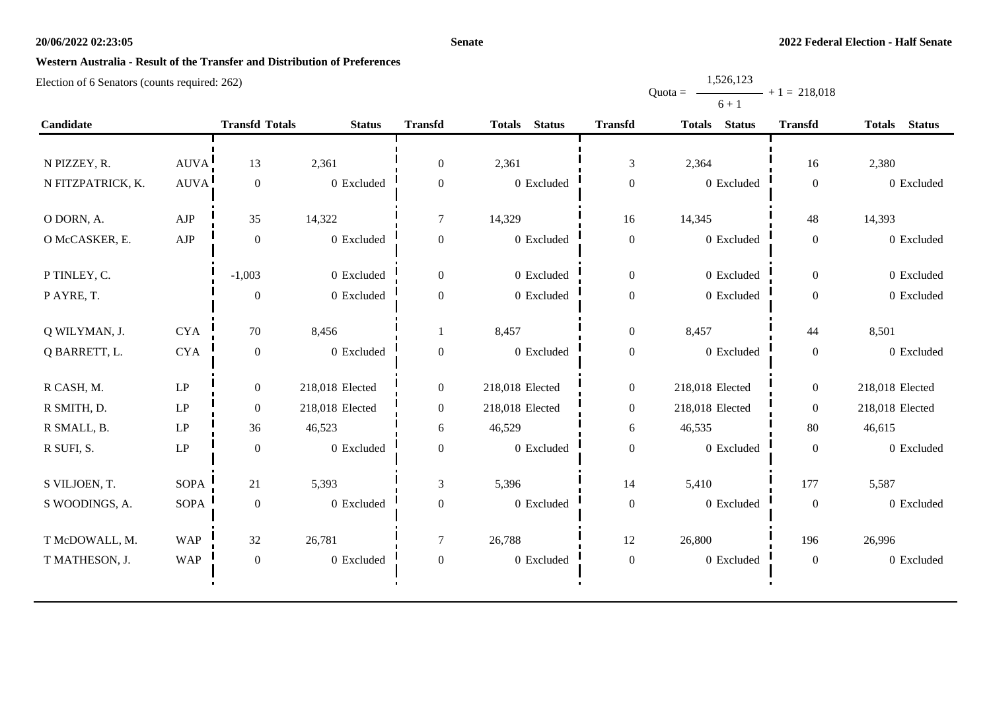#### **Senate**

Quota =

1,526,123

 $+ 1 = 218,018$ 

# **Western Australia - Result of the Transfer and Distribution of Preferences**

|                   |                            |                       |                 |                  |                                |                  | $6 + 1$                        |                  |                                |
|-------------------|----------------------------|-----------------------|-----------------|------------------|--------------------------------|------------------|--------------------------------|------------------|--------------------------------|
| Candidate         |                            | <b>Transfd Totals</b> | <b>Status</b>   | <b>Transfd</b>   | <b>Totals</b><br><b>Status</b> | <b>Transfd</b>   | <b>Status</b><br><b>Totals</b> | <b>Transfd</b>   | <b>Status</b><br><b>Totals</b> |
|                   |                            |                       |                 |                  |                                |                  |                                |                  |                                |
| N PIZZEY, R.      | AUVA!                      | 13                    | 2,361           | $\boldsymbol{0}$ | 2,361                          | $\mathfrak{Z}$   | 2,364                          | 16               | 2,380                          |
| N FITZPATRICK, K. | <b>AUVA</b>                | $\boldsymbol{0}$      | 0 Excluded      | $\overline{0}$   | 0 Excluded                     | $\boldsymbol{0}$ | 0 Excluded                     | $\boldsymbol{0}$ | 0 Excluded                     |
| O DORN, A.        | ${\rm AJP}$                | 35                    | 14,322          | $\tau$           | 14,329                         | 16               | 14,345                         | 48               | 14,393                         |
| O McCASKER, E.    | ${\rm AJP}$                | $\boldsymbol{0}$      | 0 Excluded      | $\boldsymbol{0}$ | 0 Excluded                     | $\boldsymbol{0}$ | 0 Excluded                     | $\boldsymbol{0}$ | 0 Excluded                     |
| P TINLEY, C.      |                            | $-1,003$              | 0 Excluded      | $\boldsymbol{0}$ | 0 Excluded                     | $\boldsymbol{0}$ | 0 Excluded                     | $\boldsymbol{0}$ | 0 Excluded                     |
| P AYRE, T.        |                            | $\boldsymbol{0}$      | 0 Excluded      | $\boldsymbol{0}$ | 0 Excluded                     | $\boldsymbol{0}$ | 0 Excluded                     | $\boldsymbol{0}$ | 0 Excluded                     |
| Q WILYMAN, J.     | <b>CYA</b>                 | 70                    | 8,456           |                  | 8,457                          | $\boldsymbol{0}$ | 8,457                          | 44               | 8,501                          |
| Q BARRETT, L.     | <b>CYA</b>                 | $\boldsymbol{0}$      | 0 Excluded      | $\boldsymbol{0}$ | 0 Excluded                     | $\boldsymbol{0}$ | 0 Excluded                     | $\boldsymbol{0}$ | 0 Excluded                     |
| R CASH, M.        | $\mathbf{L}\mathbf{P}$     | $\overline{0}$        | 218,018 Elected | $\overline{0}$   | 218,018 Elected                | $\boldsymbol{0}$ | 218,018 Elected                | $\overline{0}$   | 218,018 Elected                |
| R SMITH, D.       | $\ensuremath{\mathrm{LP}}$ | $\boldsymbol{0}$      | 218,018 Elected | $\boldsymbol{0}$ | 218,018 Elected                | $\boldsymbol{0}$ | 218,018 Elected                | $\boldsymbol{0}$ | 218,018 Elected                |
| R SMALL, B.       | LP                         | 36                    | 46,523          | 6                | 46,529                         | $\epsilon$       | 46,535                         | 80               | 46,615                         |
| R SUFI, S.        | $\mathbf{L}\mathbf{P}$     | $\boldsymbol{0}$      | 0 Excluded      | $\overline{0}$   | 0 Excluded                     | $\boldsymbol{0}$ | 0 Excluded                     | $\boldsymbol{0}$ | 0 Excluded                     |
| S VILJOEN, T.     | <b>SOPA</b>                | 21                    | 5,393           | 3                | 5,396                          | 14               | 5,410                          | 177              | 5,587                          |
| S WOODINGS, A.    | <b>SOPA</b>                | $\boldsymbol{0}$      | 0 Excluded      | $\mathbf{0}$     | 0 Excluded                     | $\boldsymbol{0}$ | 0 Excluded                     | $\boldsymbol{0}$ | 0 Excluded                     |
| T McDOWALL, M.    | <b>WAP</b>                 | 32                    | 26,781          | $\tau$           | 26,788                         | 12               | 26,800                         | 196              | 26,996                         |
| T MATHESON, J.    | <b>WAP</b>                 | $\boldsymbol{0}$      | 0 Excluded      | $\overline{0}$   | 0 Excluded                     | $\boldsymbol{0}$ | $0$ Excluded                   | $\boldsymbol{0}$ | 0 Excluded                     |
|                   |                            |                       |                 |                  |                                |                  |                                |                  |                                |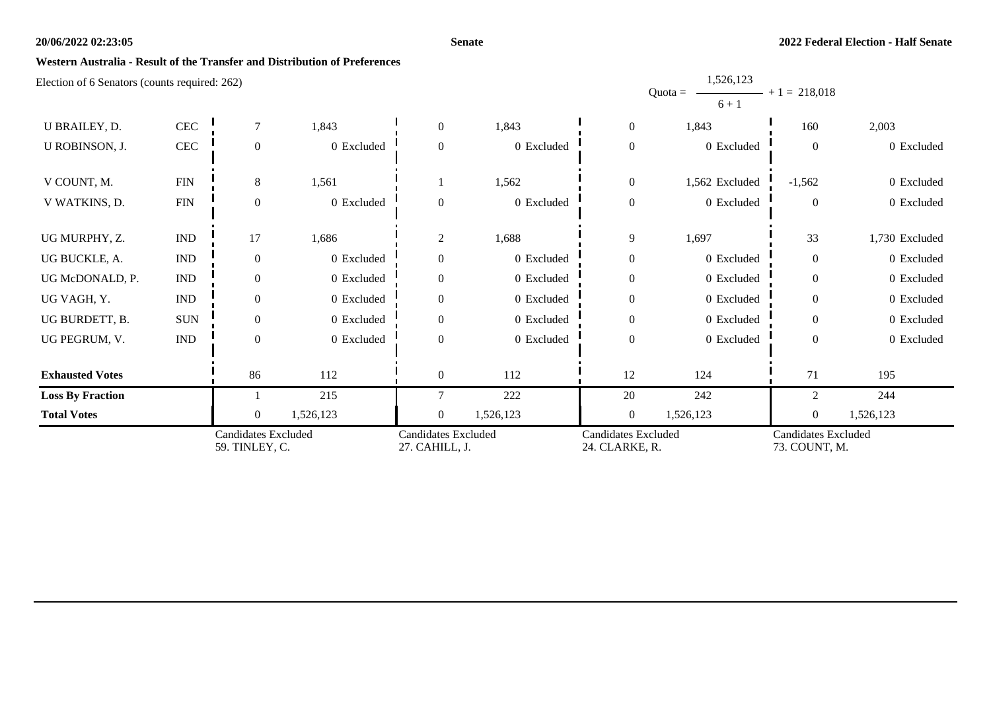#### **Senate**

1,526,123

### **Western Australia - Result of the Transfer and Distribution of Preferences**

|                         |                             |                                              |            |                                              |            |                                              | Quota = $-$<br>$6 + 1$ | $-$ + 1 = 218,018                           |                |
|-------------------------|-----------------------------|----------------------------------------------|------------|----------------------------------------------|------------|----------------------------------------------|------------------------|---------------------------------------------|----------------|
| U BRAILEY, D.           | CEC                         | $\tau$                                       | 1,843      | $\overline{0}$                               | 1,843      | $\boldsymbol{0}$                             | 1,843                  | 160                                         | 2,003          |
| U ROBINSON, J.          | $\mbox{CEC}$                | $\overline{0}$                               | 0 Excluded | $\Omega$                                     | 0 Excluded | $\boldsymbol{0}$                             | 0 Excluded             | $\boldsymbol{0}$                            | 0 Excluded     |
| V COUNT, M.             | ${\rm FIN}$                 | 8                                            | 1,561      |                                              | 1,562      | $\boldsymbol{0}$                             | 1,562 Excluded         | $-1,562$                                    | 0 Excluded     |
| V WATKINS, D.           | ${\rm FIN}$                 | $\overline{0}$                               | 0 Excluded | $\Omega$                                     | 0 Excluded | $\mathbf{0}$                                 | 0 Excluded             | $\overline{0}$                              | 0 Excluded     |
| UG MURPHY, Z.           | <b>IND</b>                  | 17                                           | 1,686      | 2                                            | 1,688      | 9                                            | 1,697                  | 33                                          | 1,730 Excluded |
| UG BUCKLE, A.           | $\mathop{\rm IND}\nolimits$ | $\theta$                                     | 0 Excluded | $\overline{0}$                               | 0 Excluded | $\mathbf{0}$                                 | 0 Excluded             | $\overline{0}$                              | 0 Excluded     |
| UG McDONALD, P.         | $\mathop{\rm IND}\nolimits$ | $\overline{0}$                               | 0 Excluded | $\Omega$                                     | 0 Excluded | $\mathbf{0}$                                 | 0 Excluded             | $\overline{0}$                              | 0 Excluded     |
| UG VAGH, Y.             | $\mathop{\rm IND}\nolimits$ | $\theta$                                     | 0 Excluded | $\Omega$                                     | 0 Excluded | $\boldsymbol{0}$                             | 0 Excluded             | $\boldsymbol{0}$                            | 0 Excluded     |
| UG BURDETT, B.          | $\rm SUN$                   | $\overline{0}$                               | 0 Excluded |                                              | 0 Excluded | $\boldsymbol{0}$                             | 0 Excluded             | $\overline{0}$                              | 0 Excluded     |
| UG PEGRUM, V.           | $\mathop{\rm IND}\nolimits$ | $\Omega$                                     | 0 Excluded | $\Omega$                                     | 0 Excluded | $\mathbf{0}$                                 | 0 Excluded             | $\overline{0}$                              | 0 Excluded     |
| <b>Exhausted Votes</b>  |                             | 86                                           | 112        | $\overline{0}$                               | 112        | 12                                           | 124                    | 71                                          | 195            |
| <b>Loss By Fraction</b> |                             |                                              | 215        |                                              | 222        | 20                                           | 242                    | $\overline{c}$                              | 244            |
| <b>Total Votes</b>      |                             | $\theta$                                     | 1,526,123  | $\theta$                                     | 1,526,123  | $\overline{0}$                               | 1,526,123              | $\boldsymbol{0}$                            | 1,526,123      |
|                         |                             | <b>Candidates Excluded</b><br>59. TINLEY, C. |            | <b>Candidates Excluded</b><br>27. CAHILL, J. |            | <b>Candidates Excluded</b><br>24. CLARKE, R. |                        | <b>Candidates Excluded</b><br>73. COUNT, M. |                |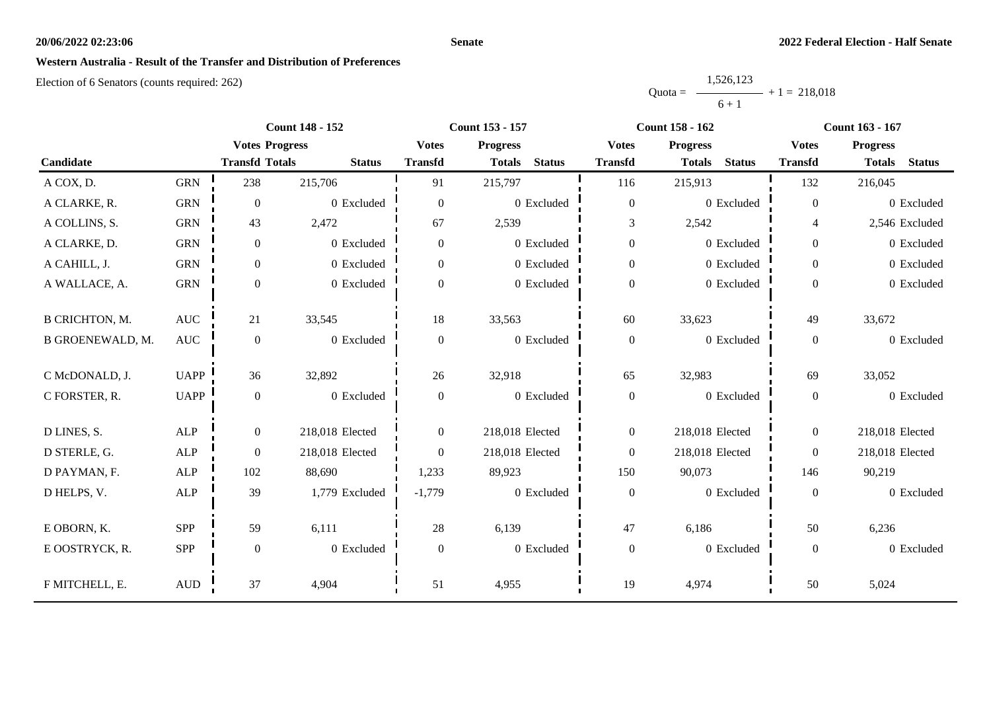#### **Senate**

### **Western Australia - Result of the Transfer and Distribution of Preferences**

|           | 1,526,123      |  |
|-----------|----------------|--|
| $Quota =$ | $+1 = 218.018$ |  |
|           | $6 + 1$        |  |

|                         |              | <b>Count 148 - 152</b> |                 |                  | Count 153 - 157                |                  | <b>Count 158 - 162</b>         | Count 163 - 167  |                                |
|-------------------------|--------------|------------------------|-----------------|------------------|--------------------------------|------------------|--------------------------------|------------------|--------------------------------|
|                         |              | <b>Votes Progress</b>  |                 | <b>Votes</b>     | <b>Progress</b>                | <b>Votes</b>     | <b>Progress</b>                | <b>Votes</b>     | <b>Progress</b>                |
| Candidate               |              | <b>Transfd Totals</b>  | <b>Status</b>   | <b>Transfd</b>   | <b>Status</b><br><b>Totals</b> | <b>Transfd</b>   | <b>Status</b><br><b>Totals</b> | <b>Transfd</b>   | <b>Status</b><br><b>Totals</b> |
| A COX, D.               | <b>GRN</b>   | 238                    | 215,706         | 91               | 215,797                        | 116              | 215,913                        | 132              | 216,045                        |
| A CLARKE, R.            | <b>GRN</b>   | $\overline{0}$         | 0 Excluded      | $\overline{0}$   | 0 Excluded                     | $\boldsymbol{0}$ | 0 Excluded                     | $\boldsymbol{0}$ | 0 Excluded                     |
| A COLLINS, S.           | <b>GRN</b>   | 43                     | 2,472           | 67               | 2,539                          | 3                | 2,542                          | $\overline{4}$   | 2,546 Excluded                 |
| A CLARKE, D.            | <b>GRN</b>   | $\boldsymbol{0}$       | 0 Excluded      | $\overline{0}$   | 0 Excluded                     | $\boldsymbol{0}$ | 0 Excluded                     | $\overline{0}$   | 0 Excluded                     |
| A CAHILL, J.            | <b>GRN</b>   | $\boldsymbol{0}$       | 0 Excluded      | $\overline{0}$   | 0 Excluded                     | $\boldsymbol{0}$ | 0 Excluded                     | $\overline{0}$   | 0 Excluded                     |
| A WALLACE, A.           | <b>GRN</b>   | $\mathbf{0}$           | 0 Excluded      | $\boldsymbol{0}$ | 0 Excluded                     | $\boldsymbol{0}$ | 0 Excluded                     | $\overline{0}$   | 0 Excluded                     |
| <b>B CRICHTON, M.</b>   | <b>AUC</b>   | 21                     | 33,545          | 18               | 33,563                         | 60               | 33,623                         | 49               | 33,672                         |
| <b>B GROENEWALD, M.</b> | <b>AUC</b>   | $\boldsymbol{0}$       | 0 Excluded      | $\boldsymbol{0}$ | 0 Excluded                     | $\boldsymbol{0}$ | 0 Excluded                     | $\overline{0}$   | 0 Excluded                     |
| C McDONALD, J.          | <b>UAPP</b>  | 36                     | 32,892          | 26               | 32,918                         | 65               | 32,983                         | 69               | 33,052                         |
| C FORSTER, R.           | <b>UAPP</b>  | $\boldsymbol{0}$       | 0 Excluded      | $\boldsymbol{0}$ | 0 Excluded                     | $\boldsymbol{0}$ | 0 Excluded                     | $\boldsymbol{0}$ | 0 Excluded                     |
| D LINES, S.             | ALP          | $\boldsymbol{0}$       | 218,018 Elected | $\overline{0}$   | 218,018 Elected                | $\boldsymbol{0}$ | 218,018 Elected                | $\overline{0}$   | 218,018 Elected                |
| D STERLE, G.            | ALP          | $\boldsymbol{0}$       | 218,018 Elected | $\overline{0}$   | 218,018 Elected                | $\boldsymbol{0}$ | 218,018 Elected                | $\overline{0}$   | 218,018 Elected                |
| D PAYMAN, F.            | <b>ALP</b>   | 102                    | 88,690          | 1,233            | 89,923                         | 150              | 90,073                         | 146              | 90,219                         |
| D HELPS, V.             | ALP          | 39                     | 1,779 Excluded  | $-1,779$         | 0 Excluded                     | $\boldsymbol{0}$ | 0 Excluded                     | $\boldsymbol{0}$ | 0 Excluded                     |
| E OBORN, K.             | <b>SPP</b>   | 59                     | 6,111           | 28               | 6,139                          | 47               | 6,186                          | 50               | 6,236                          |
| E OOSTRYCK, R.          | SPP          | $\boldsymbol{0}$       | 0 Excluded      | $\overline{0}$   | 0 Excluded                     | $\boldsymbol{0}$ | 0 Excluded                     | $\overline{0}$   | 0 Excluded                     |
| F MITCHELL, E.          | $\mbox{AUD}$ | 37                     | 4,904           | 51               | 4,955                          | 19               | 4,974                          | 50               | 5,024                          |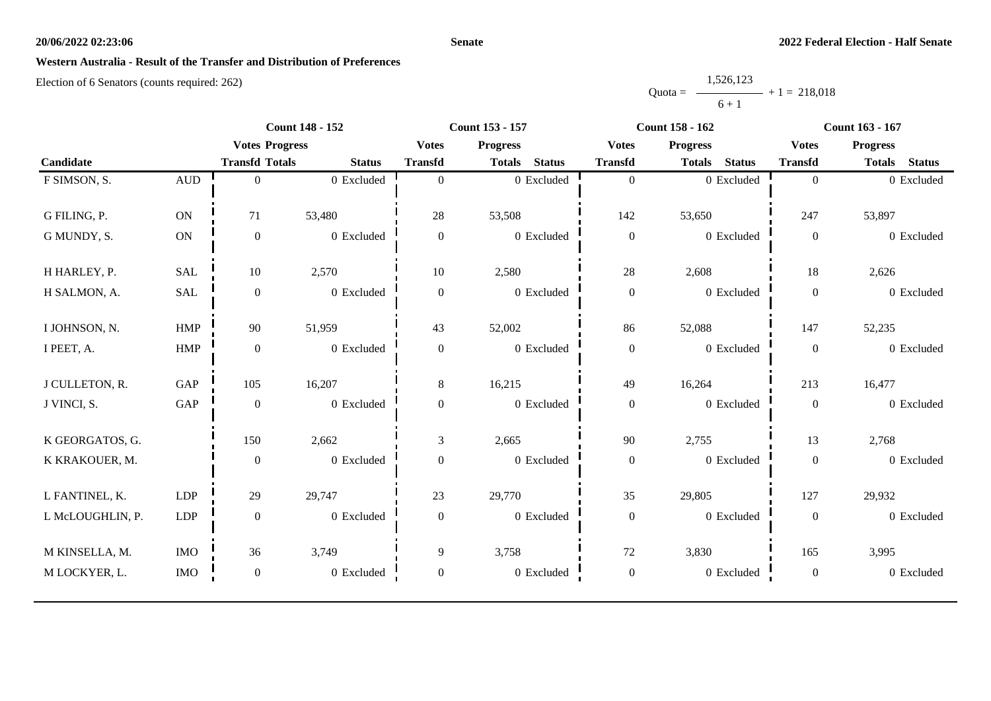#### **Senate**

## **Western Australia - Result of the Transfer and Distribution of Preferences**

|           | 1,526,123      |  |
|-----------|----------------|--|
| $Quota =$ | $+1 = 218,018$ |  |
|           | $6 + 1$        |  |

|                  | <b>Count 148 - 152</b>                                                              |                                                                     | Count 153 - 157                                                                                   |                                                            |                                                                          |                                                                        | <b>Count 163 - 167</b>                                                                             |                                                                            |  |
|------------------|-------------------------------------------------------------------------------------|---------------------------------------------------------------------|---------------------------------------------------------------------------------------------------|------------------------------------------------------------|--------------------------------------------------------------------------|------------------------------------------------------------------------|----------------------------------------------------------------------------------------------------|----------------------------------------------------------------------------|--|
|                  |                                                                                     |                                                                     | <b>Votes</b>                                                                                      | <b>Progress</b>                                            | <b>Votes</b>                                                             | <b>Progress</b>                                                        | <b>Votes</b>                                                                                       | <b>Progress</b>                                                            |  |
|                  | <b>Transfd Totals</b>                                                               | <b>Status</b>                                                       | <b>Transfd</b>                                                                                    | <b>Status</b><br><b>Totals</b>                             | <b>Transfd</b>                                                           | <b>Status</b><br><b>Totals</b>                                         | <b>Transfd</b>                                                                                     | <b>Totals</b><br><b>Status</b>                                             |  |
| $\mbox{\rm AUD}$ | $\Omega$                                                                            | 0 Excluded                                                          | $\Omega$                                                                                          | 0 Excluded                                                 | $\boldsymbol{0}$                                                         | 0 Excluded                                                             | $\overline{0}$                                                                                     | 0 Excluded                                                                 |  |
|                  |                                                                                     |                                                                     |                                                                                                   |                                                            |                                                                          |                                                                        |                                                                                                    |                                                                            |  |
| ON               | 71                                                                                  | 53,480                                                              | 28                                                                                                | 53,508                                                     | 142                                                                      | 53,650                                                                 | 247                                                                                                | 53,897                                                                     |  |
| ON               | $\boldsymbol{0}$                                                                    | 0 Excluded                                                          | $\overline{0}$                                                                                    | 0 Excluded                                                 | $\boldsymbol{0}$                                                         | 0 Excluded                                                             | $\boldsymbol{0}$                                                                                   | 0 Excluded                                                                 |  |
|                  |                                                                                     |                                                                     |                                                                                                   |                                                            |                                                                          |                                                                        |                                                                                                    |                                                                            |  |
|                  |                                                                                     |                                                                     |                                                                                                   |                                                            |                                                                          |                                                                        |                                                                                                    | 2,626                                                                      |  |
| SAL              | $\mathbf{0}$                                                                        | 0 Excluded                                                          | $\theta$                                                                                          | 0 Excluded                                                 | $\boldsymbol{0}$                                                         | 0 Excluded                                                             | $\overline{0}$                                                                                     | 0 Excluded                                                                 |  |
|                  |                                                                                     |                                                                     |                                                                                                   |                                                            |                                                                          |                                                                        |                                                                                                    |                                                                            |  |
|                  |                                                                                     |                                                                     |                                                                                                   |                                                            |                                                                          |                                                                        |                                                                                                    | 52,235                                                                     |  |
|                  |                                                                                     |                                                                     |                                                                                                   |                                                            |                                                                          |                                                                        |                                                                                                    | 0 Excluded                                                                 |  |
|                  |                                                                                     |                                                                     |                                                                                                   |                                                            |                                                                          |                                                                        |                                                                                                    | 16,477                                                                     |  |
|                  |                                                                                     |                                                                     |                                                                                                   |                                                            |                                                                          |                                                                        |                                                                                                    | 0 Excluded                                                                 |  |
|                  |                                                                                     |                                                                     |                                                                                                   |                                                            |                                                                          |                                                                        |                                                                                                    |                                                                            |  |
|                  | 150                                                                                 | 2,662                                                               | 3                                                                                                 | 2,665                                                      | 90                                                                       | 2,755                                                                  | 13                                                                                                 | 2,768                                                                      |  |
|                  | $\mathbf{0}$                                                                        | 0 Excluded                                                          | $\mathbf{0}$                                                                                      | 0 Excluded                                                 | $\boldsymbol{0}$                                                         | 0 Excluded                                                             | $\mathbf{0}$                                                                                       | 0 Excluded                                                                 |  |
|                  |                                                                                     |                                                                     |                                                                                                   |                                                            |                                                                          |                                                                        |                                                                                                    |                                                                            |  |
|                  |                                                                                     |                                                                     |                                                                                                   |                                                            |                                                                          |                                                                        |                                                                                                    | 29,932                                                                     |  |
| <b>LDP</b>       | $\overline{0}$                                                                      | 0 Excluded                                                          | $\Omega$                                                                                          | 0 Excluded                                                 | $\boldsymbol{0}$                                                         | 0 Excluded                                                             | $\mathbf{0}$                                                                                       | 0 Excluded                                                                 |  |
|                  |                                                                                     |                                                                     |                                                                                                   |                                                            |                                                                          |                                                                        |                                                                                                    |                                                                            |  |
|                  |                                                                                     |                                                                     |                                                                                                   |                                                            |                                                                          |                                                                        |                                                                                                    | 3,995                                                                      |  |
| <b>IMO</b>       | $\boldsymbol{0}$                                                                    | 0 Excluded                                                          | $\mathbf{0}$                                                                                      | 0 Excluded                                                 | $\boldsymbol{0}$                                                         | 0 Excluded                                                             | $\boldsymbol{0}$                                                                                   | 0 Excluded                                                                 |  |
|                  | <b>SAL</b><br><b>HMP</b><br>HMP<br>GAP<br>$\operatorname{GAP}$<br>LDP<br><b>IMO</b> | 10<br>90<br>$\boldsymbol{0}$<br>105<br>$\boldsymbol{0}$<br>29<br>36 | <b>Votes Progress</b><br>2,570<br>51,959<br>0 Excluded<br>16,207<br>0 Excluded<br>29,747<br>3,749 | 10<br>43<br>$\mathbf{0}$<br>8<br>$\overline{0}$<br>23<br>9 | 2,580<br>52,002<br>0 Excluded<br>16,215<br>0 Excluded<br>29,770<br>3,758 | $28\,$<br>86<br>$\boldsymbol{0}$<br>49<br>$\boldsymbol{0}$<br>35<br>72 | <b>Count 158 - 162</b><br>2,608<br>52,088<br>0 Excluded<br>16,264<br>0 Excluded<br>29,805<br>3,830 | $18\,$<br>147<br>$\boldsymbol{0}$<br>213<br>$\boldsymbol{0}$<br>127<br>165 |  |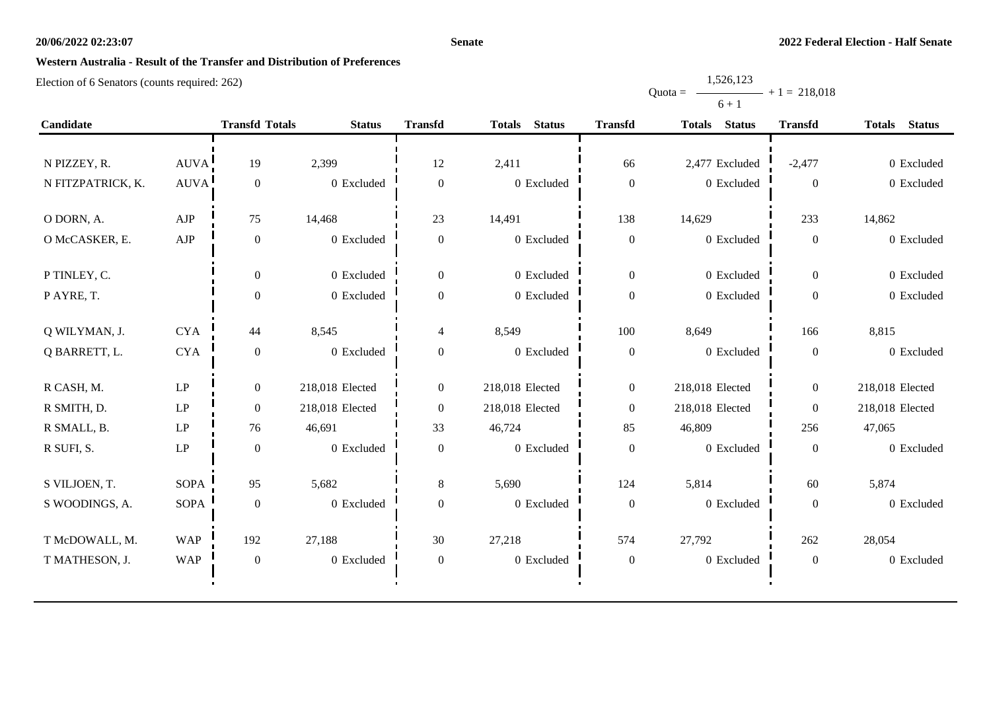#### **Senate**

Quota =

1,526,123

 $+ 1 = 218,018$ 

# **Western Australia - Result of the Transfer and Distribution of Preferences**

|                   |             |                       |                 |                          |                                |                  | $6 + 1$                        |                  |                                |
|-------------------|-------------|-----------------------|-----------------|--------------------------|--------------------------------|------------------|--------------------------------|------------------|--------------------------------|
| Candidate         |             | <b>Transfd Totals</b> | <b>Status</b>   | <b>Transfd</b>           | <b>Totals</b><br><b>Status</b> | <b>Transfd</b>   | <b>Status</b><br><b>Totals</b> | <b>Transfd</b>   | <b>Status</b><br><b>Totals</b> |
|                   |             |                       |                 |                          |                                |                  |                                |                  |                                |
| N PIZZEY, R.      | AUVA!       | 19                    | 2,399           | 12                       | 2,411                          | 66               | 2,477 Excluded                 | $-2,477$         | 0 Excluded                     |
| N FITZPATRICK, K. | <b>AUVA</b> | $\boldsymbol{0}$      | 0 Excluded      | $\boldsymbol{0}$         | 0 Excluded                     | $\boldsymbol{0}$ | 0 Excluded                     | $\boldsymbol{0}$ | 0 Excluded                     |
| O DORN, A.        | AJP         | 75                    | 14,468          | 23                       | 14,491                         | 138              | 14,629                         | 233              | 14,862                         |
| O McCASKER, E.    | AJP         | $\boldsymbol{0}$      | 0 Excluded      | $\mathbf{0}$             | 0 Excluded                     | $\boldsymbol{0}$ | 0 Excluded                     | $\boldsymbol{0}$ | 0 Excluded                     |
| P TINLEY, C.      |             | $\boldsymbol{0}$      | 0 Excluded      | $\boldsymbol{0}$         | 0 Excluded                     | $\boldsymbol{0}$ | 0 Excluded                     | $\boldsymbol{0}$ | 0 Excluded                     |
| P AYRE, T.        |             | $\boldsymbol{0}$      | 0 Excluded      | $\boldsymbol{0}$         | 0 Excluded                     | $\boldsymbol{0}$ | 0 Excluded                     | $\boldsymbol{0}$ | 0 Excluded                     |
| Q WILYMAN, J.     | <b>CYA</b>  | 44                    | 8,545           | $\overline{\mathcal{L}}$ | 8,549                          | 100              | 8,649                          | 166              | 8,815                          |
| Q BARRETT, L.     | <b>CYA</b>  | $\boldsymbol{0}$      | 0 Excluded      | $\mathbf{0}$             | 0 Excluded                     | $\boldsymbol{0}$ | 0 Excluded                     | $\boldsymbol{0}$ | 0 Excluded                     |
| R CASH, M.        | LP          | $\overline{0}$        | 218,018 Elected | $\boldsymbol{0}$         | 218,018 Elected                | $\boldsymbol{0}$ | 218,018 Elected                | $\boldsymbol{0}$ | 218,018 Elected                |
| R SMITH, D.       | LP          | $\boldsymbol{0}$      | 218,018 Elected | $\boldsymbol{0}$         | 218,018 Elected                | $\boldsymbol{0}$ | 218,018 Elected                | $\boldsymbol{0}$ | 218,018 Elected                |
| R SMALL, B.       | LP          | 76                    | 46,691          | 33                       | 46,724                         | 85               | 46,809                         | 256              | 47,065                         |
| R SUFI, S.        | LP          | $\mathbf{0}$          | 0 Excluded      | $\boldsymbol{0}$         | 0 Excluded                     | $\mathbf{0}$     | 0 Excluded                     | $\boldsymbol{0}$ | 0 Excluded                     |
| S VILJOEN, T.     | <b>SOPA</b> | 95                    | 5,682           | 8                        | 5,690                          | 124              | 5,814                          | 60               | 5,874                          |
| S WOODINGS, A.    | <b>SOPA</b> | $\boldsymbol{0}$      | 0 Excluded      | $\overline{0}$           | 0 Excluded                     | $\boldsymbol{0}$ | 0 Excluded                     | $\boldsymbol{0}$ | 0 Excluded                     |
| T McDOWALL, M.    | <b>WAP</b>  | 192                   | 27,188          | 30                       | 27,218                         | 574              | 27,792                         | 262              | 28,054                         |
| T MATHESON, J.    | <b>WAP</b>  | $\boldsymbol{0}$      | 0 Excluded      | $\boldsymbol{0}$         | 0 Excluded                     | $\boldsymbol{0}$ | 0 Excluded                     | $\boldsymbol{0}$ | 0 Excluded                     |
|                   |             |                       |                 |                          |                                |                  |                                |                  |                                |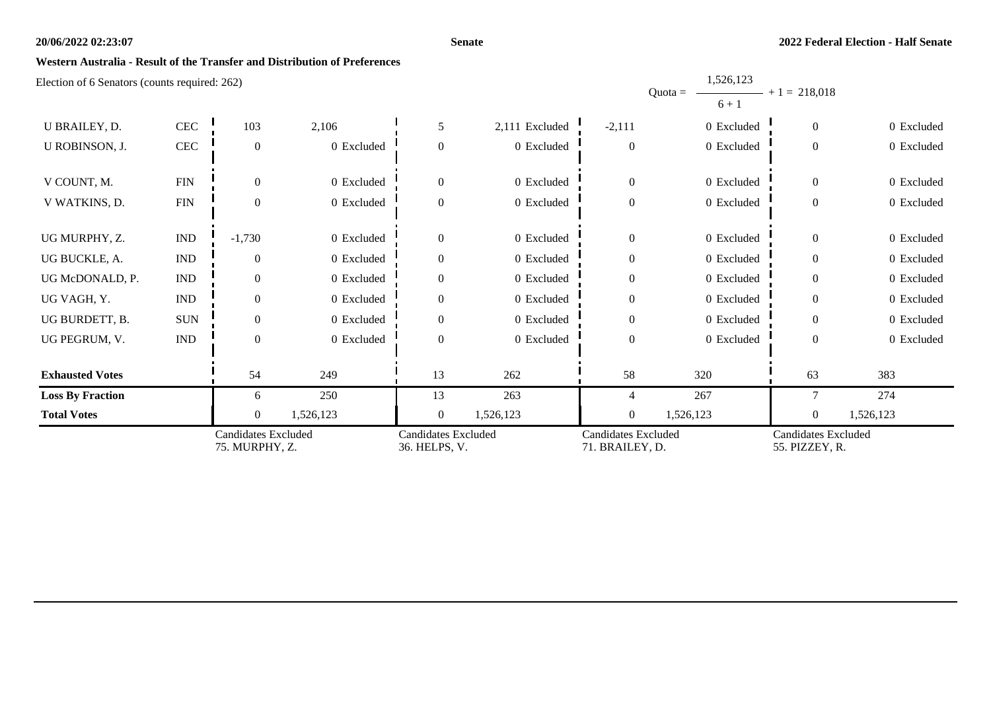#### **Senate**

1,526,123

### **Western Australia - Result of the Transfer and Distribution of Preferences**

| $\epsilon$ rection of $\sigma$ senators (counts required. 202) |                                              |                  |            |                                             |                |                                               | 1,040,140<br>$Quota =$<br>$6 + 1$ | $+1 = 218,018$                               |            |
|----------------------------------------------------------------|----------------------------------------------|------------------|------------|---------------------------------------------|----------------|-----------------------------------------------|-----------------------------------|----------------------------------------------|------------|
| U BRAILEY, D.                                                  | $\rm CEC$                                    | 103              | 2,106      | 5                                           | 2,111 Excluded | $-2,111$                                      | 0 Excluded                        | $\overline{0}$                               | 0 Excluded |
| U ROBINSON, J.                                                 | $\mbox{CEC}$                                 | $\theta$         | 0 Excluded | $\overline{0}$                              | 0 Excluded     | $\boldsymbol{0}$                              | 0 Excluded                        | $\overline{0}$                               | 0 Excluded |
| V COUNT, M.                                                    | ${\rm FIN}$                                  | $\theta$         | 0 Excluded | $\overline{0}$                              | 0 Excluded     | $\overline{0}$                                | 0 Excluded                        | $\Omega$                                     | 0 Excluded |
| V WATKINS, D.                                                  | FIN                                          | $\boldsymbol{0}$ | 0 Excluded | $\boldsymbol{0}$                            | 0 Excluded     | $\boldsymbol{0}$                              | 0 Excluded                        | $\overline{0}$                               | 0 Excluded |
| UG MURPHY, Z.                                                  | $\mathop{\rm IND}\nolimits$                  | $-1,730$         | 0 Excluded | $\overline{0}$                              | 0 Excluded     | $\overline{0}$                                | 0 Excluded                        | $\overline{0}$                               | 0 Excluded |
| UG BUCKLE, A.                                                  | <b>IND</b>                                   | $\theta$         | 0 Excluded | $\overline{0}$                              | 0 Excluded     | $\boldsymbol{0}$                              | 0 Excluded                        | $\Omega$                                     | 0 Excluded |
| UG McDONALD, P.                                                | $\ensuremath{\text{IND}}$                    | $\theta$         | 0 Excluded | $\boldsymbol{0}$                            | 0 Excluded     | $\boldsymbol{0}$                              | 0 Excluded                        | $\Omega$                                     | 0 Excluded |
| UG VAGH, Y.                                                    | $\mathop{\rm IND}\nolimits$                  | $\Omega$         | 0 Excluded | $\mathbf{0}$                                | 0 Excluded     | $\overline{0}$                                | 0 Excluded                        | $\Omega$                                     | 0 Excluded |
| UG BURDETT, B.                                                 | <b>SUN</b>                                   | $\Omega$         | 0 Excluded | $\boldsymbol{0}$                            | 0 Excluded     | $\boldsymbol{0}$                              | 0 Excluded                        | $\Omega$                                     | 0 Excluded |
| UG PEGRUM, V.                                                  | IND                                          | $\theta$         | 0 Excluded | $\mathbf{0}$                                | 0 Excluded     | $\boldsymbol{0}$                              | 0 Excluded                        | $\overline{0}$                               | 0 Excluded |
| <b>Exhausted Votes</b>                                         |                                              | 54               | 249        | 13                                          | 262            | 58                                            | 320                               | 63                                           | 383        |
| <b>Loss By Fraction</b>                                        |                                              | 6                | 250        | 13                                          | 263            | 4                                             | 267                               | 7                                            | 274        |
| <b>Total Votes</b>                                             |                                              | $\mathbf{0}$     | 1,526,123  | $\boldsymbol{0}$                            | 1,526,123      | $\boldsymbol{0}$                              | 1,526,123                         | $\mathbf{0}$                                 | 1,526,123  |
|                                                                | <b>Candidates Excluded</b><br>75. MURPHY, Z. |                  |            | <b>Candidates Excluded</b><br>36. HELPS, V. |                | <b>Candidates Excluded</b><br>71. BRAILEY, D. |                                   | <b>Candidates Excluded</b><br>55. PIZZEY, R. |            |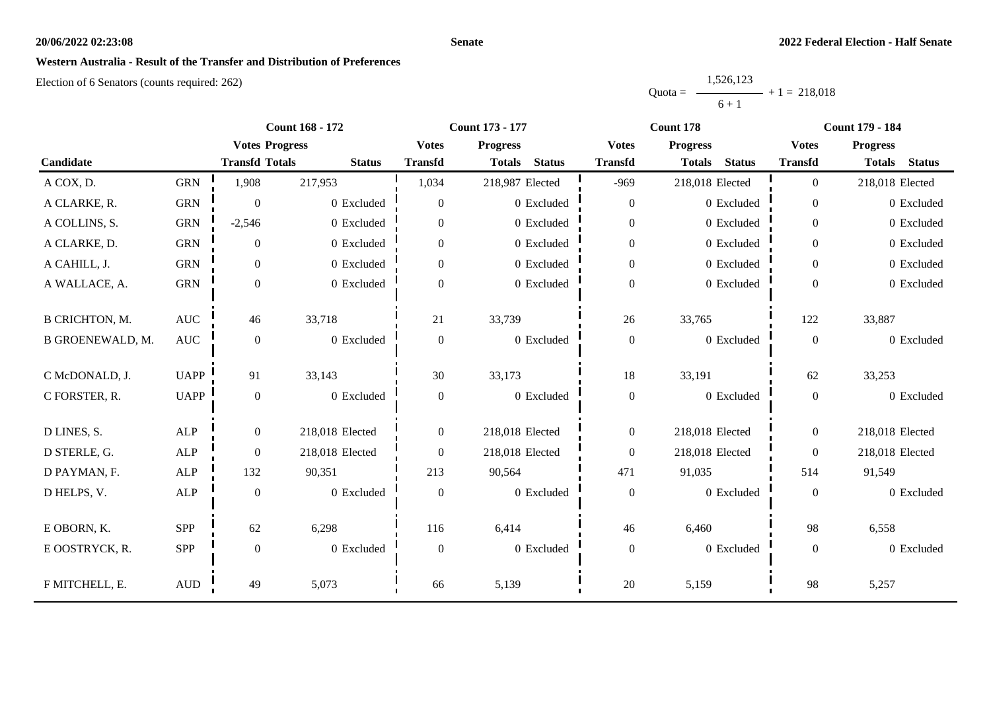#### **Senate**

### **Western Australia - Result of the Transfer and Distribution of Preferences**

|           | 1,526,123 |                |
|-----------|-----------|----------------|
| $Quota =$ |           | $+1 = 218.018$ |
|           | $6 + 1$   |                |

|                         |              |                       | <b>Count 168 - 172</b> |                  | <b>Count 173 - 177</b>         |                  | Count 178                      | <b>Count 179 - 184</b> |                                |  |
|-------------------------|--------------|-----------------------|------------------------|------------------|--------------------------------|------------------|--------------------------------|------------------------|--------------------------------|--|
|                         |              | <b>Votes Progress</b> |                        | <b>Votes</b>     | <b>Progress</b>                | <b>Votes</b>     | <b>Progress</b>                | <b>Votes</b>           | <b>Progress</b>                |  |
| Candidate               |              | <b>Transfd Totals</b> | <b>Status</b>          | <b>Transfd</b>   | <b>Status</b><br><b>Totals</b> | <b>Transfd</b>   | <b>Status</b><br><b>Totals</b> | <b>Transfd</b>         | <b>Status</b><br><b>Totals</b> |  |
| A COX, D.               | <b>GRN</b>   | 1,908                 | 217,953                | 1,034            | 218,987 Elected                | $-969$           | 218,018 Elected                | $\overline{0}$         | 218,018 Elected                |  |
| A CLARKE, R.            | <b>GRN</b>   | $\theta$              | 0 Excluded             | $\overline{0}$   | 0 Excluded                     | $\boldsymbol{0}$ | 0 Excluded                     | $\overline{0}$         | 0 Excluded                     |  |
| A COLLINS, S.           | <b>GRN</b>   | $-2,546$              | 0 Excluded             | $\overline{0}$   | 0 Excluded                     | $\boldsymbol{0}$ | 0 Excluded                     | $\overline{0}$         | 0 Excluded                     |  |
| A CLARKE, D.            | <b>GRN</b>   | $\overline{0}$        | 0 Excluded             | $\overline{0}$   | 0 Excluded                     | $\boldsymbol{0}$ | 0 Excluded                     | $\overline{0}$         | 0 Excluded                     |  |
| A CAHILL, J.            | <b>GRN</b>   | $\boldsymbol{0}$      | 0 Excluded             | $\overline{0}$   | 0 Excluded                     | $\boldsymbol{0}$ | 0 Excluded                     | $\overline{0}$         | 0 Excluded                     |  |
| A WALLACE, A.           | <b>GRN</b>   | $\boldsymbol{0}$      | 0 Excluded             | $\boldsymbol{0}$ | 0 Excluded                     | $\boldsymbol{0}$ | 0 Excluded                     | $\overline{0}$         | 0 Excluded                     |  |
| <b>B CRICHTON, M.</b>   | <b>AUC</b>   | 46                    | 33,718                 | 21               | 33,739                         | 26               | 33,765                         | 122                    | 33,887                         |  |
| <b>B GROENEWALD, M.</b> | <b>AUC</b>   | $\boldsymbol{0}$      | 0 Excluded             | $\boldsymbol{0}$ | 0 Excluded                     | $\boldsymbol{0}$ | 0 Excluded                     | $\overline{0}$         | 0 Excluded                     |  |
| C McDONALD, J.          | <b>UAPP</b>  | 91                    | 33,143                 | 30               | 33,173                         | $18\,$           | 33,191                         | 62                     | 33,253                         |  |
| C FORSTER, R.           | <b>UAPP</b>  | $\boldsymbol{0}$      | 0 Excluded             | $\boldsymbol{0}$ | 0 Excluded                     | $\boldsymbol{0}$ | 0 Excluded                     | $\overline{0}$         | 0 Excluded                     |  |
| D LINES, S.             | ALP          | $\boldsymbol{0}$      | 218,018 Elected        | $\overline{0}$   | 218,018 Elected                | $\boldsymbol{0}$ | 218,018 Elected                | $\overline{0}$         | 218,018 Elected                |  |
| D STERLE, G.            | <b>ALP</b>   | $\boldsymbol{0}$      | 218,018 Elected        | $\overline{0}$   | 218,018 Elected                | $\boldsymbol{0}$ | 218,018 Elected                | $\overline{0}$         | 218,018 Elected                |  |
| D PAYMAN, F.            | <b>ALP</b>   | 132                   | 90,351                 | 213              | 90,564                         | 471              | 91,035                         | 514                    | 91,549                         |  |
| D HELPS, V.             | ${\sf ALP}$  | $\boldsymbol{0}$      | 0 Excluded             | $\boldsymbol{0}$ | 0 Excluded                     | $\boldsymbol{0}$ | 0 Excluded                     | $\boldsymbol{0}$       | 0 Excluded                     |  |
| E OBORN, K.             | <b>SPP</b>   | 62                    | 6,298                  | 116              | 6,414                          | 46               | 6,460                          | 98                     | 6,558                          |  |
| E OOSTRYCK, R.          | SPP          | $\boldsymbol{0}$      | 0 Excluded             | $\overline{0}$   | 0 Excluded                     | $\boldsymbol{0}$ | 0 Excluded                     | $\overline{0}$         | 0 Excluded                     |  |
| F MITCHELL, E.          | $\mbox{AUD}$ | 49                    | 5,073                  | 66               | 5,139                          | $20\,$           | 5,159                          | 98                     | 5,257                          |  |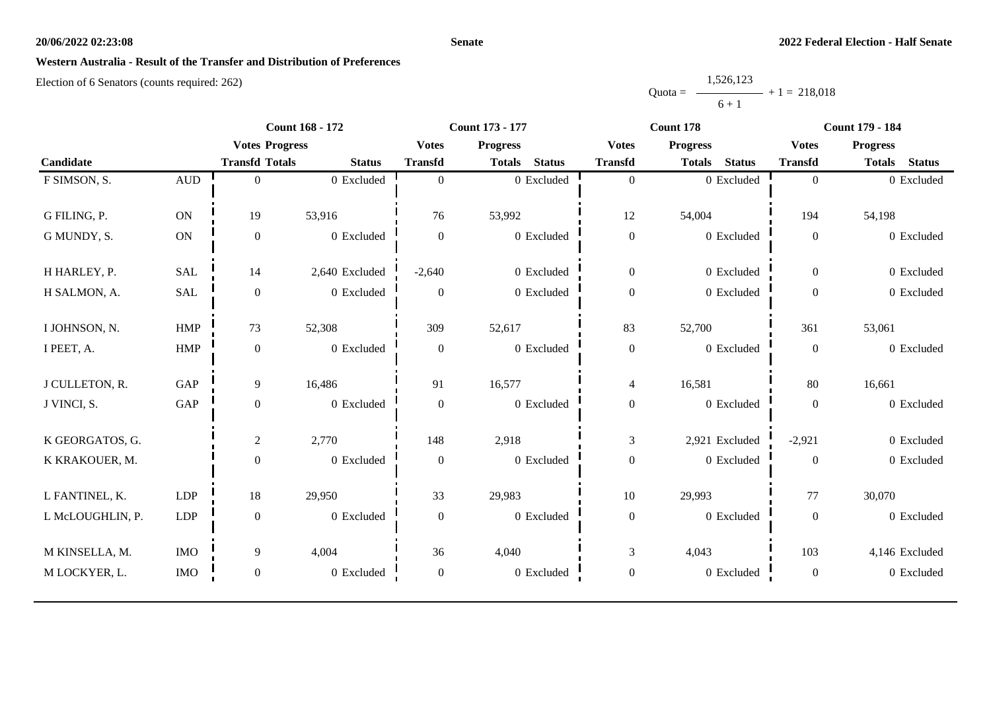#### **Senate**

# **Western Australia - Result of the Transfer and Distribution of Preferences**

|           | 1,526,123 |                |
|-----------|-----------|----------------|
| $Quota =$ |           | $+1 = 218.018$ |
|           | $6 + 1$   |                |

|                  |              | <b>Count 168 - 172</b> |                |                  | <b>Count 173 - 177</b>         |                  | Count 178                      | <b>Count 179 - 184</b> |                                |
|------------------|--------------|------------------------|----------------|------------------|--------------------------------|------------------|--------------------------------|------------------------|--------------------------------|
|                  |              | <b>Votes Progress</b>  |                | <b>Votes</b>     | <b>Progress</b>                | <b>Votes</b>     | <b>Progress</b>                | <b>Votes</b>           | <b>Progress</b>                |
| Candidate        |              | <b>Transfd Totals</b>  | <b>Status</b>  | <b>Transfd</b>   | <b>Status</b><br><b>Totals</b> | <b>Transfd</b>   | <b>Status</b><br><b>Totals</b> | <b>Transfd</b>         | <b>Status</b><br><b>Totals</b> |
| F SIMSON, S.     | $\mbox{AUD}$ | $\Omega$               | 0 Excluded     | $\overline{0}$   | 0 Excluded                     | $\mathbf{0}$     | 0 Excluded                     | $\overline{0}$         | 0 Excluded                     |
|                  |              |                        |                |                  |                                |                  |                                |                        |                                |
| G FILING, P.     | <b>ON</b>    | 19                     | 53,916         | 76               | 53,992                         | 12               | 54,004                         | 194                    | 54,198                         |
| G MUNDY, S.      | ON           | $\boldsymbol{0}$       | 0 Excluded     | $\overline{0}$   | 0 Excluded                     | $\boldsymbol{0}$ | 0 Excluded                     | $\boldsymbol{0}$       | 0 Excluded                     |
| H HARLEY, P.     | <b>SAL</b>   | 14                     | 2,640 Excluded | $-2,640$         | 0 Excluded                     | $\boldsymbol{0}$ | 0 Excluded                     | $\overline{0}$         | 0 Excluded                     |
|                  |              |                        |                |                  |                                |                  |                                |                        |                                |
| H SALMON, A.     | <b>SAL</b>   | $\mathbf{0}$           | 0 Excluded     | $\overline{0}$   | 0 Excluded                     | $\boldsymbol{0}$ | 0 Excluded                     | $\boldsymbol{0}$       | 0 Excluded                     |
| I JOHNSON, N.    | <b>HMP</b>   | 73                     | 52,308         | 309              | 52,617                         | 83               | 52,700                         | 361                    | 53,061                         |
| I PEET, A.       | ${\rm HMP}$  | $\boldsymbol{0}$       | 0 Excluded     | $\boldsymbol{0}$ | 0 Excluded                     | $\boldsymbol{0}$ | 0 Excluded                     | $\boldsymbol{0}$       | 0 Excluded                     |
| J CULLETON, R.   | <b>GAP</b>   | 9                      | 16,486         | 91               | 16,577                         |                  | 16,581                         | 80                     | 16,661                         |
|                  |              |                        |                |                  |                                | $\overline{4}$   |                                |                        |                                |
| J VINCI, S.      | GAP          | $\mathbf{0}$           | 0 Excluded     | $\boldsymbol{0}$ | 0 Excluded                     | $\boldsymbol{0}$ | 0 Excluded                     | $\mathbf{0}$           | 0 Excluded                     |
| K GEORGATOS, G.  |              | $\overline{2}$         | 2,770          | 148              | 2,918                          | $\mathfrak{Z}$   | 2,921 Excluded                 | $-2,921$               | 0 Excluded                     |
| K KRAKOUER, M.   |              | $\overline{0}$         | 0 Excluded     | $\boldsymbol{0}$ | 0 Excluded                     | $\boldsymbol{0}$ | 0 Excluded                     | $\overline{0}$         | 0 Excluded                     |
|                  |              |                        |                |                  |                                |                  |                                |                        |                                |
| L FANTINEL, K.   | LDP          | 18                     | 29,950         | 33               | 29,983                         | 10               | 29,993                         | 77                     | 30,070                         |
| L McLOUGHLIN, P. | <b>LDP</b>   | $\mathbf{0}$           | 0 Excluded     | $\boldsymbol{0}$ | $0$ Excluded                   | $\boldsymbol{0}$ | 0 Excluded                     | $\mathbf{0}$           | 0 Excluded                     |
| M KINSELLA, M.   | <b>IMO</b>   | 9                      | 4,004          | 36               | 4,040                          | $\mathfrak{Z}$   | 4,043                          | 103                    | 4,146 Excluded                 |
| M LOCKYER, L.    | <b>IMO</b>   | $\overline{0}$         | 0 Excluded     | $\boldsymbol{0}$ | 0 Excluded                     | $\boldsymbol{0}$ | 0 Excluded                     | $\boldsymbol{0}$       | 0 Excluded                     |
|                  |              |                        |                |                  |                                |                  |                                |                        |                                |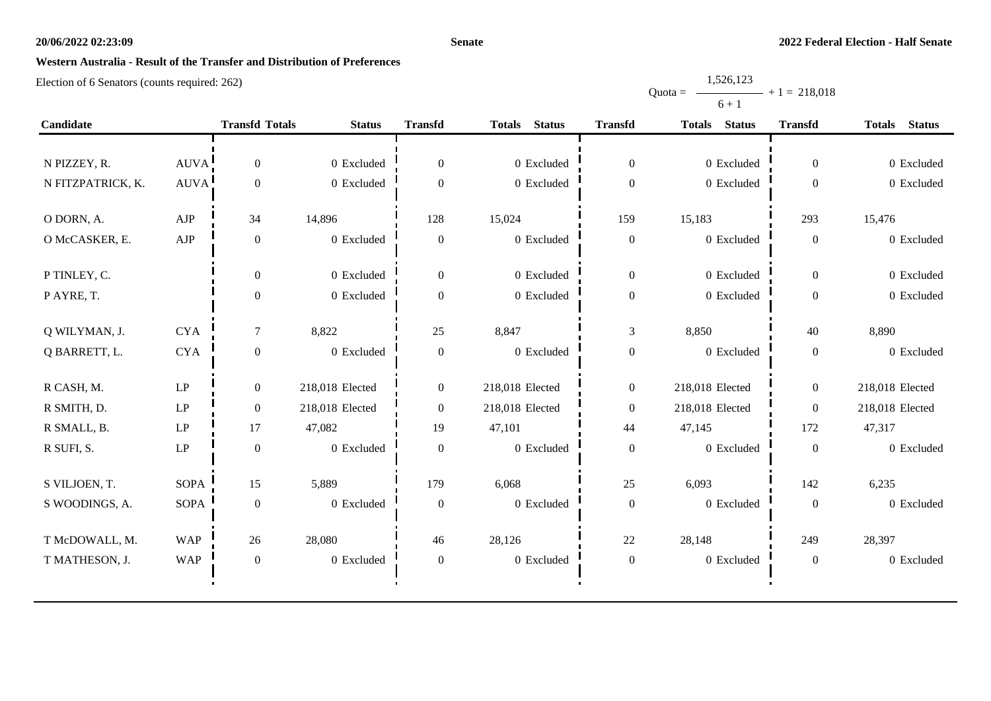#### **Senate**

Quota =

1,526,123

 $+ 1 = 218,018$ 

# **Western Australia - Result of the Transfer and Distribution of Preferences**

|                   |                        |                       |                 |                  |                                |                  | $6 + 1$                        |                  |                                |
|-------------------|------------------------|-----------------------|-----------------|------------------|--------------------------------|------------------|--------------------------------|------------------|--------------------------------|
| Candidate         |                        | <b>Transfd Totals</b> | <b>Status</b>   | <b>Transfd</b>   | <b>Status</b><br><b>Totals</b> | <b>Transfd</b>   | <b>Status</b><br><b>Totals</b> | <b>Transfd</b>   | <b>Status</b><br><b>Totals</b> |
|                   |                        |                       |                 |                  |                                |                  |                                |                  |                                |
| N PIZZEY, R.      | AUVA!                  | $\boldsymbol{0}$      | 0 Excluded      | $\boldsymbol{0}$ | 0 Excluded                     | $\boldsymbol{0}$ | 0 Excluded                     | $\overline{0}$   | 0 Excluded                     |
| N FITZPATRICK, K. | AUVA <sup>1</sup>      | $\boldsymbol{0}$      | 0 Excluded      | $\theta$         | 0 Excluded                     | $\overline{0}$   | 0 Excluded                     | $\boldsymbol{0}$ | 0 Excluded                     |
| O DORN, A.        | ${\rm AJP}$            | 34                    | 14,896          | 128              | 15,024                         | 159              | 15,183                         | 293              | 15,476                         |
| O McCASKER, E.    | ${\rm AJP}$            | $\boldsymbol{0}$      | 0 Excluded      | $\mathbf{0}$     | 0 Excluded                     | $\boldsymbol{0}$ | 0 Excluded                     | $\boldsymbol{0}$ | 0 Excluded                     |
| P TINLEY, C.      |                        | $\boldsymbol{0}$      | 0 Excluded      | $\overline{0}$   | 0 Excluded                     | $\boldsymbol{0}$ | 0 Excluded                     | $\overline{0}$   | 0 Excluded                     |
| P AYRE, T.        |                        | $\boldsymbol{0}$      | $0$ Excluded    | $\boldsymbol{0}$ | 0 Excluded                     | $\boldsymbol{0}$ | 0 Excluded                     | $\boldsymbol{0}$ | 0 Excluded                     |
| Q WILYMAN, J.     | <b>CYA</b>             | $\tau$                | 8,822           | 25               | 8,847                          | 3                | 8,850                          | 40               | 8,890                          |
| Q BARRETT, L.     | <b>CYA</b>             | $\boldsymbol{0}$      | 0 Excluded      | $\boldsymbol{0}$ | 0 Excluded                     | $\boldsymbol{0}$ | 0 Excluded                     | $\boldsymbol{0}$ | 0 Excluded                     |
| R CASH, M.        | $\mathrm{LP}$          | $\boldsymbol{0}$      | 218,018 Elected | $\boldsymbol{0}$ | 218,018 Elected                | $\boldsymbol{0}$ | 218,018 Elected                | $\overline{0}$   | 218,018 Elected                |
| R SMITH, D.       | LP                     | $\boldsymbol{0}$      | 218,018 Elected | $\boldsymbol{0}$ | 218,018 Elected                | $\boldsymbol{0}$ | 218,018 Elected                | $\overline{0}$   | 218,018 Elected                |
| R SMALL, B.       | $\mathbf{L}\mathbf{P}$ | 17                    | 47,082          | 19               | 47,101                         | 44               | 47,145                         | 172              | 47,317                         |
| R SUFI, S.        | LP                     | $\boldsymbol{0}$      | 0 Excluded      | $\boldsymbol{0}$ | 0 Excluded                     | $\boldsymbol{0}$ | 0 Excluded                     | $\boldsymbol{0}$ | 0 Excluded                     |
| S VILJOEN, T.     | <b>SOPA</b>            | 15                    | 5,889           | 179              | 6,068                          | 25               | 6,093                          | 142              | 6,235                          |
| S WOODINGS, A.    | <b>SOPA</b>            | $\boldsymbol{0}$      | 0 Excluded      | $\boldsymbol{0}$ | 0 Excluded                     | $\boldsymbol{0}$ | 0 Excluded                     | $\boldsymbol{0}$ | 0 Excluded                     |
| T McDOWALL, M.    | <b>WAP</b>             | 26                    | 28,080          | 46               | 28,126                         | 22               | 28,148                         | 249              | 28,397                         |
| T MATHESON, J.    | <b>WAP</b>             | $\boldsymbol{0}$      | 0 Excluded      | $\boldsymbol{0}$ | 0 Excluded                     | $\boldsymbol{0}$ | 0 Excluded                     | $\boldsymbol{0}$ | 0 Excluded                     |
|                   |                        |                       |                 |                  |                                |                  |                                |                  |                                |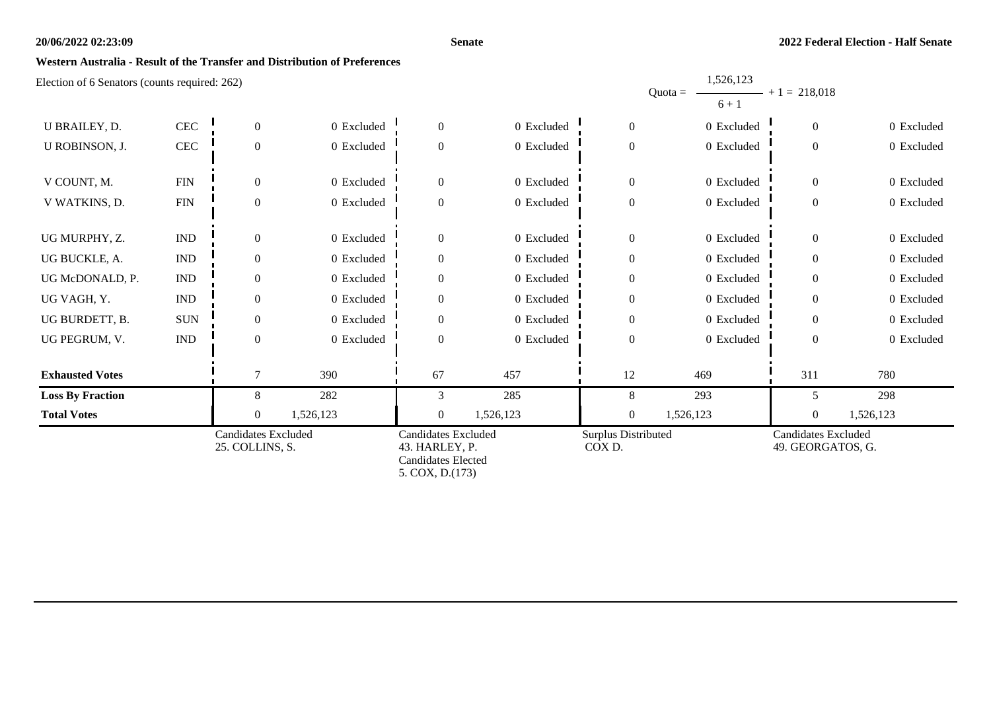#### **Senate**

1,526,123

### **Western Australia - Result of the Transfer and Distribution of Preferences**

| $\pm$ lection of 6 Senators (counts required: 262) |                             |                                               |            |                                                                                              |            |                                      | 1,320,123<br>$Quota =$<br>$6 + 1$ | $+1 = 218,018$                                  |            |
|----------------------------------------------------|-----------------------------|-----------------------------------------------|------------|----------------------------------------------------------------------------------------------|------------|--------------------------------------|-----------------------------------|-------------------------------------------------|------------|
| U BRAILEY, D.                                      | $\rm CEC$                   | $\overline{0}$                                | 0 Excluded | $\mathbf{0}$                                                                                 | 0 Excluded | $\mathbf{0}$                         | 0 Excluded                        | $\boldsymbol{0}$                                | 0 Excluded |
| U ROBINSON, J.                                     | CEC                         | $\mathbf{0}$                                  | 0 Excluded | $\overline{0}$                                                                               | 0 Excluded | $\boldsymbol{0}$                     | 0 Excluded                        | $\boldsymbol{0}$                                | 0 Excluded |
| V COUNT, M.                                        | ${\rm FIN}$                 | $\theta$                                      | 0 Excluded | $\overline{0}$                                                                               | 0 Excluded | $\boldsymbol{0}$                     | 0 Excluded                        | $\overline{0}$                                  | 0 Excluded |
| V WATKINS, D.                                      | ${\rm FIN}$                 | $\mathbf{0}$                                  | 0 Excluded | $\overline{0}$                                                                               | 0 Excluded | $\boldsymbol{0}$                     | 0 Excluded                        | $\boldsymbol{0}$                                | 0 Excluded |
| UG MURPHY, Z.                                      | $\mathop{\rm IND}\nolimits$ | $\theta$                                      | 0 Excluded | $\overline{0}$                                                                               | 0 Excluded | $\overline{0}$                       | 0 Excluded                        | $\overline{0}$                                  | 0 Excluded |
| UG BUCKLE, A.                                      | $\mathop{\rm IND}\nolimits$ | $\overline{0}$                                | 0 Excluded | $\overline{0}$                                                                               | 0 Excluded | $\boldsymbol{0}$                     | 0 Excluded                        | $\boldsymbol{0}$                                | 0 Excluded |
| UG McDONALD, P.                                    | $\mathop{\rm IND}\nolimits$ | $\theta$                                      | 0 Excluded | $\Omega$                                                                                     | 0 Excluded | $\mathbf{0}$                         | 0 Excluded                        | $\theta$                                        | 0 Excluded |
| UG VAGH, Y.                                        | $\mathop{\rm IND}\nolimits$ | $\Omega$                                      | 0 Excluded | $\Omega$                                                                                     | 0 Excluded | $\boldsymbol{0}$                     | 0 Excluded                        | $\Omega$                                        | 0 Excluded |
| UG BURDETT, B.                                     | <b>SUN</b>                  | $\mathbf{0}$                                  | 0 Excluded | $\Omega$                                                                                     | 0 Excluded | $\mathbf{0}$                         | 0 Excluded                        | $\overline{0}$                                  | 0 Excluded |
| UG PEGRUM, V.                                      | <b>IND</b>                  | $\Omega$                                      | 0 Excluded | $\Omega$                                                                                     | 0 Excluded | $\overline{0}$                       | 0 Excluded                        | $\overline{0}$                                  | 0 Excluded |
| <b>Exhausted Votes</b>                             |                             |                                               | 390        | 67                                                                                           | 457        | 12                                   | 469                               | 311                                             | 780        |
| <b>Loss By Fraction</b>                            |                             | 8                                             | 282        | 3                                                                                            | 285        | 8                                    | 293                               | 5                                               | 298        |
| <b>Total Votes</b>                                 |                             | $\mathbf{0}$                                  | 1,526,123  | $\mathbf{0}$                                                                                 | 1,526,123  | $\boldsymbol{0}$                     | 1,526,123                         | $\boldsymbol{0}$                                | 1,526,123  |
|                                                    |                             | <b>Candidates Excluded</b><br>25. COLLINS, S. |            | <b>Candidates Excluded</b><br>43. HARLEY, P.<br><b>Candidates Elected</b><br>5. COX, D.(173) |            | <b>Surplus Distributed</b><br>COX D. |                                   | <b>Candidates Excluded</b><br>49. GEORGATOS, G. |            |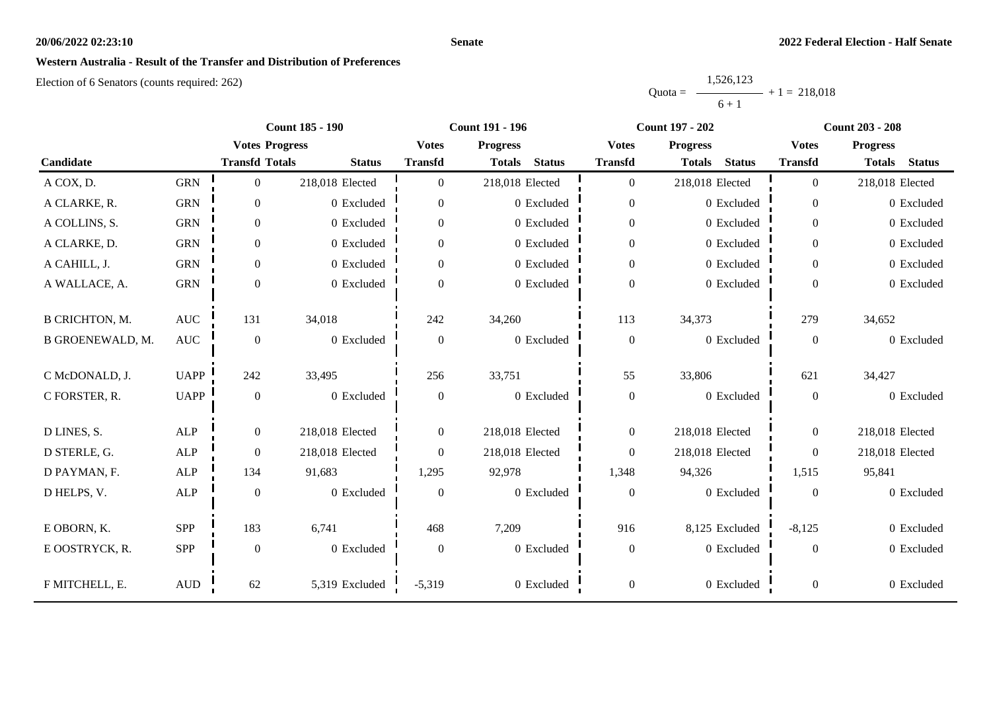#### **Senate**

# **Western Australia - Result of the Transfer and Distribution of Preferences**

|           | 1,526,123 |                |
|-----------|-----------|----------------|
| $Quota =$ |           | $+1 = 218.018$ |
|           | $6 + 1$   |                |

|                         |                | <b>Count 185 - 190</b> |                 |                | <b>Count 191 - 196</b>         |                  | <b>Count 197 - 202</b>         | <b>Count 203 - 208</b> |                                |
|-------------------------|----------------|------------------------|-----------------|----------------|--------------------------------|------------------|--------------------------------|------------------------|--------------------------------|
|                         |                | <b>Votes Progress</b>  |                 | <b>Votes</b>   | <b>Progress</b>                | <b>Votes</b>     | <b>Progress</b>                | <b>Votes</b>           | <b>Progress</b>                |
| Candidate               |                | <b>Transfd Totals</b>  | <b>Status</b>   | <b>Transfd</b> | <b>Status</b><br><b>Totals</b> | <b>Transfd</b>   | <b>Status</b><br><b>Totals</b> | <b>Transfd</b>         | <b>Status</b><br><b>Totals</b> |
| A COX, D.               | <b>GRN</b>     | $\overline{0}$         | 218,018 Elected | $\Omega$       | 218,018 Elected                | $\overline{0}$   | 218,018 Elected                | $\overline{0}$         | 218,018 Elected                |
| A CLARKE, R.            | <b>GRN</b>     | $\boldsymbol{0}$       | 0 Excluded      | $\overline{0}$ | 0 Excluded                     | $\overline{0}$   | 0 Excluded                     | $\overline{0}$         | 0 Excluded                     |
| A COLLINS, S.           | <b>GRN</b>     | $\overline{0}$         | 0 Excluded      | $\overline{0}$ | 0 Excluded                     | $\boldsymbol{0}$ | 0 Excluded                     | $\overline{0}$         | 0 Excluded                     |
| A CLARKE, D.            | <b>GRN</b>     | $\mathbf{0}$           | 0 Excluded      | $\overline{0}$ | 0 Excluded                     | $\overline{0}$   | 0 Excluded                     | $\overline{0}$         | 0 Excluded                     |
| A CAHILL, J.            | <b>GRN</b>     | $\boldsymbol{0}$       | 0 Excluded      | $\overline{0}$ | 0 Excluded                     | $\boldsymbol{0}$ | 0 Excluded                     | $\overline{0}$         | 0 Excluded                     |
| A WALLACE, A.           | <b>GRN</b>     | $\boldsymbol{0}$       | 0 Excluded      | $\Omega$       | 0 Excluded                     | $\boldsymbol{0}$ | 0 Excluded                     | $\overline{0}$         | 0 Excluded                     |
| <b>B CRICHTON, M.</b>   | $\mathbf{AUC}$ | 131                    | 34,018          | 242            | 34,260                         | 113              | 34,373                         | 279                    | 34,652                         |
| <b>B GROENEWALD, M.</b> | <b>AUC</b>     | $\boldsymbol{0}$       | 0 Excluded      | $\mathbf{0}$   | 0 Excluded                     | $\boldsymbol{0}$ | 0 Excluded                     | $\overline{0}$         | 0 Excluded                     |
| C McDONALD, J.          | <b>UAPP</b>    | 242                    | 33,495          | 256            | 33,751                         | 55               | 33,806                         | 621                    | 34,427                         |
| C FORSTER, R.           | <b>UAPP</b>    | $\boldsymbol{0}$       | 0 Excluded      | $\mathbf{0}$   | 0 Excluded                     | $\boldsymbol{0}$ | 0 Excluded                     | $\overline{0}$         | 0 Excluded                     |
| D LINES, S.             | ALP            | $\boldsymbol{0}$       | 218,018 Elected | $\overline{0}$ | 218,018 Elected                | $\boldsymbol{0}$ | 218,018 Elected                | $\overline{0}$         | 218,018 Elected                |
| D STERLE, G.            | $\mbox{ALP}$   | $\boldsymbol{0}$       | 218,018 Elected | $\theta$       | 218,018 Elected                | $\overline{0}$   | 218,018 Elected                | $\overline{0}$         | 218,018 Elected                |
| D PAYMAN, F.            | <b>ALP</b>     | 134                    | 91,683          | 1,295          | 92,978                         | 1,348            | 94,326                         | 1,515                  | 95,841                         |
| D HELPS, V.             | $\mbox{ALP}$   | $\boldsymbol{0}$       | 0 Excluded      | $\mathbf{0}$   | 0 Excluded                     | $\boldsymbol{0}$ | 0 Excluded                     | $\boldsymbol{0}$       | 0 Excluded                     |
| E OBORN, K.             | <b>SPP</b>     | 183                    | 6,741           | 468            | 7,209                          | 916              | 8,125 Excluded                 | $-8,125$               | 0 Excluded                     |
| E OOSTRYCK, R.          | SPP            | $\boldsymbol{0}$       | 0 Excluded      | $\mathbf{0}$   | 0 Excluded                     | $\boldsymbol{0}$ | 0 Excluded                     | $\overline{0}$         | 0 Excluded                     |
| F MITCHELL, E.          | $\mbox{AUD}$   | 62                     | 5,319 Excluded  | $-5,319$       | 0 Excluded                     | $\boldsymbol{0}$ | 0 Excluded                     | $\boldsymbol{0}$       | 0 Excluded                     |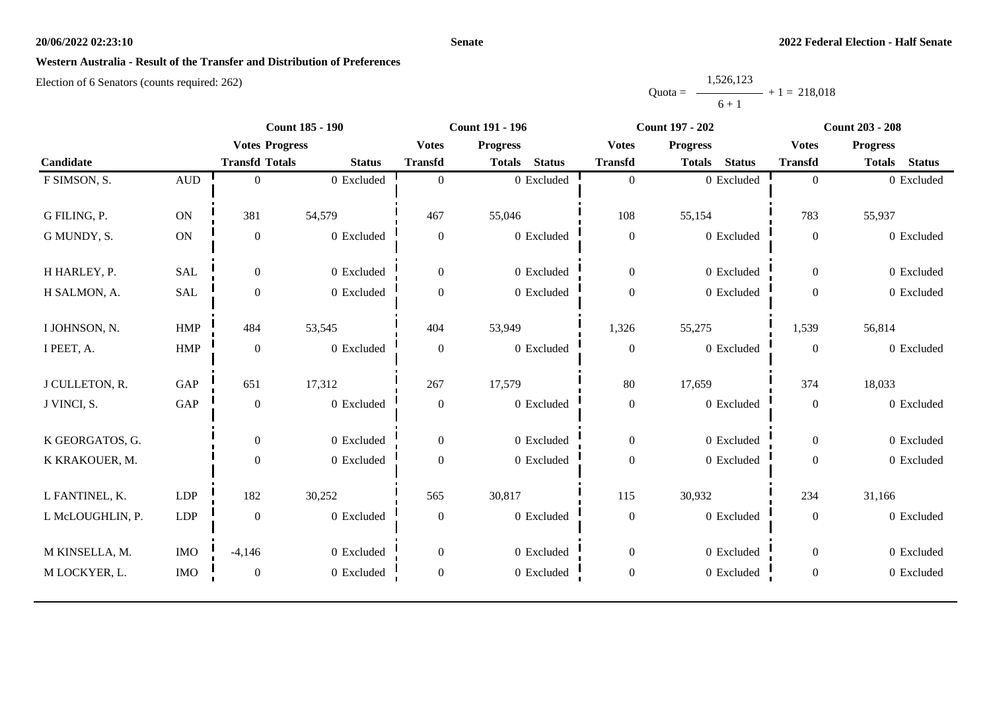#### **Senate**

## **Western Australia - Result of the Transfer and Distribution of Preferences**

|           | 1,526,123 |                |
|-----------|-----------|----------------|
| $Quota =$ |           | $+1 = 218.018$ |
|           | $6 + 1$   |                |

|                  | <b>Count 185 - 190</b> |                       |               | <b>Count 191 - 196</b> |                                | <b>Count 197 - 202</b> | <b>Count 203 - 208</b>         |                  |                                |
|------------------|------------------------|-----------------------|---------------|------------------------|--------------------------------|------------------------|--------------------------------|------------------|--------------------------------|
|                  |                        | <b>Votes Progress</b> |               | <b>Votes</b>           | <b>Progress</b>                | <b>Votes</b>           | <b>Progress</b>                | <b>Votes</b>     | <b>Progress</b>                |
| Candidate        |                        | <b>Transfd Totals</b> | <b>Status</b> | <b>Transfd</b>         | <b>Status</b><br><b>Totals</b> | <b>Transfd</b>         | <b>Status</b><br><b>Totals</b> | <b>Transfd</b>   | <b>Totals</b><br><b>Status</b> |
| F SIMSON, S.     | $\mbox{AUD}$           | $\overline{0}$        | 0 Excluded    | $\theta$               | 0 Excluded                     | $\boldsymbol{0}$       | 0 Excluded                     | $\overline{0}$   | 0 Excluded                     |
|                  |                        |                       |               |                        |                                |                        |                                |                  |                                |
| G FILING, P.     | ON                     | 381                   | 54,579        | 467                    | 55,046                         | 108                    | 55,154                         | 783              | 55,937                         |
| G MUNDY, S.      | ON                     | $\boldsymbol{0}$      | 0 Excluded    | $\boldsymbol{0}$       | 0 Excluded                     | $\boldsymbol{0}$       | 0 Excluded                     | $\boldsymbol{0}$ | 0 Excluded                     |
|                  |                        |                       |               |                        |                                |                        |                                |                  |                                |
| H HARLEY, P.     | <b>SAL</b>             | $\overline{0}$        | 0 Excluded    | $\overline{0}$         | 0 Excluded                     | $\mathbf{0}$           | 0 Excluded                     | $\overline{0}$   | 0 Excluded                     |
| H SALMON, A.     | SAL                    | $\boldsymbol{0}$      | 0 Excluded    | $\mathbf{0}$           | 0 Excluded                     | $\boldsymbol{0}$       | 0 Excluded                     | $\boldsymbol{0}$ | 0 Excluded                     |
|                  |                        |                       |               |                        |                                |                        |                                |                  |                                |
| I JOHNSON, N.    | <b>HMP</b>             | 484                   | 53,545        | 404                    | 53,949                         | 1,326                  | 55,275                         | 1,539            | 56,814                         |
| I PEET, A.       | ${\rm HMP}$            | $\mathbf{0}$          | 0 Excluded    | $\overline{0}$         | 0 Excluded                     | $\boldsymbol{0}$       | 0 Excluded                     | $\overline{0}$   | 0 Excluded                     |
|                  |                        |                       |               |                        |                                |                        |                                |                  |                                |
| J CULLETON, R.   | GAP                    | 651                   | 17,312        | 267                    | 17,579                         | 80                     | 17,659                         | 374              | 18,033                         |
| J VINCI, S.      | GAP                    | $\mathbf{0}$          | 0 Excluded    | $\mathbf{0}$           | 0 Excluded                     | $\boldsymbol{0}$       | 0 Excluded                     | $\overline{0}$   | 0 Excluded                     |
| K GEORGATOS, G.  |                        | $\mathbf{0}$          | 0 Excluded    | $\overline{0}$         | 0 Excluded                     | $\boldsymbol{0}$       | 0 Excluded                     | $\overline{0}$   | 0 Excluded                     |
|                  |                        |                       |               |                        |                                |                        |                                |                  |                                |
| K KRAKOUER, M.   |                        | $\boldsymbol{0}$      | 0 Excluded    | $\overline{0}$         | 0 Excluded                     | $\boldsymbol{0}$       | 0 Excluded                     | $\overline{0}$   | 0 Excluded                     |
| L FANTINEL, K.   | LDP                    | 182                   | 30,252        | 565                    | 30,817                         | 115                    | 30,932                         | 234              | 31,166                         |
| L McLOUGHLIN, P. | ${\rm LDP}$            | $\mathbf{0}$          | 0 Excluded    | $\mathbf{0}$           | 0 Excluded                     | $\boldsymbol{0}$       | 0 Excluded                     | $\overline{0}$   | 0 Excluded                     |
|                  |                        |                       |               |                        |                                |                        |                                |                  |                                |
| M KINSELLA, M.   | <b>IMO</b>             | $-4,146$              | 0 Excluded    | $\overline{0}$         | 0 Excluded                     | $\boldsymbol{0}$       | 0 Excluded                     | $\overline{0}$   | 0 Excluded                     |
| M LOCKYER, L.    | <b>IMO</b>             | $\mathbf{0}$          | 0 Excluded    | $\boldsymbol{0}$       | 0 Excluded                     | $\boldsymbol{0}$       | 0 Excluded                     | $\boldsymbol{0}$ | 0 Excluded                     |
|                  |                        |                       |               |                        |                                |                        |                                |                  |                                |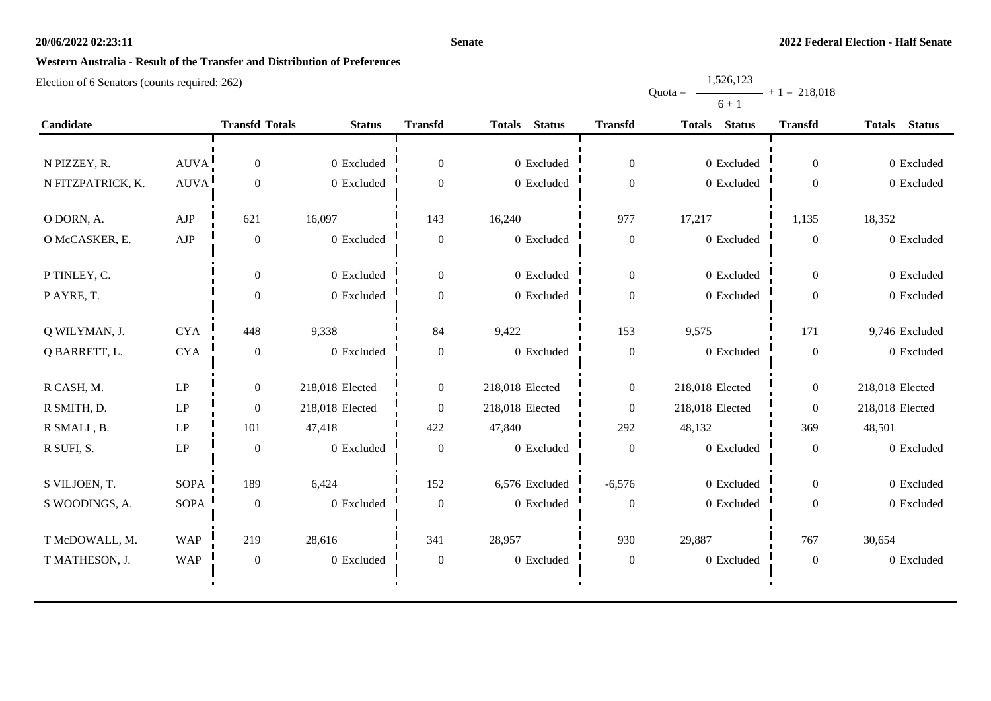#### **Senate**

# **Western Australia - Result of the Transfer and Distribution of Preferences**

Election of 6 Senators (counts required: 262)

|                   |             |                       |                 |                  |                                |                  | $U + I$                        |                  |                                |
|-------------------|-------------|-----------------------|-----------------|------------------|--------------------------------|------------------|--------------------------------|------------------|--------------------------------|
| Candidate         |             | <b>Transfd Totals</b> | <b>Status</b>   | <b>Transfd</b>   | <b>Status</b><br><b>Totals</b> | <b>Transfd</b>   | <b>Status</b><br><b>Totals</b> | <b>Transfd</b>   | <b>Status</b><br><b>Totals</b> |
|                   |             |                       |                 |                  |                                |                  |                                |                  |                                |
| N PIZZEY, R.      | <b>AUVA</b> | $\mathbf{0}$          | 0 Excluded      | $\boldsymbol{0}$ | 0 Excluded                     | $\boldsymbol{0}$ | 0 Excluded                     | $\mathbf{0}$     | 0 Excluded                     |
| N FITZPATRICK, K. | <b>AUVA</b> | $\boldsymbol{0}$      | 0 Excluded      | $\mathbf{0}$     | 0 Excluded                     | $\boldsymbol{0}$ | 0 Excluded                     | $\overline{0}$   | 0 Excluded                     |
| O DORN, A.        | AJP         | 621                   | 16,097          | 143              | 16,240                         | 977              | 17,217                         | 1,135            | 18,352                         |
| O McCASKER, E.    | AJP         | $\boldsymbol{0}$      | 0 Excluded      | $\boldsymbol{0}$ | 0 Excluded                     | $\boldsymbol{0}$ | 0 Excluded                     | $\boldsymbol{0}$ | 0 Excluded                     |
|                   |             |                       |                 |                  |                                |                  |                                |                  |                                |
| P TINLEY, C.      |             | $\theta$              | 0 Excluded      | $\theta$         | 0 Excluded                     | $\theta$         | 0 Excluded                     | $\overline{0}$   | 0 Excluded                     |
| PAYRE, T.         |             | $\theta$              | 0 Excluded      | $\Omega$         | 0 Excluded                     | $\boldsymbol{0}$ | 0 Excluded                     | $\boldsymbol{0}$ | 0 Excluded                     |
|                   |             |                       |                 |                  |                                |                  |                                |                  |                                |
| Q WILYMAN, J.     | <b>CYA</b>  | 448                   | 9,338           | 84               | 9,422                          | 153              | 9,575                          | 171              | 9,746 Excluded                 |
| Q BARRETT, L.     | <b>CYA</b>  | $\boldsymbol{0}$      | 0 Excluded      | $\boldsymbol{0}$ | 0 Excluded                     | $\boldsymbol{0}$ | 0 Excluded                     | $\boldsymbol{0}$ | 0 Excluded                     |
| R CASH, M.        | LP          | $\overline{0}$        | 218,018 Elected | $\overline{0}$   | 218,018 Elected                | $\theta$         | 218,018 Elected                | $\overline{0}$   | 218,018 Elected                |
| R SMITH, D.       | LP          | $\mathbf{0}$          | 218,018 Elected | $\boldsymbol{0}$ | 218,018 Elected                | $\boldsymbol{0}$ | 218,018 Elected                | $\overline{0}$   | 218,018 Elected                |
| R SMALL, B.       | LP          | 101                   | 47,418          | 422              | 47,840                         | 292              | 48,132                         | 369              | 48,501                         |
| R SUFI, S.        | LP          | $\boldsymbol{0}$      | 0 Excluded      | $\boldsymbol{0}$ | 0 Excluded                     | $\boldsymbol{0}$ | 0 Excluded                     | $\boldsymbol{0}$ | 0 Excluded                     |
|                   |             |                       |                 |                  |                                |                  |                                |                  |                                |
| S VILJOEN, T.     | <b>SOPA</b> | 189                   | 6,424           | 152              | 6,576 Excluded                 | $-6,576$         | 0 Excluded                     | $\boldsymbol{0}$ | 0 Excluded                     |
| S WOODINGS, A.    | <b>SOPA</b> | $\boldsymbol{0}$      | 0 Excluded      | $\boldsymbol{0}$ | 0 Excluded                     | $\boldsymbol{0}$ | 0 Excluded                     | $\boldsymbol{0}$ | 0 Excluded                     |
| T McDOWALL, M.    | <b>WAP</b>  | 219                   | 28,616          | 341              | 28,957                         | 930              | 29,887                         | 767              | 30,654                         |
| T MATHESON, J.    | <b>WAP</b>  | $\boldsymbol{0}$      | 0 Excluded      | $\boldsymbol{0}$ | 0 Excluded                     | $\boldsymbol{0}$ | 0 Excluded                     | $\boldsymbol{0}$ | 0 Excluded                     |
|                   |             |                       |                 |                  |                                |                  |                                |                  |                                |

Quota = 1,526,123  $6 + 1$  $+ 1 = 218,018$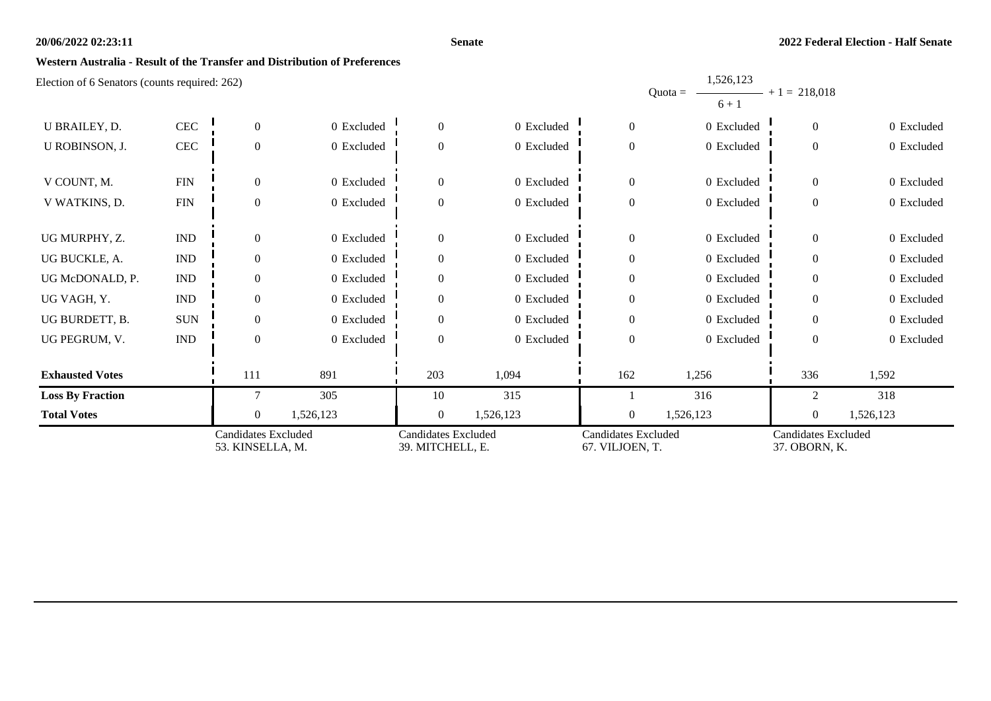#### **Senate**

1,526,123

### **Western Australia - Result of the Transfer and Distribution of Preferences**

| <b>Total Votes</b>                                        |                             | $\overline{0}$<br><b>Candidates Excluded</b> | 1,526,123  | $\overline{0}$<br><b>Candidates Excluded</b> | 1,526,123  | $\overline{0}$<br><b>Candidates Excluded</b> | 1,526,123                         | $\overline{0}$<br><b>Candidates Excluded</b> | 1,526,123  |
|-----------------------------------------------------------|-----------------------------|----------------------------------------------|------------|----------------------------------------------|------------|----------------------------------------------|-----------------------------------|----------------------------------------------|------------|
| <b>Loss By Fraction</b>                                   |                             |                                              | 305        | 10                                           | 315        |                                              | 316                               | $\mathfrak{D}$                               | 318        |
| <b>Exhausted Votes</b>                                    |                             | 111                                          | 891        | 203                                          | 1,094      | 162                                          | 1,256                             | 336                                          | 1,592      |
| UG PEGRUM, V.                                             | $\mathop{\rm IND}\nolimits$ | $\overline{0}$                               | 0 Excluded | $\overline{0}$                               | 0 Excluded | $\boldsymbol{0}$                             | 0 Excluded                        | $\overline{0}$                               | 0 Excluded |
| UG BURDETT, B.                                            | <b>SUN</b>                  | $\Omega$                                     | 0 Excluded | $\theta$                                     | 0 Excluded | $\boldsymbol{0}$                             | 0 Excluded                        | $\Omega$                                     | 0 Excluded |
| UG VAGH, Y.                                               | <b>IND</b>                  | $\Omega$                                     | 0 Excluded | $\theta$                                     | 0 Excluded | $\boldsymbol{0}$                             | 0 Excluded                        | $\theta$                                     | 0 Excluded |
| UG McDONALD, P.                                           | <b>IND</b>                  | $\Omega$                                     | 0 Excluded | $\theta$                                     | 0 Excluded | $\boldsymbol{0}$                             | 0 Excluded                        | $\Omega$                                     | 0 Excluded |
| UG BUCKLE, A.                                             | <b>IND</b>                  | $\overline{0}$                               | 0 Excluded | $\Omega$                                     | 0 Excluded | $\boldsymbol{0}$                             | 0 Excluded                        | $\Omega$                                     | 0 Excluded |
| UG MURPHY, Z.                                             | $\mathop{\rm IND}\nolimits$ | $\Omega$                                     | 0 Excluded | $\Omega$                                     | 0 Excluded | $\boldsymbol{0}$                             | 0 Excluded                        | $\theta$                                     | 0 Excluded |
| V WATKINS, D.                                             | ${\rm FIN}$                 | $\overline{0}$                               | 0 Excluded | $\Omega$                                     | 0 Excluded | $\boldsymbol{0}$                             | 0 Excluded                        | $\overline{0}$                               | 0 Excluded |
| V COUNT, M.                                               | ${\rm FIN}$                 | $\Omega$                                     | 0 Excluded | $\theta$                                     | 0 Excluded | $\boldsymbol{0}$                             | 0 Excluded                        | $\overline{0}$                               | 0 Excluded |
| U ROBINSON, J.                                            | <b>CEC</b>                  | $\overline{0}$                               | 0 Excluded | $\Omega$                                     | 0 Excluded | $\boldsymbol{0}$                             | 0 Excluded                        | $\mathbf{0}$                                 | 0 Excluded |
| U BRAILEY, D.                                             | CEC                         | $\overline{0}$                               | 0 Excluded | $\theta$                                     | 0 Excluded | $\boldsymbol{0}$                             | 0 Excluded                        | $\overline{0}$                               | 0 Excluded |
| $E_{\rm E}$ Electron of 0 Senators (counts required. 202) |                             |                                              |            |                                              |            |                                              | 1,040,140<br>$Quota =$<br>$6 + 1$ | $- + 1 = 218,018$                            |            |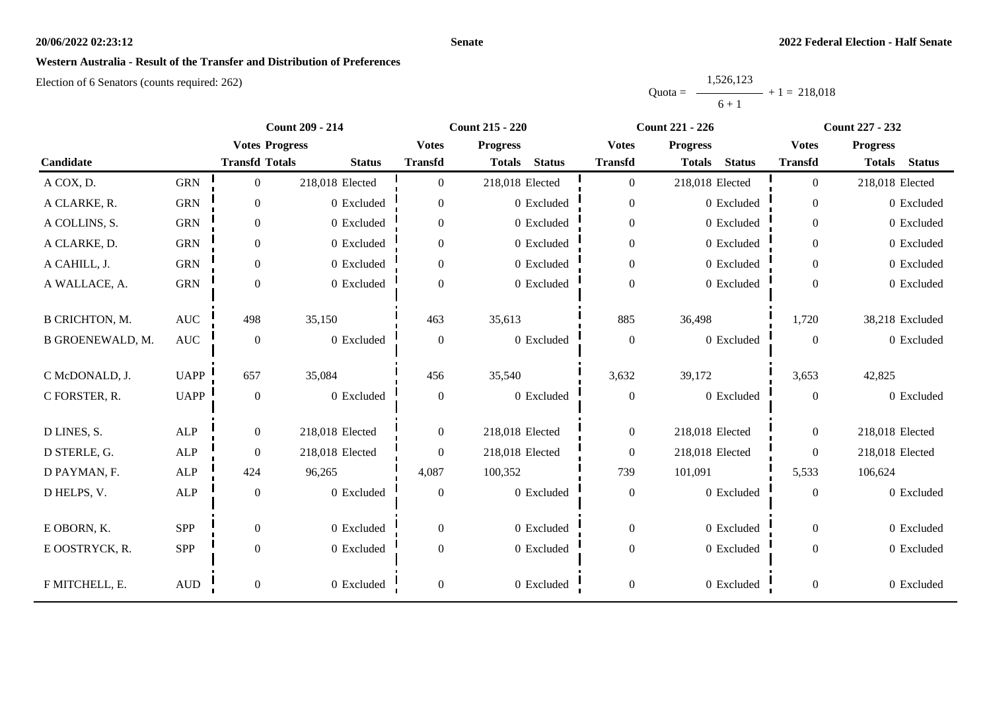#### **Senate**

# **Western Australia - Result of the Transfer and Distribution of Preferences**

|           | 1,526,123 |                |
|-----------|-----------|----------------|
| $Quota =$ |           | $+1 = 218.018$ |
|           | $6 + 1$   |                |

|                         |              | <b>Count 209 - 214</b> |                 |                  | <b>Count 215 - 220</b>         |                  | <b>Count 221 - 226</b>         | <b>Count 227 - 232</b> |                                |
|-------------------------|--------------|------------------------|-----------------|------------------|--------------------------------|------------------|--------------------------------|------------------------|--------------------------------|
|                         |              | <b>Votes Progress</b>  |                 | <b>Votes</b>     | <b>Progress</b>                | <b>Votes</b>     | <b>Progress</b>                | <b>Votes</b>           | <b>Progress</b>                |
| Candidate               |              | <b>Transfd Totals</b>  | <b>Status</b>   | <b>Transfd</b>   | <b>Status</b><br><b>Totals</b> | <b>Transfd</b>   | <b>Status</b><br><b>Totals</b> | <b>Transfd</b>         | <b>Status</b><br><b>Totals</b> |
| A COX, D.               | <b>GRN</b>   | $\overline{0}$         | 218,018 Elected | $\Omega$         | 218,018 Elected                | $\boldsymbol{0}$ | 218,018 Elected                | $\overline{0}$         | 218,018 Elected                |
| A CLARKE, R.            | <b>GRN</b>   | $\overline{0}$         | 0 Excluded      | $\overline{0}$   | 0 Excluded                     | $\overline{0}$   | 0 Excluded                     | $\overline{0}$         | 0 Excluded                     |
| A COLLINS, S.           | <b>GRN</b>   | $\boldsymbol{0}$       | 0 Excluded      | $\overline{0}$   | 0 Excluded                     | $\boldsymbol{0}$ | 0 Excluded                     | $\overline{0}$         | 0 Excluded                     |
| A CLARKE, D.            | <b>GRN</b>   | $\overline{0}$         | 0 Excluded      | $\overline{0}$   | 0 Excluded                     | $\boldsymbol{0}$ | 0 Excluded                     | $\overline{0}$         | 0 Excluded                     |
| A CAHILL, J.            | <b>GRN</b>   | $\boldsymbol{0}$       | 0 Excluded      | $\overline{0}$   | 0 Excluded                     | $\boldsymbol{0}$ | 0 Excluded                     | $\overline{0}$         | 0 Excluded                     |
| A WALLACE, A.           | <b>GRN</b>   | $\boldsymbol{0}$       | 0 Excluded      | $\boldsymbol{0}$ | 0 Excluded                     | $\boldsymbol{0}$ | 0 Excluded                     | $\overline{0}$         | 0 Excluded                     |
| <b>B CRICHTON, M.</b>   | <b>AUC</b>   | 498                    | 35,150          | 463              | 35,613                         | 885              | 36,498                         | 1,720                  | 38,218 Excluded                |
| <b>B GROENEWALD, M.</b> | <b>AUC</b>   | $\boldsymbol{0}$       | 0 Excluded      | $\overline{0}$   | 0 Excluded                     | $\boldsymbol{0}$ | 0 Excluded                     | $\theta$               | 0 Excluded                     |
| C McDONALD, J.          | <b>UAPP</b>  | 657                    | 35,084          | 456              | 35,540                         | 3,632            | 39,172                         | 3,653                  | 42,825                         |
| C FORSTER, R.           | <b>UAPP</b>  | $\boldsymbol{0}$       | 0 Excluded      | $\boldsymbol{0}$ | 0 Excluded                     | $\boldsymbol{0}$ | 0 Excluded                     | $\boldsymbol{0}$       | 0 Excluded                     |
| D LINES, S.             | ALP          | $\boldsymbol{0}$       | 218,018 Elected | $\overline{0}$   | 218,018 Elected                | $\boldsymbol{0}$ | 218,018 Elected                | $\overline{0}$         | 218,018 Elected                |
| D STERLE, G.            | ALP          | $\boldsymbol{0}$       | 218,018 Elected | $\overline{0}$   | 218,018 Elected                | $\boldsymbol{0}$ | 218,018 Elected                | $\overline{0}$         | 218,018 Elected                |
| D PAYMAN, F.            | <b>ALP</b>   | 424                    | 96,265          | 4,087            | 100,352                        | 739              | 101,091                        | 5,533                  | 106,624                        |
| D HELPS, V.             | $\mbox{ALP}$ | $\boldsymbol{0}$       | 0 Excluded      | $\boldsymbol{0}$ | 0 Excluded                     | $\boldsymbol{0}$ | 0 Excluded                     | $\boldsymbol{0}$       | 0 Excluded                     |
| E OBORN, K.             | <b>SPP</b>   | $\boldsymbol{0}$       | 0 Excluded      | $\overline{0}$   | 0 Excluded                     | $\boldsymbol{0}$ | 0 Excluded                     | $\overline{0}$         | 0 Excluded                     |
| E OOSTRYCK, R.          | SPP          | $\boldsymbol{0}$       | 0 Excluded      | $\overline{0}$   | 0 Excluded                     | $\boldsymbol{0}$ | 0 Excluded                     | $\overline{0}$         | 0 Excluded                     |
| F MITCHELL, E.          | $\mbox{AUD}$ | $\boldsymbol{0}$       | 0 Excluded      | $\boldsymbol{0}$ | 0 Excluded                     | $\boldsymbol{0}$ | 0 Excluded                     | $\boldsymbol{0}$       | 0 Excluded                     |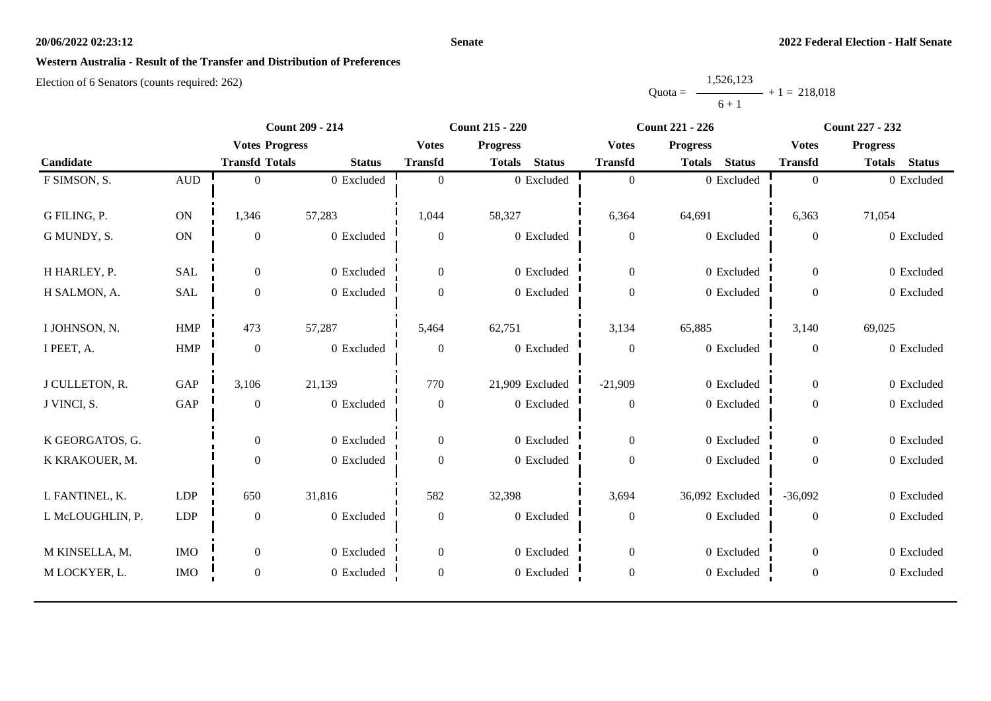#### **Senate**

### **Western Australia - Result of the Transfer and Distribution of Preferences**

|           | 1,526,123 |                |
|-----------|-----------|----------------|
| $Quota =$ |           | $+1 = 218,018$ |
|           | $6 + 1$   |                |

|                  | <b>Count 209 - 214</b><br><b>Count 215 - 220</b><br><b>Count 221 - 226</b> |                       |               | <b>Count 227 - 232</b> |                                |                  |                                |                  |                                |
|------------------|----------------------------------------------------------------------------|-----------------------|---------------|------------------------|--------------------------------|------------------|--------------------------------|------------------|--------------------------------|
|                  |                                                                            | <b>Votes Progress</b> |               | <b>Votes</b>           | <b>Progress</b>                | <b>Votes</b>     | <b>Progress</b>                | <b>Votes</b>     | <b>Progress</b>                |
| Candidate        |                                                                            | <b>Transfd Totals</b> | <b>Status</b> | <b>Transfd</b>         | <b>Status</b><br><b>Totals</b> | <b>Transfd</b>   | <b>Status</b><br><b>Totals</b> | <b>Transfd</b>   | <b>Status</b><br><b>Totals</b> |
| F SIMSON, S.     | $\hbox{AUD}$                                                               | $\overline{0}$        | 0 Excluded    | $\mathbf{0}$           | 0 Excluded                     | $\boldsymbol{0}$ | 0 Excluded                     | $\boldsymbol{0}$ | 0 Excluded                     |
| G FILING, P.     | $\mathbf{ON}$                                                              | 1,346                 | 57,283        | 1,044                  | 58,327                         | 6,364            | 64,691                         | 6,363            | 71,054                         |
|                  |                                                                            |                       |               |                        |                                |                  |                                |                  |                                |
| G MUNDY, S.      | ON                                                                         | $\boldsymbol{0}$      | 0 Excluded    | $\boldsymbol{0}$       | 0 Excluded                     | $\boldsymbol{0}$ | 0 Excluded                     | $\boldsymbol{0}$ | 0 Excluded                     |
| H HARLEY, P.     | <b>SAL</b>                                                                 | $\overline{0}$        | 0 Excluded    | $\overline{0}$         | 0 Excluded                     | $\boldsymbol{0}$ | 0 Excluded                     | $\theta$         | 0 Excluded                     |
| H SALMON, A.     | SAL                                                                        | $\overline{0}$        | 0 Excluded    | $\Omega$               | 0 Excluded                     | $\boldsymbol{0}$ | 0 Excluded                     | $\Omega$         | 0 Excluded                     |
| I JOHNSON, N.    | <b>HMP</b>                                                                 | 473                   | 57,287        | 5,464                  | 62,751                         | 3,134            | 65,885                         | 3,140            | 69,025                         |
|                  |                                                                            |                       |               |                        |                                |                  |                                |                  |                                |
| I PEET, A.       | ${\rm HMP}$                                                                | $\boldsymbol{0}$      | 0 Excluded    | $\overline{0}$         | 0 Excluded                     | $\boldsymbol{0}$ | 0 Excluded                     | $\boldsymbol{0}$ | 0 Excluded                     |
| J CULLETON, R.   | GAP                                                                        | 3,106                 | 21,139        | 770                    | 21,909 Excluded                | $-21,909$        | 0 Excluded                     | $\overline{0}$   | 0 Excluded                     |
| J VINCI, S.      | GAP                                                                        | $\boldsymbol{0}$      | 0 Excluded    | $\boldsymbol{0}$       | 0 Excluded                     | $\boldsymbol{0}$ | 0 Excluded                     | $\mathbf{0}$     | 0 Excluded                     |
| K GEORGATOS, G.  |                                                                            | $\overline{0}$        | 0 Excluded    | $\overline{0}$         | 0 Excluded                     | $\overline{0}$   | 0 Excluded                     | $\overline{0}$   | 0 Excluded                     |
| K KRAKOUER, M.   |                                                                            | $\boldsymbol{0}$      | 0 Excluded    |                        | 0 Excluded                     | $\boldsymbol{0}$ | 0 Excluded                     | $\overline{0}$   | 0 Excluded                     |
|                  |                                                                            |                       |               | $\boldsymbol{0}$       |                                |                  |                                |                  |                                |
| L FANTINEL, K.   | <b>LDP</b>                                                                 | 650                   | 31,816        | 582                    | 32,398                         | 3,694            | 36,092 Excluded                | $-36,092$        | 0 Excluded                     |
| L McLOUGHLIN, P. | ${\rm LDP}$                                                                | $\mathbf{0}$          | 0 Excluded    | $\overline{0}$         | 0 Excluded                     | $\boldsymbol{0}$ | 0 Excluded                     | $\Omega$         | 0 Excluded                     |
|                  |                                                                            |                       |               |                        |                                |                  |                                |                  |                                |
| M KINSELLA, M.   | <b>IMO</b>                                                                 | $\boldsymbol{0}$      | 0 Excluded    | $\overline{0}$         | 0 Excluded                     | $\boldsymbol{0}$ | 0 Excluded                     | $\overline{0}$   | 0 Excluded                     |
| M LOCKYER, L.    | <b>IMO</b>                                                                 | $\boldsymbol{0}$      | 0 Excluded    | $\boldsymbol{0}$       | 0 Excluded                     | $\boldsymbol{0}$ | 0 Excluded                     | $\boldsymbol{0}$ | 0 Excluded                     |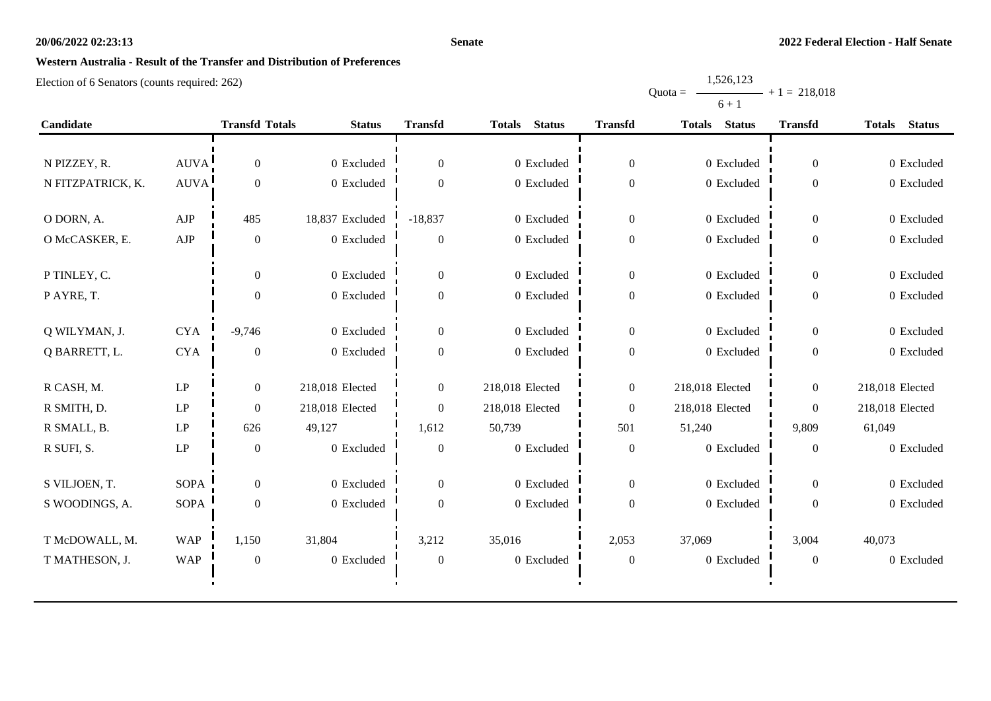#### **Senate**

# **Western Australia - Result of the Transfer and Distribution of Preferences**

Election of 6 Senators (counts required: 262)

|                   |             |                       |                 |                  |                                |                  | $0+1$           |                  |                                |
|-------------------|-------------|-----------------------|-----------------|------------------|--------------------------------|------------------|-----------------|------------------|--------------------------------|
| Candidate         |             | <b>Transfd Totals</b> | <b>Status</b>   | <b>Transfd</b>   | <b>Status</b><br><b>Totals</b> | <b>Transfd</b>   | Totals Status   | <b>Transfd</b>   | <b>Status</b><br><b>Totals</b> |
|                   |             |                       |                 |                  |                                |                  |                 |                  |                                |
| N PIZZEY, R.      | <b>AUVA</b> | $\overline{0}$        | 0 Excluded      | $\mathbf{0}$     | 0 Excluded                     | $\Omega$         | 0 Excluded      | $\boldsymbol{0}$ | 0 Excluded                     |
| N FITZPATRICK, K. | <b>AUVA</b> | $\overline{0}$        | 0 Excluded      | $\Omega$         | 0 Excluded                     | $\theta$         | $0$ Excluded    | $\boldsymbol{0}$ | 0 Excluded                     |
| O DORN, A.        | ${\rm AJP}$ | 485                   | 18,837 Excluded | $-18,837$        | 0 Excluded                     | $\overline{0}$   | 0 Excluded      | $\boldsymbol{0}$ | 0 Excluded                     |
| O McCASKER, E.    | AJP         | $\mathbf{0}$          | 0 Excluded      | $\boldsymbol{0}$ | 0 Excluded                     | $\theta$         | 0 Excluded      | $\boldsymbol{0}$ | 0 Excluded                     |
| P TINLEY, C.      |             | $\Omega$              | 0 Excluded      | $\mathbf{0}$     | 0 Excluded                     | $\overline{0}$   | 0 Excluded      | $\boldsymbol{0}$ | 0 Excluded                     |
| P AYRE, T.        |             | $\Omega$              | 0 Excluded      | $\theta$         | 0 Excluded                     | 0                | $0$ Excluded    | $\overline{0}$   | 0 Excluded                     |
| Q WILYMAN, J.     | <b>CYA</b>  | $-9,746$              | 0 Excluded      | $\boldsymbol{0}$ | 0 Excluded                     | $\overline{0}$   | 0 Excluded      | $\boldsymbol{0}$ | 0 Excluded                     |
| Q BARRETT, L.     | <b>CYA</b>  | $\theta$              | 0 Excluded      | $\theta$         | 0 Excluded                     | $\Omega$         | 0 Excluded      | $\overline{0}$   | 0 Excluded                     |
| R CASH, M.        | LP          | $\overline{0}$        | 218,018 Elected | $\boldsymbol{0}$ | 218,018 Elected                | $\boldsymbol{0}$ | 218,018 Elected | $\mathbf{0}$     | 218,018 Elected                |
| R SMITH, D.       | LP          | $\Omega$              | 218,018 Elected | $\Omega$         | 218,018 Elected                | $\Omega$         | 218,018 Elected | $\overline{0}$   | 218,018 Elected                |
| R SMALL, B.       | LP          | 626                   | 49,127          | 1,612            | 50,739                         | 501              | 51,240          | 9,809            | 61,049                         |
| R SUFI, S.        | LP          | $\overline{0}$        | 0 Excluded      | $\theta$         | 0 Excluded                     | $\Omega$         | 0 Excluded      | $\mathbf{0}$     | 0 Excluded                     |
| S VILJOEN, T.     | <b>SOPA</b> | $\overline{0}$        | 0 Excluded      | $\mathbf{0}$     | 0 Excluded                     | $\Omega$         | 0 Excluded      | $\overline{0}$   | 0 Excluded                     |
| S WOODINGS, A.    | SOPA        | $\theta$              | 0 Excluded      | $\Omega$         | 0 Excluded                     | $\Omega$         | 0 Excluded      | $\overline{0}$   | 0 Excluded                     |
| T McDOWALL, M.    | <b>WAP</b>  | 1,150                 | 31,804          | 3,212            | 35,016                         | 2,053            | 37,069          | 3,004            | 40,073                         |
| T MATHESON, J.    | <b>WAP</b>  | $\overline{0}$        | 0 Excluded      | $\theta$         | 0 Excluded                     | $\Omega$         | $0\,$ Excluded  | $\theta$         | 0 Excluded                     |

 $\mathbf{r}$ 

Quota = 1,526,123  $6 + 1$  $+ 1 = 218,018$ 

 $\blacksquare$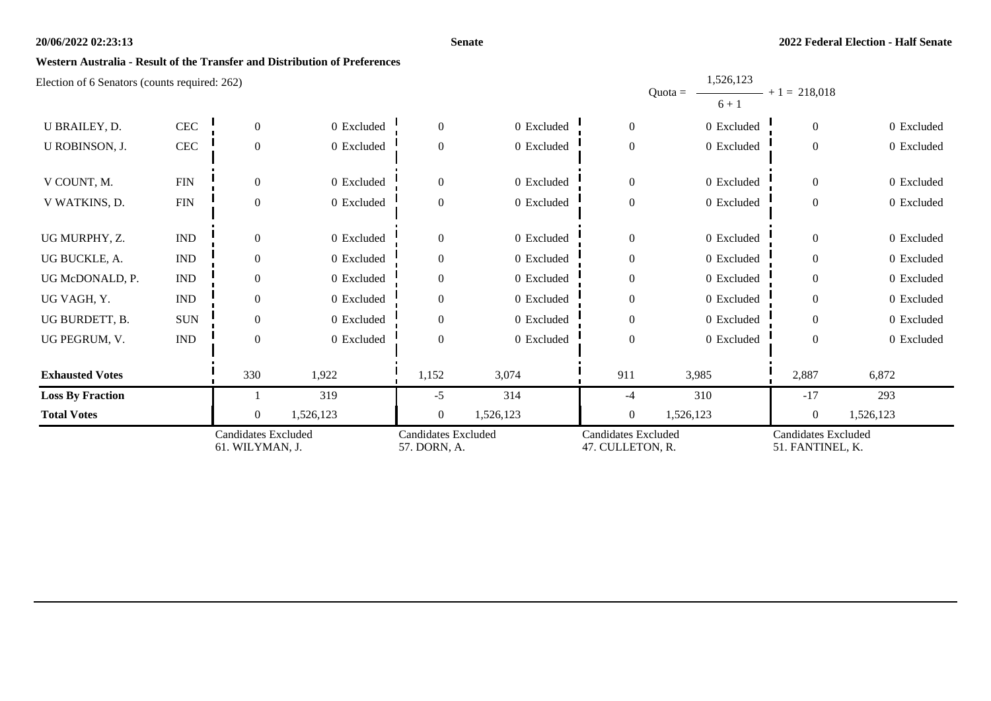#### **Senate**

1,526,123

### **Western Australia - Result of the Transfer and Distribution of Preferences**

| U BRAILEY, D.           | $\mbox{CEC}$                | $\overline{0}$                                | 0 Excluded | $\overline{0}$                             | 0 Excluded | $\mathbf{0}$                                   | 0 Excluded | $\overline{0}$                                 | 0 Excluded |
|-------------------------|-----------------------------|-----------------------------------------------|------------|--------------------------------------------|------------|------------------------------------------------|------------|------------------------------------------------|------------|
| U ROBINSON, J.          | $\mbox{CEC}$                | $\overline{0}$                                | 0 Excluded | $\overline{0}$                             | 0 Excluded | $\boldsymbol{0}$                               | 0 Excluded | $\theta$                                       | 0 Excluded |
| V COUNT, M.             | <b>FIN</b>                  | $\Omega$                                      | 0 Excluded | $\theta$                                   | 0 Excluded | $\boldsymbol{0}$                               | 0 Excluded | $\Omega$                                       | 0 Excluded |
| V WATKINS, D.           | <b>FIN</b>                  | $\boldsymbol{0}$                              | 0 Excluded | $\boldsymbol{0}$                           | 0 Excluded | $\boldsymbol{0}$                               | 0 Excluded | $\overline{0}$                                 | 0 Excluded |
| UG MURPHY, Z.           | $\mathop{\rm IND}\nolimits$ | $\theta$                                      | 0 Excluded | $\overline{0}$                             | 0 Excluded | $\boldsymbol{0}$                               | 0 Excluded | $\theta$                                       | 0 Excluded |
| UG BUCKLE, A.           | $\mathop{\rm IND}\nolimits$ | $\Omega$                                      | 0 Excluded | $\overline{0}$                             | 0 Excluded | $\boldsymbol{0}$                               | 0 Excluded | $\theta$                                       | 0 Excluded |
| UG McDONALD, P.         | $\mathop{\rm IND}\nolimits$ | $\Omega$                                      | 0 Excluded | $\overline{0}$                             | 0 Excluded | $\boldsymbol{0}$                               | 0 Excluded | $\Omega$                                       | 0 Excluded |
| UG VAGH, Y.             | $\mathop{\rm IND}\nolimits$ | $\Omega$                                      | 0 Excluded | $\overline{0}$                             | 0 Excluded | $\boldsymbol{0}$                               | 0 Excluded | $\theta$                                       | 0 Excluded |
| UG BURDETT, B.          | <b>SUN</b>                  | $\Omega$                                      | 0 Excluded | $\overline{0}$                             | 0 Excluded | $\boldsymbol{0}$                               | 0 Excluded | $\Omega$                                       | 0 Excluded |
| UG PEGRUM, V.           | IND                         | $\overline{0}$                                | 0 Excluded | $\overline{0}$                             | 0 Excluded | $\boldsymbol{0}$                               | 0 Excluded | $\theta$                                       | 0 Excluded |
| <b>Exhausted Votes</b>  |                             | 330                                           | 1,922      | 1,152                                      | 3,074      | 911                                            | 3,985      | 2,887                                          | 6,872      |
| <b>Loss By Fraction</b> |                             |                                               | 319        | $-5$                                       | 314        | -4                                             | 310        | $-17$                                          | 293        |
| <b>Total Votes</b>      |                             | $\overline{0}$                                | 1,526,123  | $\mathbf{0}$                               | 1,526,123  | $\boldsymbol{0}$                               | 1,526,123  | $\theta$                                       | 1,526,123  |
|                         |                             | <b>Candidates Excluded</b><br>61. WILYMAN, J. |            | <b>Candidates Excluded</b><br>57. DORN, A. |            | <b>Candidates Excluded</b><br>47. CULLETON, R. |            | <b>Candidates Excluded</b><br>51. FANTINEL, K. |            |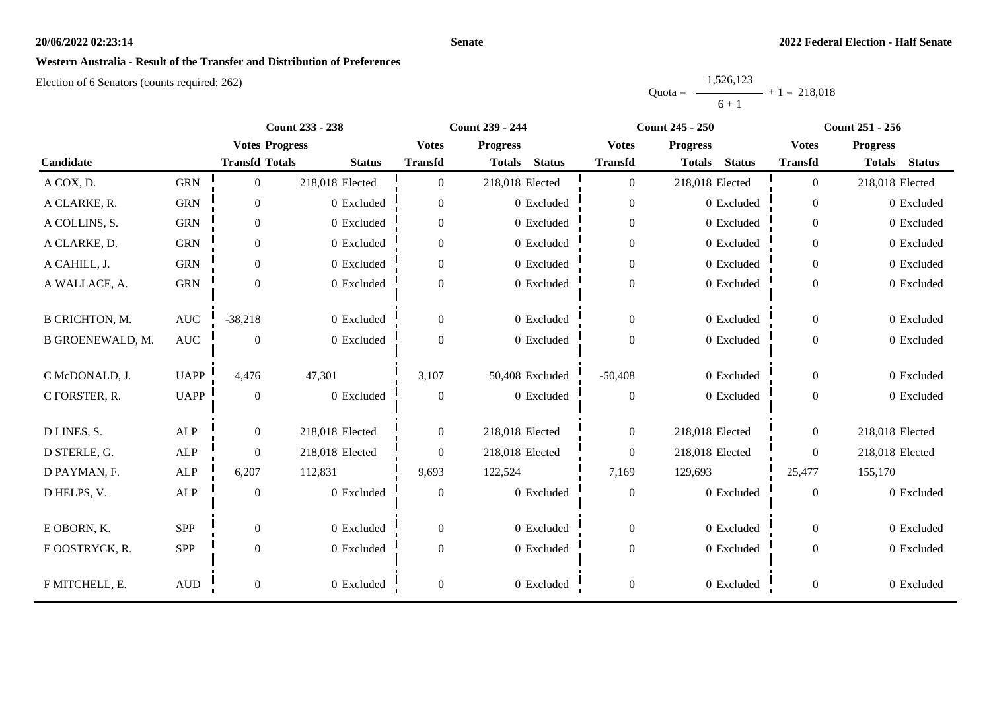#### **Senate**

## **Western Australia - Result of the Transfer and Distribution of Preferences**

|           | 1,526,123 |                |
|-----------|-----------|----------------|
| $Quota =$ |           | $+1 = 218.018$ |
|           | $6 + 1$   |                |

|                       |                |                       | <b>Count 233 - 238</b> |                | <b>Count 239 - 244</b>         |                  | <b>Count 245 - 250</b>         |                  | <b>Count 251 - 256</b>         |
|-----------------------|----------------|-----------------------|------------------------|----------------|--------------------------------|------------------|--------------------------------|------------------|--------------------------------|
|                       |                | <b>Votes Progress</b> |                        | <b>Votes</b>   | <b>Progress</b>                | <b>Votes</b>     | <b>Progress</b>                | <b>Votes</b>     | <b>Progress</b>                |
| Candidate             |                | <b>Transfd Totals</b> | <b>Status</b>          | <b>Transfd</b> | <b>Status</b><br><b>Totals</b> | <b>Transfd</b>   | <b>Status</b><br><b>Totals</b> | <b>Transfd</b>   | <b>Status</b><br><b>Totals</b> |
| A COX, D.             | <b>GRN</b>     | $\overline{0}$        | 218,018 Elected        | $\Omega$       | 218,018 Elected                | $\overline{0}$   | 218,018 Elected                | $\overline{0}$   | 218,018 Elected                |
| A CLARKE, R.          | <b>GRN</b>     | $\overline{0}$        | 0 Excluded             | $\overline{0}$ | 0 Excluded                     | $\overline{0}$   | 0 Excluded                     | $\overline{0}$   | 0 Excluded                     |
| A COLLINS, S.         | <b>GRN</b>     | $\overline{0}$        | 0 Excluded             | 0              | 0 Excluded                     | $\boldsymbol{0}$ | 0 Excluded                     | $\overline{0}$   | 0 Excluded                     |
| A CLARKE, D.          | <b>GRN</b>     | $\overline{0}$        | 0 Excluded             | $\overline{0}$ | 0 Excluded                     | $\overline{0}$   | 0 Excluded                     | $\overline{0}$   | 0 Excluded                     |
| A CAHILL, J.          | <b>GRN</b>     | $\boldsymbol{0}$      | 0 Excluded             | 0              | 0 Excluded                     | $\boldsymbol{0}$ | 0 Excluded                     | $\overline{0}$   | 0 Excluded                     |
| A WALLACE, A.         | <b>GRN</b>     | $\boldsymbol{0}$      | 0 Excluded             | $\overline{0}$ | 0 Excluded                     | $\boldsymbol{0}$ | 0 Excluded                     | $\overline{0}$   | 0 Excluded                     |
|                       |                |                       |                        |                |                                |                  |                                |                  |                                |
| <b>B CRICHTON, M.</b> | $\mathbf{AUC}$ | $-38,218$             | 0 Excluded             | $\overline{0}$ | 0 Excluded                     | $\overline{0}$   | 0 Excluded                     | $\overline{0}$   | 0 Excluded                     |
| B GROENEWALD, M.      | $\mathbf{AUC}$ | $\boldsymbol{0}$      | 0 Excluded             | $\overline{0}$ | 0 Excluded                     | $\boldsymbol{0}$ | 0 Excluded                     | $\boldsymbol{0}$ | 0 Excluded                     |
| C McDONALD, J.        | <b>UAPP</b>    | 4,476                 | 47,301                 | 3,107          | 50,408 Excluded                | $-50,408$        | 0 Excluded                     | $\Omega$         | 0 Excluded                     |
| C FORSTER, R.         | <b>UAPP</b>    | $\mathbf{0}$          | 0 Excluded             | $\mathbf{0}$   | 0 Excluded                     | $\mathbf{0}$     | 0 Excluded                     | $\overline{0}$   | 0 Excluded                     |
|                       |                |                       |                        |                |                                |                  |                                |                  |                                |
| D LINES, S.           | ALP            | $\boldsymbol{0}$      | 218,018 Elected        | $\overline{0}$ | 218,018 Elected                | $\boldsymbol{0}$ | 218,018 Elected                | $\overline{0}$   | 218,018 Elected                |
| D STERLE, G.          | $\mbox{ALP}$   | $\overline{0}$        | 218,018 Elected        | $\overline{0}$ | 218,018 Elected                | $\overline{0}$   | 218,018 Elected                | $\overline{0}$   | 218,018 Elected                |
| D PAYMAN, F.          | ALP            | 6,207                 | 112,831                | 9,693          | 122,524                        | 7,169            | 129,693                        | 25,477           | 155,170                        |
| D HELPS, V.           | $\mbox{ALP}$   | $\boldsymbol{0}$      | 0 Excluded             | 0              | 0 Excluded                     | $\boldsymbol{0}$ | $0$ Excluded                   | $\boldsymbol{0}$ | 0 Excluded                     |
|                       |                |                       |                        |                |                                |                  |                                |                  |                                |
| E OBORN, K.           | SPP            | $\overline{0}$        | 0 Excluded             | $\overline{0}$ | 0 Excluded                     | $\boldsymbol{0}$ | 0 Excluded                     | $\overline{0}$   | 0 Excluded                     |
| E OOSTRYCK, R.        | SPP            | $\boldsymbol{0}$      | 0 Excluded             | $\overline{0}$ | 0 Excluded                     | $\boldsymbol{0}$ | 0 Excluded                     | $\overline{0}$   | 0 Excluded                     |
| F MITCHELL, E.        | $\mbox{AUD}$   | $\boldsymbol{0}$      | 0 Excluded             | 0              | 0 Excluded                     | $\boldsymbol{0}$ | 0 Excluded                     | $\boldsymbol{0}$ | 0 Excluded                     |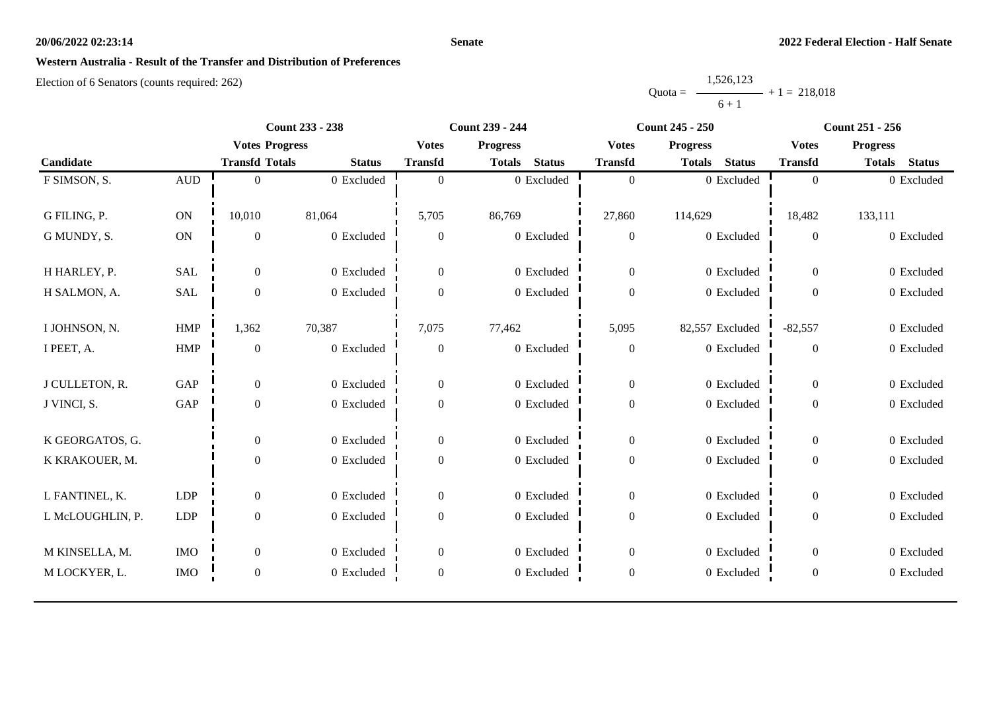#### **Senate**

# **Western Australia - Result of the Transfer and Distribution of Preferences**

|           | 1,526,123 |                |
|-----------|-----------|----------------|
| $Quota =$ |           | $+1 = 218.018$ |
|           | $6 + 1$   |                |

|                  |              | <b>Count 233 - 238</b> |               | <b>Count 239 - 244</b> |                                |                  | <b>Count 245 - 250</b>         | <b>Count 251 - 256</b> |                                |  |
|------------------|--------------|------------------------|---------------|------------------------|--------------------------------|------------------|--------------------------------|------------------------|--------------------------------|--|
|                  |              | <b>Votes Progress</b>  |               | <b>Votes</b>           | <b>Progress</b>                | <b>Votes</b>     | <b>Progress</b>                | <b>Votes</b>           | <b>Progress</b>                |  |
| Candidate        |              | <b>Transfd Totals</b>  | <b>Status</b> | <b>Transfd</b>         | <b>Status</b><br><b>Totals</b> | <b>Transfd</b>   | <b>Status</b><br><b>Totals</b> | <b>Transfd</b>         | <b>Status</b><br><b>Totals</b> |  |
| F SIMSON, S.     | $\mbox{AUD}$ | $\Omega$               | 0 Excluded    | $\theta$               | 0 Excluded                     | $\boldsymbol{0}$ | 0 Excluded                     | $\overline{0}$         | 0 Excluded                     |  |
|                  |              |                        |               |                        |                                |                  |                                |                        |                                |  |
| G FILING, P.     | ON           | 10,010                 | 81,064        | 5,705                  | 86,769                         | 27,860           | 114,629                        | 18,482                 | 133,111                        |  |
| G MUNDY, S.      | <b>ON</b>    | $\boldsymbol{0}$       | 0 Excluded    | $\mathbf{0}$           | 0 Excluded                     | $\boldsymbol{0}$ | 0 Excluded                     | $\boldsymbol{0}$       | 0 Excluded                     |  |
| H HARLEY, P.     | <b>SAL</b>   | $\overline{0}$         | 0 Excluded    | $\overline{0}$         | 0 Excluded                     | $\boldsymbol{0}$ | 0 Excluded                     | $\overline{0}$         | 0 Excluded                     |  |
| H SALMON, A.     | SAL          | $\boldsymbol{0}$       | 0 Excluded    | $\Omega$               | 0 Excluded                     | $\boldsymbol{0}$ | 0 Excluded                     | $\boldsymbol{0}$       | 0 Excluded                     |  |
|                  |              |                        |               |                        |                                |                  |                                |                        |                                |  |
| I JOHNSON, N.    | HMP          | 1,362                  | 70,387        | 7,075                  | 77,462                         | 5,095            | 82,557 Excluded                | $-82,557$              | 0 Excluded                     |  |
| I PEET, A.       | <b>HMP</b>   | $\mathbf{0}$           | 0 Excluded    | $\boldsymbol{0}$       | 0 Excluded                     | $\boldsymbol{0}$ | 0 Excluded                     | $\boldsymbol{0}$       | 0 Excluded                     |  |
|                  |              |                        |               |                        |                                |                  |                                |                        |                                |  |
| J CULLETON, R.   | GAP          | $\boldsymbol{0}$       | 0 Excluded    | $\Omega$               | 0 Excluded                     | $\boldsymbol{0}$ | 0 Excluded                     | $\overline{0}$         | 0 Excluded                     |  |
| J VINCI, S.      | GAP          | $\mathbf{0}$           | 0 Excluded    | $\theta$               | 0 Excluded                     | $\boldsymbol{0}$ | 0 Excluded                     | $\overline{0}$         | 0 Excluded                     |  |
| K GEORGATOS, G.  |              | $\mathbf{0}$           | 0 Excluded    | $\overline{0}$         | 0 Excluded                     | $\boldsymbol{0}$ | 0 Excluded                     | $\overline{0}$         | 0 Excluded                     |  |
| K KRAKOUER, M.   |              | $\boldsymbol{0}$       | 0 Excluded    | $\overline{0}$         | 0 Excluded                     | $\boldsymbol{0}$ | 0 Excluded                     | $\overline{0}$         | 0 Excluded                     |  |
|                  |              |                        |               |                        |                                |                  |                                |                        |                                |  |
| L FANTINEL, K.   | <b>LDP</b>   | $\overline{0}$         | 0 Excluded    | $\Omega$               | 0 Excluded                     | $\mathbf{0}$     | 0 Excluded                     | $\overline{0}$         | 0 Excluded                     |  |
| L McLOUGHLIN, P. | <b>LDP</b>   | $\boldsymbol{0}$       | 0 Excluded    | $\theta$               | 0 Excluded                     | $\boldsymbol{0}$ | 0 Excluded                     | $\mathbf{0}$           | 0 Excluded                     |  |
|                  |              |                        |               |                        |                                |                  |                                |                        |                                |  |
| M KINSELLA, M.   | <b>IMO</b>   | $\overline{0}$         | 0 Excluded    | $\Omega$               | 0 Excluded                     | $\boldsymbol{0}$ | 0 Excluded                     | $\overline{0}$         | 0 Excluded                     |  |
| M LOCKYER, L.    | <b>IMO</b>   | $\boldsymbol{0}$       | 0 Excluded    | $\mathbf{0}$           | 0 Excluded                     | $\boldsymbol{0}$ | 0 Excluded                     | $\boldsymbol{0}$       | 0 Excluded                     |  |
|                  |              |                        |               |                        |                                |                  |                                |                        |                                |  |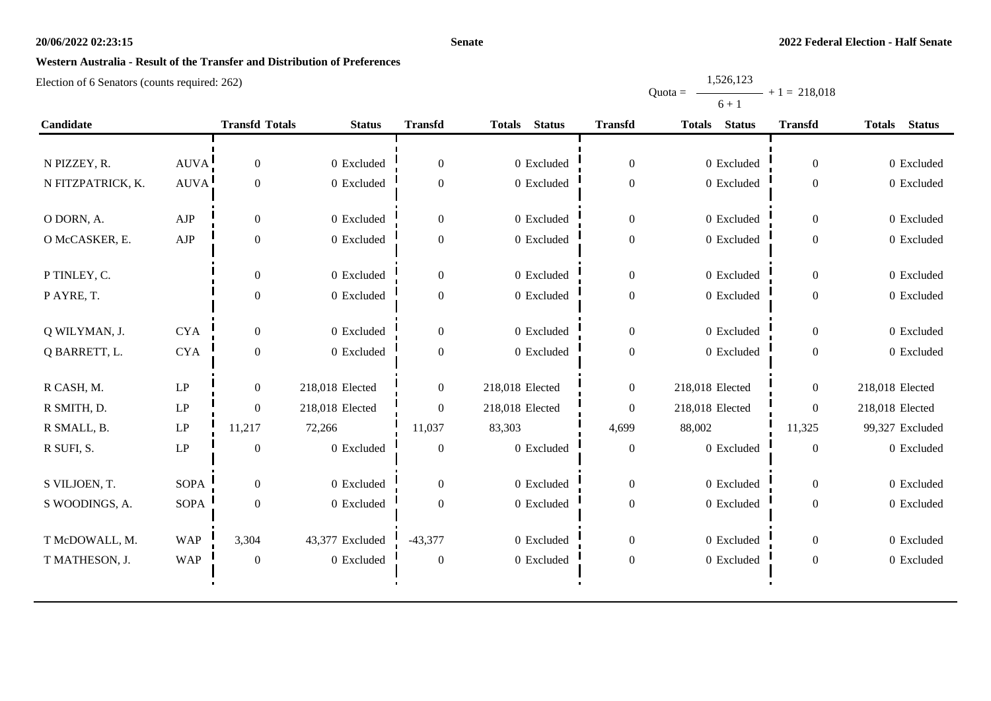#### **Senate**

# **Western Australia - Result of the Transfer and Distribution of Preferences**

|           | 1,526,123 |                 |
|-----------|-----------|-----------------|
| $Quota =$ |           | $-+1 = 218,018$ |
|           | $6 + 1$   |                 |

| Candidate         |                            |                  | <b>Transfd Totals</b><br><b>Status</b> | <b>Transfd</b>   | <b>Status</b><br><b>Totals</b> |                  | <b>Status</b><br><b>Transfd</b><br><b>Totals</b> |                  | <b>Totals</b><br><b>Status</b> |
|-------------------|----------------------------|------------------|----------------------------------------|------------------|--------------------------------|------------------|--------------------------------------------------|------------------|--------------------------------|
|                   |                            |                  |                                        |                  |                                |                  |                                                  |                  |                                |
| N PIZZEY, R.      | AUVA!                      | $\boldsymbol{0}$ | 0 Excluded                             | $\boldsymbol{0}$ | 0 Excluded                     | $\boldsymbol{0}$ | 0 Excluded                                       | $\boldsymbol{0}$ | 0 Excluded                     |
| N FITZPATRICK, K. | $\operatorname{AUVA}$      | $\boldsymbol{0}$ | 0 Excluded                             | $\overline{0}$   | 0 Excluded                     | $\boldsymbol{0}$ | 0 Excluded                                       | $\boldsymbol{0}$ | 0 Excluded                     |
| O DORN, A.        | AJP                        | $\mathbf{0}$     | 0 Excluded                             | $\boldsymbol{0}$ | 0 Excluded                     | $\boldsymbol{0}$ | 0 Excluded                                       | $\overline{0}$   | 0 Excluded                     |
| O McCASKER, E.    | ${\rm AJP}$                | $\mathbf{0}$     | 0 Excluded                             | $\overline{0}$   | 0 Excluded                     | $\boldsymbol{0}$ | 0 Excluded                                       | $\boldsymbol{0}$ | 0 Excluded                     |
| P TINLEY, C.      |                            | $\boldsymbol{0}$ | 0 Excluded                             | $\overline{0}$   | 0 Excluded                     | $\theta$         | 0 Excluded                                       | $\overline{0}$   | 0 Excluded                     |
| P AYRE, T.        |                            | $\boldsymbol{0}$ | 0 Excluded                             | $\boldsymbol{0}$ | 0 Excluded                     | $\boldsymbol{0}$ | 0 Excluded                                       | $\overline{0}$   | 0 Excluded                     |
| Q WILYMAN, J.     | <b>CYA</b>                 | $\overline{0}$   | 0 Excluded                             | $\overline{0}$   | 0 Excluded                     | $\boldsymbol{0}$ | 0 Excluded                                       | $\overline{0}$   | 0 Excluded                     |
| Q BARRETT, L.     | ${\rm CYA}$                | $\boldsymbol{0}$ | 0 Excluded                             | $\overline{0}$   | 0 Excluded                     | $\theta$         | 0 Excluded                                       | $\boldsymbol{0}$ | 0 Excluded                     |
| R CASH, M.        | $\ensuremath{\mathrm{LP}}$ | $\overline{0}$   | 218,018 Elected                        | $\overline{0}$   | 218,018 Elected                | $\boldsymbol{0}$ | 218,018 Elected                                  | $\overline{0}$   | 218,018 Elected                |
| R SMITH, D.       | LP                         | $\overline{0}$   | 218,018 Elected                        | $\overline{0}$   | 218,018 Elected                | $\boldsymbol{0}$ | 218,018 Elected                                  | $\Omega$         | 218,018 Elected                |
| R SMALL, B.       | LP                         | 11,217           | 72,266                                 | 11,037           | 83,303                         | 4,699            | 88,002                                           | 11,325           | 99,327 Excluded                |
| R SUFI, S.        | LP                         | $\boldsymbol{0}$ | 0 Excluded                             | $\mathbf{0}$     | 0 Excluded                     | $\boldsymbol{0}$ | $0$ Excluded                                     | $\boldsymbol{0}$ | 0 Excluded                     |
| S VILJOEN, T.     | <b>SOPA</b>                | $\mathbf{0}$     | 0 Excluded                             | $\overline{0}$   | 0 Excluded                     | $\boldsymbol{0}$ | 0 Excluded                                       | $\overline{0}$   | 0 Excluded                     |
| S WOODINGS, A.    | SOPA                       | $\theta$         | 0 Excluded                             | $\overline{0}$   | 0 Excluded                     | $\theta$         | 0 Excluded                                       | $\boldsymbol{0}$ | 0 Excluded                     |
| T McDOWALL, M.    | <b>WAP</b>                 | 3,304            | 43,377 Excluded                        | $-43,377$        | 0 Excluded                     | $\boldsymbol{0}$ | 0 Excluded                                       | $\overline{0}$   | 0 Excluded                     |
| T MATHESON, J.    | <b>WAP</b>                 | $\boldsymbol{0}$ | 0 Excluded                             | $\boldsymbol{0}$ | 0 Excluded                     | $\boldsymbol{0}$ | 0 Excluded                                       | $\boldsymbol{0}$ | 0 Excluded                     |
|                   |                            |                  |                                        |                  |                                |                  |                                                  |                  |                                |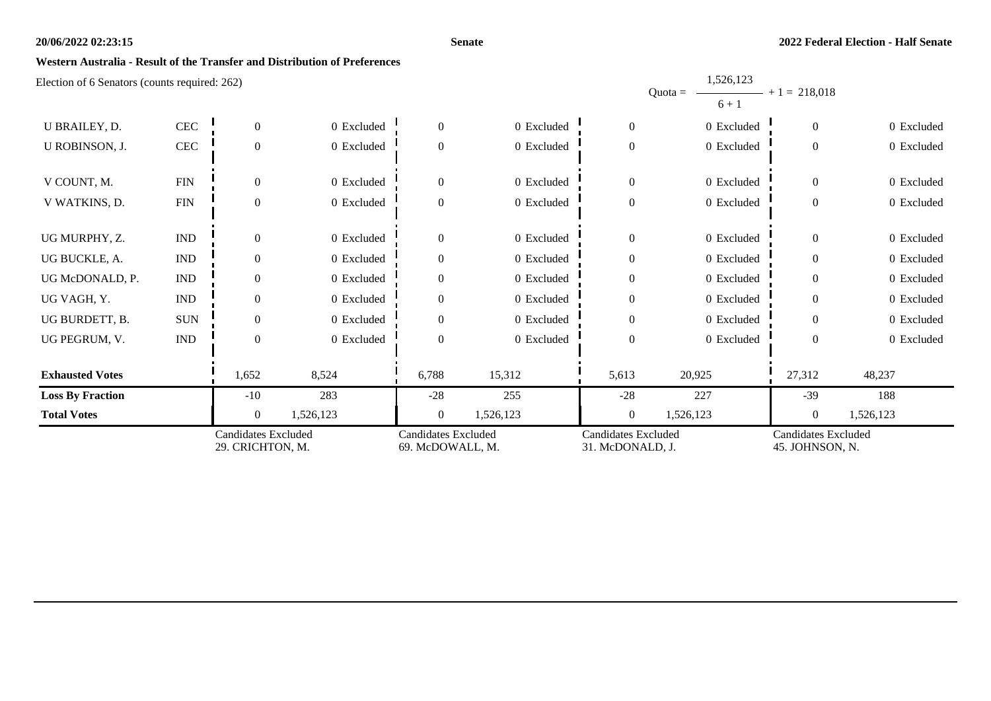#### **Senate**

1,526,123

### **Western Australia - Result of the Transfer and Distribution of Preferences**

| <b>Candidates Excluded</b><br>29. CRICHTON, M.     |                             | <b>Candidates Excluded</b><br>69. McDOWALL, M. |            | <b>Candidates Excluded</b><br>31. McDONALD, J. |            | Candidates Excluded<br>45. JOHNSON, N. |                                     |                  |            |
|----------------------------------------------------|-----------------------------|------------------------------------------------|------------|------------------------------------------------|------------|----------------------------------------|-------------------------------------|------------------|------------|
| <b>Total Votes</b>                                 |                             | $\overline{0}$                                 | 1,526,123  | $\overline{0}$                                 | 1,526,123  | $\boldsymbol{0}$                       | 1,526,123                           | $\boldsymbol{0}$ | 1,526,123  |
| <b>Loss By Fraction</b>                            |                             | $-10$                                          | 283        | $-28$                                          | 255        | $-28$                                  | 227                                 | $-39$            | 188        |
| <b>Exhausted Votes</b>                             |                             | 1,652                                          | 8,524      | 6,788                                          | 15,312     | 5,613                                  | 20,925                              | 27,312           | 48,237     |
| UG PEGRUM, V.                                      | $\mathop{\rm IND}\nolimits$ | $\overline{0}$                                 | 0 Excluded | $\Omega$                                       | 0 Excluded | $\overline{0}$                         | 0 Excluded                          | $\theta$         | 0 Excluded |
| UG BURDETT, B.                                     | <b>SUN</b>                  | $\Omega$                                       | 0 Excluded | $\Omega$                                       | 0 Excluded | $\theta$                               | 0 Excluded                          | $\Omega$         | 0 Excluded |
| UG VAGH, Y.                                        | <b>IND</b>                  | $\Omega$                                       | 0 Excluded | $\Omega$                                       | 0 Excluded | $\boldsymbol{0}$                       | 0 Excluded                          | $\Omega$         | 0 Excluded |
| UG McDONALD, P.                                    | <b>IND</b>                  | $\Omega$                                       | 0 Excluded | $\Omega$                                       | 0 Excluded | $\theta$                               | 0 Excluded                          | $\Omega$         | 0 Excluded |
| UG BUCKLE, A.                                      | $\ensuremath{\mathsf{IND}}$ | $\Omega$                                       | 0 Excluded | $\Omega$                                       | 0 Excluded | $\theta$                               | 0 Excluded                          | $\Omega$         | 0 Excluded |
| UG MURPHY, Z.                                      | $\mathop{\rm IND}\nolimits$ | $\Omega$                                       | 0 Excluded | $\Omega$                                       | 0 Excluded | $\theta$                               | 0 Excluded                          | $\theta$         | 0 Excluded |
| V WATKINS, D.                                      | $\text{FIN}$                | $\overline{0}$                                 | 0 Excluded | $\Omega$                                       | 0 Excluded | $\theta$                               | 0 Excluded                          | $\theta$         | 0 Excluded |
| V COUNT, M.                                        | ${\rm FIN}$                 | $\Omega$                                       | 0 Excluded | $\Omega$                                       | 0 Excluded | $\boldsymbol{0}$                       | 0 Excluded                          | $\theta$         | 0 Excluded |
| U ROBINSON, J.                                     | CEC                         | $\overline{0}$                                 | 0 Excluded | $\Omega$                                       | 0 Excluded | $\boldsymbol{0}$                       | 0 Excluded                          | $\theta$         | 0 Excluded |
| U BRAILEY, D.                                      | CEC                         | $\overline{0}$                                 | 0 Excluded | $\theta$                                       | 0 Excluded | $\theta$                               | 0 Excluded                          | $\theta$         | 0 Excluded |
| $\Xi$ rection of 6 Senators (counts required. 202) |                             |                                                |            |                                                |            |                                        | 1,000,100<br>Quota = $-$<br>$6 + 1$ | $+1 = 218,018$   |            |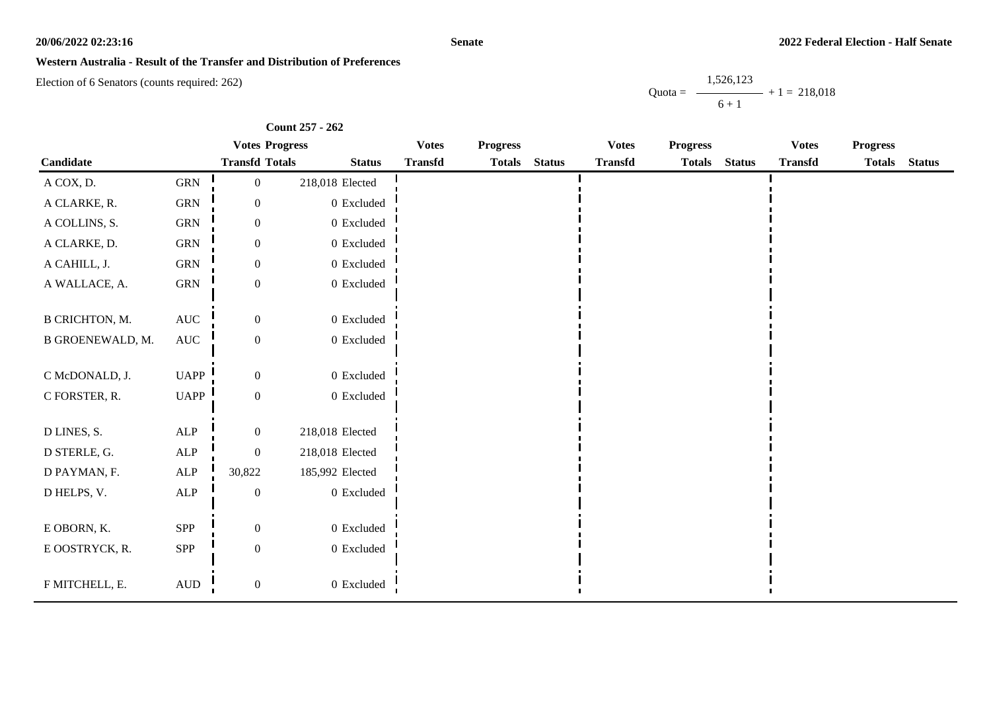#### **Senate**

### **Western Australia - Result of the Transfer and Distribution of Preferences**

Election of 6 Senators (counts required: 262)

Quota = 1,526,123  $6 + 1$  $+ 1 = 218,018$ 

|                         |                      | <b>Votes Progress</b> |                 | <b>Votes</b>   | <b>Progress</b> |               | <b>Votes</b>   | <b>Progress</b> |               | <b>Votes</b>   | <b>Progress</b> |               |
|-------------------------|----------------------|-----------------------|-----------------|----------------|-----------------|---------------|----------------|-----------------|---------------|----------------|-----------------|---------------|
| Candidate               |                      | <b>Transfd Totals</b> | <b>Status</b>   | <b>Transfd</b> | <b>Totals</b>   | <b>Status</b> | <b>Transfd</b> | <b>Totals</b>   | <b>Status</b> | <b>Transfd</b> | <b>Totals</b>   | <b>Status</b> |
| A COX, D.               | ${\rm GRN}$          | $\boldsymbol{0}$      | 218,018 Elected |                |                 |               |                |                 |               |                |                 |               |
| A CLARKE, R.            | ${\rm GRN}$          | $\boldsymbol{0}$      | $0\,$ Excluded  |                |                 |               |                |                 |               |                |                 |               |
| A COLLINS, S.           | <b>GRN</b>           | $\boldsymbol{0}$      | $0$ Excluded    |                |                 |               |                |                 |               |                |                 |               |
| A CLARKE, D.            | ${\rm GRN}$          | $\boldsymbol{0}$      | $0\,$ Excluded  |                |                 |               |                |                 |               |                |                 |               |
| A CAHILL, J.            | ${\rm GRN}$          | $\boldsymbol{0}$      | $0$ Excluded    |                |                 |               |                |                 |               |                |                 |               |
| A WALLACE, A.           | ${\rm GRN}$          | $\boldsymbol{0}$      | $0\,$ Excluded  |                |                 |               |                |                 |               |                |                 |               |
| <b>B CRICHTON, M.</b>   | $\operatorname{AUC}$ | $\boldsymbol{0}$      | $0$ Excluded    |                |                 |               |                |                 |               |                |                 |               |
| <b>B GROENEWALD, M.</b> | $\operatorname{AUC}$ | $\boldsymbol{0}$      | $0$ Excluded    |                |                 |               |                |                 |               |                |                 |               |
| C McDONALD, J.          | <b>UAPP</b>          | $\boldsymbol{0}$      | 0 Excluded      |                |                 |               |                |                 |               |                |                 |               |
| C FORSTER, R.           | <b>UAPP</b>          | $\boldsymbol{0}$      | $0\,$ Excluded  |                |                 |               |                |                 |               |                |                 |               |
| D LINES, S.             | ${\sf ALP}$          | $\boldsymbol{0}$      | 218,018 Elected |                |                 |               |                |                 |               |                |                 |               |
| D STERLE, G.            | ${\sf ALP}$          | $\boldsymbol{0}$      | 218,018 Elected |                |                 |               |                |                 |               |                |                 |               |
| D PAYMAN, F.            | <b>ALP</b>           | 30,822                | 185,992 Elected |                |                 |               |                |                 |               |                |                 |               |
| D HELPS, V.             | ALP                  | $\boldsymbol{0}$      | $0$ Excluded    |                |                 |               |                |                 |               |                |                 |               |
| E OBORN, K.             | SPP                  | $\boldsymbol{0}$      | 0 Excluded      |                |                 |               |                |                 |               |                |                 |               |
| E OOSTRYCK, R.          | ${\rm SPP}$          | $\boldsymbol{0}$      | $0$ Excluded    |                |                 |               |                |                 |               |                |                 |               |
| F MITCHELL, E.          | $\mbox{\rm AUD}$     | $\boldsymbol{0}$      | 0 Excluded      |                |                 |               |                |                 |               |                |                 |               |

**Count 257 - 262**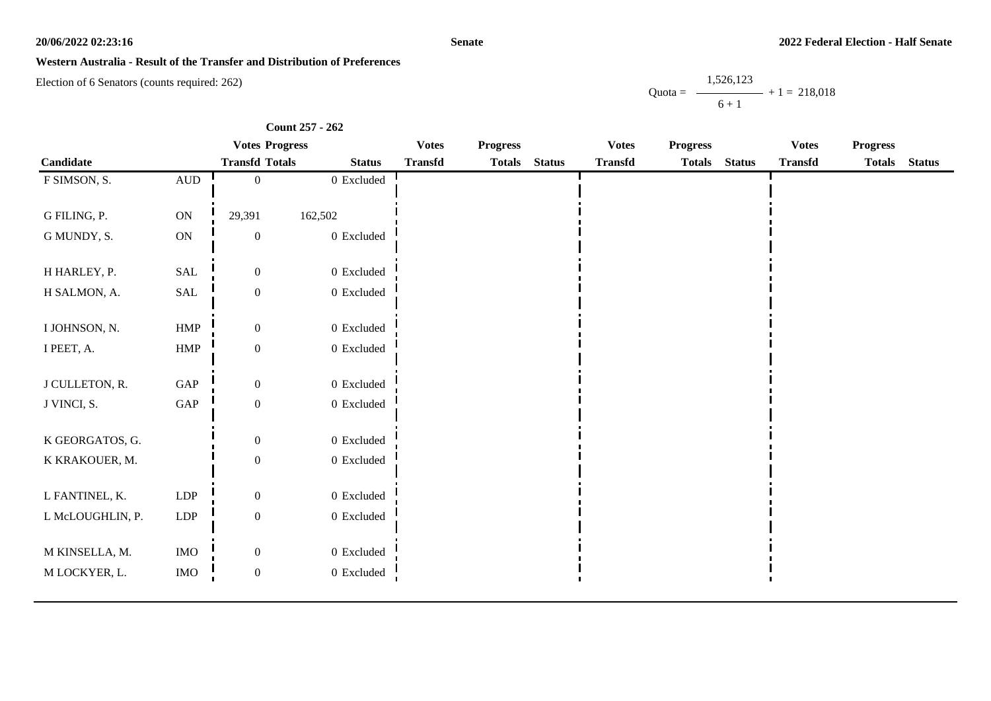**Senate**

### **Western Australia - Result of the Transfer and Distribution of Preferences**

Election of 6 Senators (counts required: 262)

Quota = 1,526,123  $6 + 1$  $+ 1 = 218,018$ 

|                  |                      | <b>Votes Progress</b> |                | <b>Votes</b>   | <b>Progress</b> |               | <b>Votes</b>   | <b>Progress</b> |               | <b>Votes</b>   | <b>Progress</b> |               |
|------------------|----------------------|-----------------------|----------------|----------------|-----------------|---------------|----------------|-----------------|---------------|----------------|-----------------|---------------|
| Candidate        |                      | <b>Transfd Totals</b> | <b>Status</b>  | <b>Transfd</b> | <b>Totals</b>   | <b>Status</b> | <b>Transfd</b> | <b>Totals</b>   | <b>Status</b> | <b>Transfd</b> | <b>Totals</b>   | <b>Status</b> |
| F SIMSON, S.     | $\mbox{AUD}$         | $\mathbf{0}$          | $0$ Excluded   |                |                 |               |                |                 |               |                |                 |               |
|                  |                      |                       |                |                |                 |               |                |                 |               |                |                 |               |
| G FILING, P.     | ON                   | 29,391                | 162,502        |                |                 |               |                |                 |               |                |                 |               |
| G MUNDY, S.      | ON                   | $\boldsymbol{0}$      | $0$ Excluded   |                |                 |               |                |                 |               |                |                 |               |
| H HARLEY, P.     | SAL                  | $\boldsymbol{0}$      | 0 Excluded     |                |                 |               |                |                 |               |                |                 |               |
| H SALMON, A.     | $\operatorname{SAL}$ | $\boldsymbol{0}$      | $0\,$ Excluded |                |                 |               |                |                 |               |                |                 |               |
|                  |                      |                       |                |                |                 |               |                |                 |               |                |                 |               |
| I JOHNSON, N.    | ${\rm HMP}$          | $\boldsymbol{0}$      | $0$ Excluded   |                |                 |               |                |                 |               |                |                 |               |
| I PEET, A.       | ${\rm HMP}$          | $\boldsymbol{0}$      | $0\,$ Excluded |                |                 |               |                |                 |               |                |                 |               |
| J CULLETON, R.   | GAP                  | $\boldsymbol{0}$      | 0 Excluded     |                |                 |               |                |                 |               |                |                 |               |
| J VINCI, S.      | $\operatorname{GAP}$ | $\mathbf{0}$          | $0$ Excluded   |                |                 |               |                |                 |               |                |                 |               |
| K GEORGATOS, G.  |                      | $\boldsymbol{0}$      | 0 Excluded     |                |                 |               |                |                 |               |                |                 |               |
|                  |                      |                       |                |                |                 |               |                |                 |               |                |                 |               |
| K KRAKOUER, M.   |                      | $\boldsymbol{0}$      | $0$ Excluded   |                |                 |               |                |                 |               |                |                 |               |
| L FANTINEL, K.   | ${\rm LDP}$          | $\boldsymbol{0}$      | $0$ Excluded   |                |                 |               |                |                 |               |                |                 |               |
| L McLOUGHLIN, P. | LDP                  | $\boldsymbol{0}$      | $0\,$ Excluded |                |                 |               |                |                 |               |                |                 |               |
|                  |                      |                       |                |                |                 |               |                |                 |               |                |                 |               |
| M KINSELLA, M.   | $\rm{IMO}$           | $\boldsymbol{0}$      | $0\,$ Excluded |                |                 |               |                |                 |               |                |                 |               |
| M LOCKYER, L.    | <b>IMO</b>           | $\overline{0}$        | $0$ Excluded   |                |                 |               |                |                 |               |                |                 |               |

**Count 257 - 262**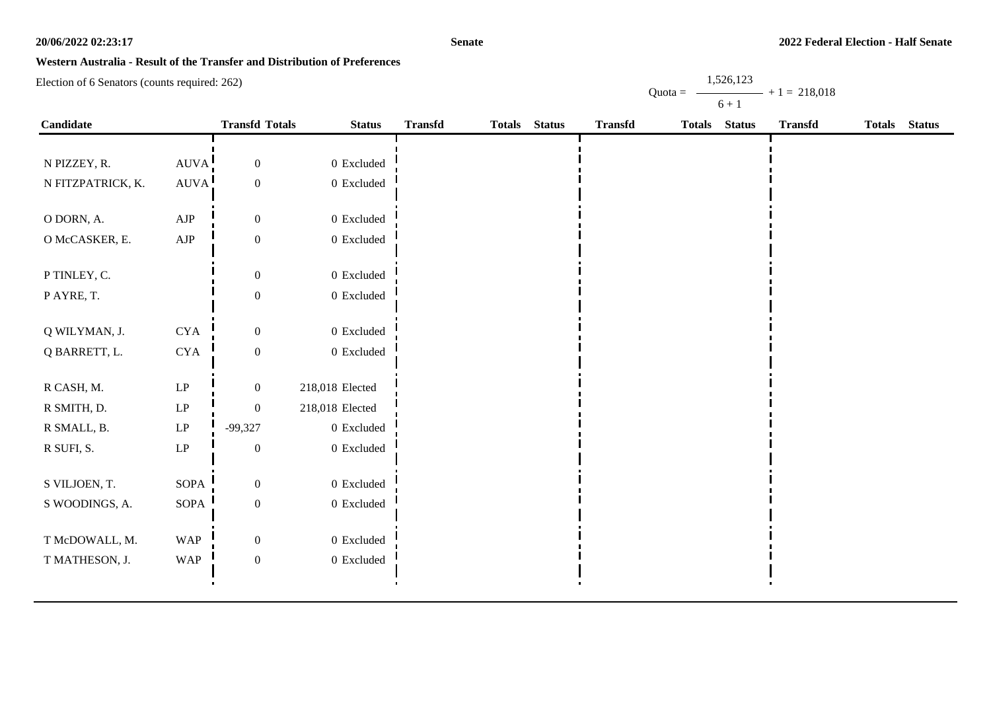#### **Senate**

## **Western Australia - Result of the Transfer and Distribution of Preferences**

Election of 6 Senators (counts required: 262)

Quota = 1,526,123  $6 + 1$  $+ 1 = 218,018$ 

| Candidate         |                            | <b>Transfd Totals</b> | <b>Status</b>   | <b>Transfd</b> | <b>Totals</b> | <b>Status</b> | <b>Transfd</b> | <b>Totals</b> | <b>Status</b> | <b>Transfd</b> | Totals Status |
|-------------------|----------------------------|-----------------------|-----------------|----------------|---------------|---------------|----------------|---------------|---------------|----------------|---------------|
|                   |                            |                       |                 |                |               |               |                |               |               |                |               |
| N PIZZEY, R.      | AUVA!                      | $\boldsymbol{0}$      | $0\,$ Excluded  |                |               |               |                |               |               |                |               |
| N FITZPATRICK, K. | AUVA.                      | $\boldsymbol{0}$      | $0\,$ Excluded  |                |               |               |                |               |               |                |               |
|                   |                            |                       |                 |                |               |               |                |               |               |                |               |
| O DORN, A.        | ${\rm AJP}$                | $\boldsymbol{0}$      | 0 Excluded      |                |               |               |                |               |               |                |               |
| O McCASKER, E.    | ${\rm AJP}$                | $\boldsymbol{0}$      | $0\,$ Excluded  |                |               |               |                |               |               |                |               |
|                   |                            |                       |                 |                |               |               |                |               |               |                |               |
| P TINLEY, C.      |                            | $\boldsymbol{0}$      | 0 Excluded      |                |               |               |                |               |               |                |               |
| P AYRE, T.        |                            | $\boldsymbol{0}$      | $0\,$ Excluded  |                |               |               |                |               |               |                |               |
|                   |                            |                       |                 |                |               |               |                |               |               |                |               |
| Q WILYMAN, J.     | $\rm CYA$                  | $\boldsymbol{0}$      | 0 Excluded      |                |               |               |                |               |               |                |               |
| Q BARRETT, L.     | $\rm CYA$                  | $\boldsymbol{0}$      | 0 Excluded      |                |               |               |                |               |               |                |               |
|                   |                            |                       |                 |                |               |               |                |               |               |                |               |
| R CASH, M.        | $\operatorname{LP}$        | $\boldsymbol{0}$      | 218,018 Elected |                |               |               |                |               |               |                |               |
| R SMITH, D.       | $\operatorname{LP}$        | $\boldsymbol{0}$      | 218,018 Elected |                |               |               |                |               |               |                |               |
| R SMALL, B.       | $\ensuremath{\mathrm{LP}}$ | $-99,327$             | 0 Excluded      |                |               |               |                |               |               |                |               |
| R SUFI, S.        | $\operatorname{LP}$        | $\boldsymbol{0}$      | 0 Excluded      |                |               |               |                |               |               |                |               |
|                   |                            |                       |                 |                |               |               |                |               |               |                |               |
| S VILJOEN, T.     | <b>SOPA</b>                | $\boldsymbol{0}$      | 0 Excluded      |                |               |               |                |               |               |                |               |
| S WOODINGS, A.    | SOPA                       | $\boldsymbol{0}$      | $0\,$ Excluded  |                |               |               |                |               |               |                |               |
|                   |                            |                       |                 |                |               |               |                |               |               |                |               |
| T McDOWALL, M.    | <b>WAP</b>                 | $\boldsymbol{0}$      | 0 Excluded      |                |               |               |                |               |               |                |               |
| T MATHESON, J.    | <b>WAP</b>                 | $\boldsymbol{0}$      | $0\,$ Excluded  |                |               |               |                |               |               |                |               |
|                   |                            |                       |                 |                |               |               |                |               |               |                |               |